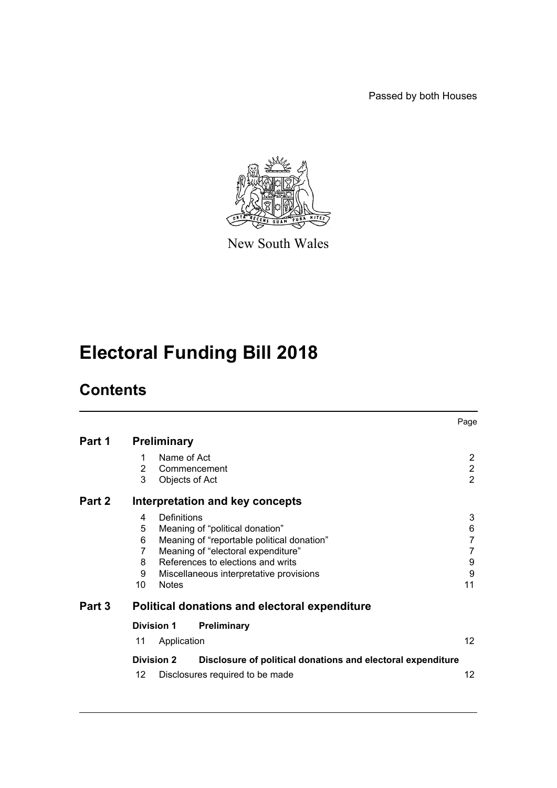Passed by both Houses



New South Wales

# **Electoral Funding Bill 2018**

# **Contents**

|        |                                                                                                                                                                                                                                                                        | Page                                               |  |  |  |
|--------|------------------------------------------------------------------------------------------------------------------------------------------------------------------------------------------------------------------------------------------------------------------------|----------------------------------------------------|--|--|--|
| Part 1 | <b>Preliminary</b>                                                                                                                                                                                                                                                     |                                                    |  |  |  |
|        | Name of Act<br>1<br>2<br>Commencement<br>3<br>Objects of Act                                                                                                                                                                                                           | $\overline{2}$<br>$\overline{2}$<br>$\overline{2}$ |  |  |  |
| Part 2 | Interpretation and key concepts                                                                                                                                                                                                                                        |                                                    |  |  |  |
|        | 4<br>Definitions<br>5<br>Meaning of "political donation"<br>Meaning of "reportable political donation"<br>6<br>Meaning of "electoral expenditure"<br>7<br>References to elections and writs<br>8<br>Miscellaneous interpretative provisions<br>9<br>10<br><b>Notes</b> | 3<br>6<br>$\overline{7}$<br>7<br>9<br>9<br>11      |  |  |  |
| Part 3 | Political donations and electoral expenditure                                                                                                                                                                                                                          |                                                    |  |  |  |
|        | <b>Division 1</b><br><b>Preliminary</b><br>Application<br>11                                                                                                                                                                                                           | 12 <sup>2</sup>                                    |  |  |  |
|        | <b>Division 2</b><br>Disclosure of political donations and electoral expenditure<br>12<br>Disclosures required to be made                                                                                                                                              | 12                                                 |  |  |  |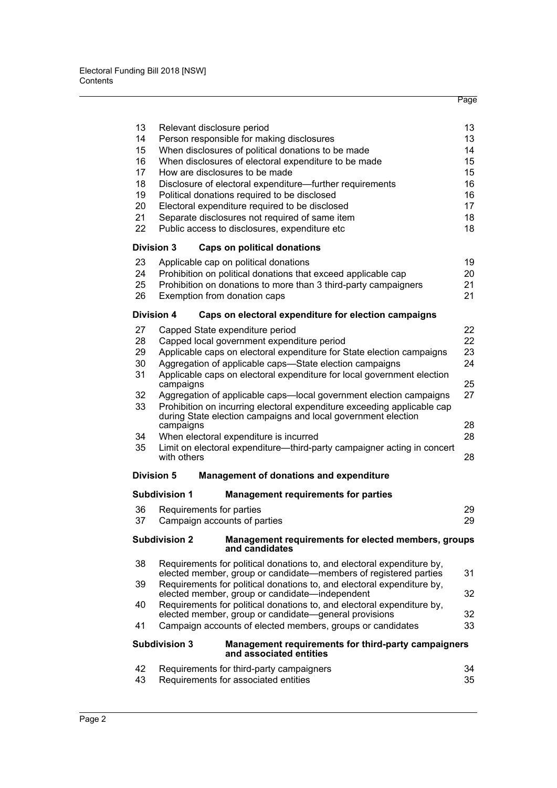|    |                                                                                                                                          | 13 |  |  |  |  |
|----|------------------------------------------------------------------------------------------------------------------------------------------|----|--|--|--|--|
| 13 | Relevant disclosure period                                                                                                               |    |  |  |  |  |
| 14 | Person responsible for making disclosures                                                                                                |    |  |  |  |  |
| 15 | When disclosures of political donations to be made                                                                                       |    |  |  |  |  |
| 16 | When disclosures of electoral expenditure to be made                                                                                     |    |  |  |  |  |
| 17 | How are disclosures to be made<br>15                                                                                                     |    |  |  |  |  |
| 18 | Disclosure of electoral expenditure—further requirements                                                                                 | 16 |  |  |  |  |
| 19 | Political donations required to be disclosed                                                                                             | 16 |  |  |  |  |
| 20 | Electoral expenditure required to be disclosed                                                                                           | 17 |  |  |  |  |
| 21 | Separate disclosures not required of same item                                                                                           | 18 |  |  |  |  |
| 22 | Public access to disclosures, expenditure etc                                                                                            | 18 |  |  |  |  |
|    | <b>Division 3</b><br>Caps on political donations                                                                                         |    |  |  |  |  |
| 23 | Applicable cap on political donations                                                                                                    | 19 |  |  |  |  |
| 24 | Prohibition on political donations that exceed applicable cap                                                                            | 20 |  |  |  |  |
| 25 | Prohibition on donations to more than 3 third-party campaigners                                                                          | 21 |  |  |  |  |
| 26 | Exemption from donation caps                                                                                                             | 21 |  |  |  |  |
|    | Division 4<br>Caps on electoral expenditure for election campaigns                                                                       |    |  |  |  |  |
| 27 | Capped State expenditure period                                                                                                          | 22 |  |  |  |  |
| 28 | Capped local government expenditure period                                                                                               | 22 |  |  |  |  |
| 29 | Applicable caps on electoral expenditure for State election campaigns                                                                    | 23 |  |  |  |  |
| 30 | Aggregation of applicable caps-State election campaigns                                                                                  | 24 |  |  |  |  |
| 31 | Applicable caps on electoral expenditure for local government election                                                                   |    |  |  |  |  |
|    | campaigns                                                                                                                                | 25 |  |  |  |  |
| 32 | Aggregation of applicable caps—local government election campaigns                                                                       | 27 |  |  |  |  |
| 33 | Prohibition on incurring electoral expenditure exceeding applicable cap<br>during State election campaigns and local government election | 28 |  |  |  |  |
| 34 | campaigns<br>When electoral expenditure is incurred                                                                                      | 28 |  |  |  |  |
|    |                                                                                                                                          |    |  |  |  |  |
| 35 | Limit on electoral expenditure-third-party campaigner acting in concert<br>with others                                                   | 28 |  |  |  |  |
|    | Division 5<br><b>Management of donations and expenditure</b>                                                                             |    |  |  |  |  |
|    | <b>Management requirements for parties</b><br><b>Subdivision 1</b>                                                                       |    |  |  |  |  |
| 36 | Requirements for parties                                                                                                                 | 29 |  |  |  |  |
| 37 | Campaign accounts of parties                                                                                                             | 29 |  |  |  |  |
|    | <b>Subdivision 2</b><br>Management requirements for elected members, groups<br>and candidates                                            |    |  |  |  |  |
| 38 | Requirements for political donations to, and electoral expenditure by,                                                                   |    |  |  |  |  |
|    | elected member, group or candidate—members of registered parties                                                                         | 31 |  |  |  |  |
| 39 | Requirements for political donations to, and electoral expenditure by,<br>elected member, group or candidate—independent                 |    |  |  |  |  |
| 40 | Requirements for political donations to, and electoral expenditure by,                                                                   | 32 |  |  |  |  |
|    | elected member, group or candidate-general provisions                                                                                    | 32 |  |  |  |  |
| 41 | Campaign accounts of elected members, groups or candidates                                                                               | 33 |  |  |  |  |
|    | <b>Subdivision 3</b><br>Management requirements for third-party campaigners<br>and associated entities                                   |    |  |  |  |  |
| 42 | Requirements for third-party campaigners                                                                                                 | 34 |  |  |  |  |
| 43 | Requirements for associated entities                                                                                                     |    |  |  |  |  |
|    |                                                                                                                                          | 35 |  |  |  |  |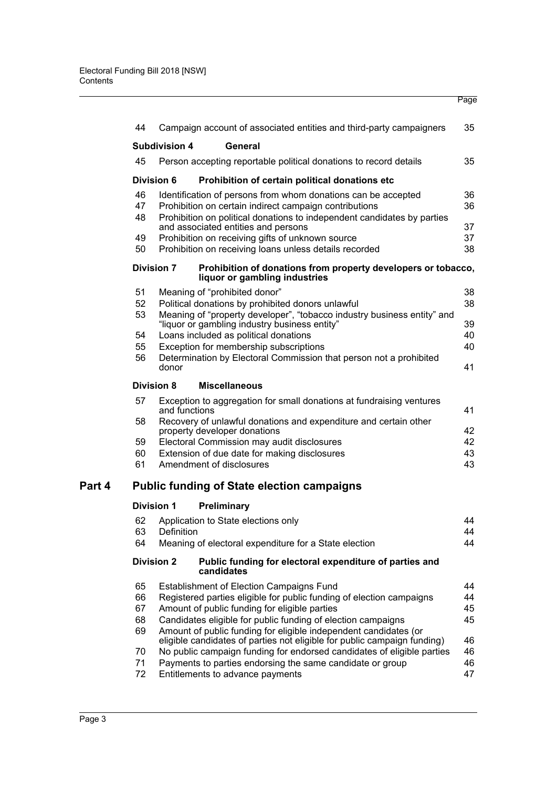| 44       |                                                                        | Campaign account of associated entities and third-party campaigners                              | 35       |  |  |
|----------|------------------------------------------------------------------------|--------------------------------------------------------------------------------------------------|----------|--|--|
|          | <b>Subdivision 4</b>                                                   | General                                                                                          |          |  |  |
| 45       |                                                                        | Person accepting reportable political donations to record details                                | 35       |  |  |
|          | Division 6                                                             | Prohibition of certain political donations etc                                                   |          |  |  |
| 46       |                                                                        | Identification of persons from whom donations can be accepted                                    | 36       |  |  |
| 47       |                                                                        | Prohibition on certain indirect campaign contributions                                           | 36       |  |  |
| 48       |                                                                        | Prohibition on political donations to independent candidates by parties                          |          |  |  |
| 49       |                                                                        | and associated entities and persons<br>Prohibition on receiving gifts of unknown source          | 37<br>37 |  |  |
| 50       |                                                                        | Prohibition on receiving loans unless details recorded                                           | 38       |  |  |
|          | <b>Division 7</b>                                                      | Prohibition of donations from property developers or tobacco,                                    |          |  |  |
|          |                                                                        | liquor or gambling industries                                                                    |          |  |  |
| 51       |                                                                        | Meaning of "prohibited donor"                                                                    | 38       |  |  |
| 52       |                                                                        | Political donations by prohibited donors unlawful                                                | 38       |  |  |
| 53       |                                                                        | Meaning of "property developer", "tobacco industry business entity" and                          |          |  |  |
|          |                                                                        | "liquor or gambling industry business entity"                                                    | 39       |  |  |
| 54<br>55 |                                                                        | Loans included as political donations<br>Exception for membership subscriptions                  | 40<br>40 |  |  |
| 56       |                                                                        | Determination by Electoral Commission that person not a prohibited                               |          |  |  |
|          | donor                                                                  |                                                                                                  | 41       |  |  |
|          | <b>Division 8</b>                                                      | <b>Miscellaneous</b>                                                                             |          |  |  |
| 57       | and functions                                                          | Exception to aggregation for small donations at fundraising ventures                             | 41       |  |  |
| 58       |                                                                        | Recovery of unlawful donations and expenditure and certain other<br>property developer donations | 42       |  |  |
| 59       |                                                                        | Electoral Commission may audit disclosures                                                       | 42       |  |  |
| 60       |                                                                        | Extension of due date for making disclosures                                                     | 43       |  |  |
| 61       |                                                                        | Amendment of disclosures                                                                         | 43       |  |  |
|          |                                                                        | <b>Public funding of State election campaigns</b>                                                |          |  |  |
|          | <b>Division 1</b>                                                      | Preliminary                                                                                      |          |  |  |
| 62       |                                                                        | Application to State elections only                                                              | 44       |  |  |
| 63       | Definition                                                             |                                                                                                  | 44       |  |  |
| 64       |                                                                        | Meaning of electoral expenditure for a State election                                            | 44       |  |  |
|          | <b>Division 2</b>                                                      | Public funding for electoral expenditure of parties and<br>candidates                            |          |  |  |
| 65       |                                                                        | Establishment of Election Campaigns Fund                                                         | 44       |  |  |
| 66       | Registered parties eligible for public funding of election campaigns   |                                                                                                  | 44       |  |  |
| 67       | Amount of public funding for eligible parties                          |                                                                                                  | 45       |  |  |
| 68       | Candidates eligible for public funding of election campaigns<br>45     |                                                                                                  |          |  |  |
| 69       |                                                                        | Amount of public funding for eligible independent candidates (or                                 |          |  |  |
|          |                                                                        | eligible candidates of parties not eligible for public campaign funding)                         | 46<br>46 |  |  |
| 70       | No public campaign funding for endorsed candidates of eligible parties |                                                                                                  |          |  |  |
| 71       |                                                                        | Payments to parties endorsing the same candidate or group                                        | 46<br>47 |  |  |
| 72       |                                                                        | Entitlements to advance payments                                                                 |          |  |  |

**Part 4**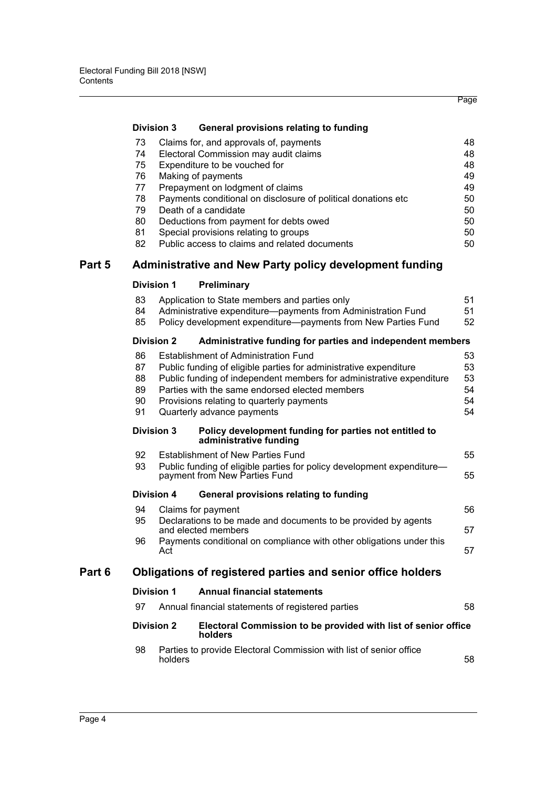# **[Division 3 General provisions relating to funding](#page-54-0)**

| 73 | Claims for, and approvals of, payments                        | 48 |
|----|---------------------------------------------------------------|----|
| 74 | Electoral Commission may audit claims                         | 48 |
| 75 | Expenditure to be vouched for                                 | 48 |
| 76 | Making of payments                                            | 49 |
| 77 | Prepayment on lodgment of claims                              | 49 |
| 78 | Payments conditional on disclosure of political donations etc | 50 |
| 79 | Death of a candidate                                          | 50 |
| 80 | Deductions from payment for debts owed                        | 50 |
| 81 | Special provisions relating to groups                         | 50 |
| 82 | Public access to claims and related documents                 | 50 |

# **[Part 5 Administrative and New Party policy development funding](#page-57-0)**

# **[Division 1 Preliminary](#page-57-1)**

|        | 83                                                          |                                                                            | Application to State members and parties only                                                           | 51 |  |  |  |
|--------|-------------------------------------------------------------|----------------------------------------------------------------------------|---------------------------------------------------------------------------------------------------------|----|--|--|--|
|        | 84                                                          |                                                                            | Administrative expenditure-payments from Administration Fund                                            | 51 |  |  |  |
|        | 85                                                          |                                                                            | Policy development expenditure-payments from New Parties Fund                                           | 52 |  |  |  |
|        |                                                             | <b>Division 2</b>                                                          | Administrative funding for parties and independent members                                              |    |  |  |  |
|        | 86                                                          |                                                                            | Establishment of Administration Fund                                                                    | 53 |  |  |  |
|        | 87                                                          |                                                                            | Public funding of eligible parties for administrative expenditure                                       | 53 |  |  |  |
|        | 88                                                          | 53<br>Public funding of independent members for administrative expenditure |                                                                                                         |    |  |  |  |
|        | 89                                                          |                                                                            | Parties with the same endorsed elected members                                                          | 54 |  |  |  |
|        | 90                                                          |                                                                            | Provisions relating to quarterly payments                                                               | 54 |  |  |  |
|        | 91                                                          |                                                                            | Quarterly advance payments                                                                              | 54 |  |  |  |
|        |                                                             | <b>Division 3</b>                                                          | Policy development funding for parties not entitled to<br>administrative funding                        |    |  |  |  |
|        | 92                                                          |                                                                            | Establishment of New Parties Fund                                                                       | 55 |  |  |  |
|        | 93                                                          |                                                                            | Public funding of eligible parties for policy development expenditure-<br>payment from New Parties Fund |    |  |  |  |
|        |                                                             | Division 4                                                                 | General provisions relating to funding                                                                  |    |  |  |  |
|        | 94                                                          |                                                                            | Claims for payment                                                                                      | 56 |  |  |  |
|        | 95                                                          |                                                                            | Declarations to be made and documents to be provided by agents<br>and elected members                   | 57 |  |  |  |
|        | 96                                                          | Act                                                                        | Payments conditional on compliance with other obligations under this                                    | 57 |  |  |  |
| Part 6 | Obligations of registered parties and senior office holders |                                                                            |                                                                                                         |    |  |  |  |
|        | Division 1                                                  |                                                                            | <b>Annual financial statements</b>                                                                      |    |  |  |  |
|        | 97                                                          |                                                                            | Annual financial statements of registered parties                                                       | 58 |  |  |  |
|        | <b>Division 2</b>                                           |                                                                            | Electoral Commission to be provided with list of senior office<br>holders                               |    |  |  |  |
|        | 98                                                          | holders                                                                    | Parties to provide Electoral Commission with list of senior office                                      | 58 |  |  |  |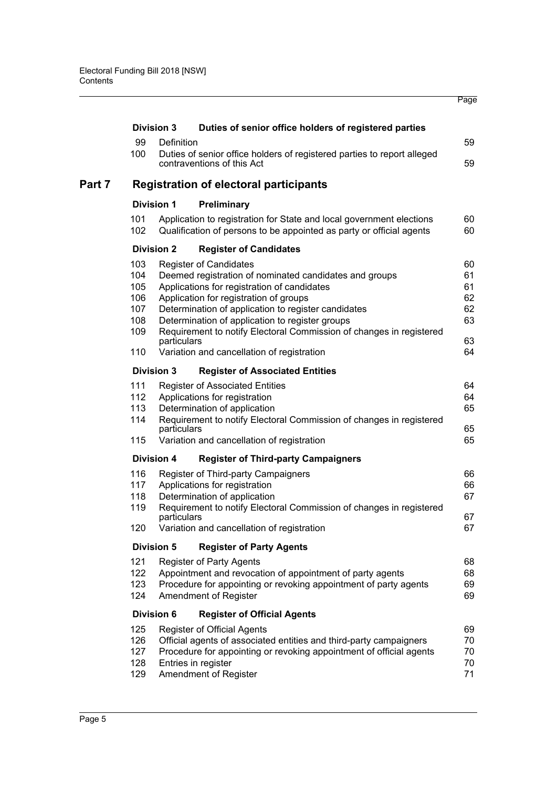|        |                                                                            | <b>Division 3</b>            | Duties of senior office holders of registered parties                                                                                        |          |  |  |  |
|--------|----------------------------------------------------------------------------|------------------------------|----------------------------------------------------------------------------------------------------------------------------------------------|----------|--|--|--|
|        | 99                                                                         | Definition                   |                                                                                                                                              | 59       |  |  |  |
|        | 100                                                                        |                              | Duties of senior office holders of registered parties to report alleged<br>contraventions of this Act                                        | 59       |  |  |  |
| Part 7 | <b>Registration of electoral participants</b>                              |                              |                                                                                                                                              |          |  |  |  |
|        |                                                                            | <b>Division 1</b>            | Preliminary                                                                                                                                  |          |  |  |  |
|        | 101<br>102                                                                 |                              | Application to registration for State and local government elections<br>Qualification of persons to be appointed as party or official agents | 60<br>60 |  |  |  |
|        |                                                                            | <b>Division 2</b>            | <b>Register of Candidates</b>                                                                                                                |          |  |  |  |
|        | 103                                                                        |                              | <b>Register of Candidates</b>                                                                                                                | 60       |  |  |  |
|        | 104                                                                        |                              | Deemed registration of nominated candidates and groups                                                                                       | 61       |  |  |  |
|        | 105                                                                        |                              | Applications for registration of candidates                                                                                                  | 61       |  |  |  |
|        | 106                                                                        |                              | Application for registration of groups                                                                                                       | 62       |  |  |  |
|        | 107                                                                        |                              | Determination of application to register candidates                                                                                          | 62       |  |  |  |
|        | 108                                                                        |                              | Determination of application to register groups                                                                                              | 63       |  |  |  |
|        | 109                                                                        | particulars                  | Requirement to notify Electoral Commission of changes in registered                                                                          | 63       |  |  |  |
|        | 110                                                                        |                              | Variation and cancellation of registration                                                                                                   | 64       |  |  |  |
|        |                                                                            | <b>Division 3</b>            | <b>Register of Associated Entities</b>                                                                                                       |          |  |  |  |
|        | 111                                                                        |                              | <b>Register of Associated Entities</b>                                                                                                       | 64       |  |  |  |
|        | 112                                                                        |                              | Applications for registration                                                                                                                | 64       |  |  |  |
|        | 113                                                                        |                              | Determination of application                                                                                                                 | 65       |  |  |  |
|        | 114                                                                        |                              | Requirement to notify Electoral Commission of changes in registered                                                                          |          |  |  |  |
|        | 115                                                                        | particulars                  | Variation and cancellation of registration                                                                                                   | 65<br>65 |  |  |  |
|        |                                                                            | <b>Division 4</b>            | <b>Register of Third-party Campaigners</b>                                                                                                   |          |  |  |  |
|        | 116                                                                        |                              | Register of Third-party Campaigners                                                                                                          | 66       |  |  |  |
|        | 117                                                                        |                              | Applications for registration                                                                                                                | 66       |  |  |  |
|        | 118                                                                        | Determination of application |                                                                                                                                              |          |  |  |  |
|        | Requirement to notify Electoral Commission of changes in registered<br>119 |                              |                                                                                                                                              |          |  |  |  |
|        |                                                                            | particulars                  |                                                                                                                                              | 67       |  |  |  |
|        | 120                                                                        |                              | Variation and cancellation of registration                                                                                                   | 67       |  |  |  |
|        |                                                                            | <b>Division 5</b>            | <b>Register of Party Agents</b>                                                                                                              |          |  |  |  |
|        | 121                                                                        |                              | <b>Register of Party Agents</b>                                                                                                              | 68       |  |  |  |
|        | 122                                                                        |                              | Appointment and revocation of appointment of party agents                                                                                    | 68       |  |  |  |
|        | 123                                                                        |                              | Procedure for appointing or revoking appointment of party agents                                                                             | 69       |  |  |  |
|        | 124                                                                        |                              | Amendment of Register                                                                                                                        | 69       |  |  |  |
|        |                                                                            | <b>Division 6</b>            | <b>Register of Official Agents</b>                                                                                                           |          |  |  |  |
|        | 125                                                                        |                              | Register of Official Agents                                                                                                                  | 69       |  |  |  |
|        | 126                                                                        |                              | Official agents of associated entities and third-party campaigners                                                                           | 70       |  |  |  |
|        | 127                                                                        |                              | Procedure for appointing or revoking appointment of official agents                                                                          | 70       |  |  |  |
|        | 128                                                                        |                              | Entries in register                                                                                                                          | 70       |  |  |  |
|        | 129                                                                        |                              | Amendment of Register                                                                                                                        | 71       |  |  |  |
|        |                                                                            |                              |                                                                                                                                              |          |  |  |  |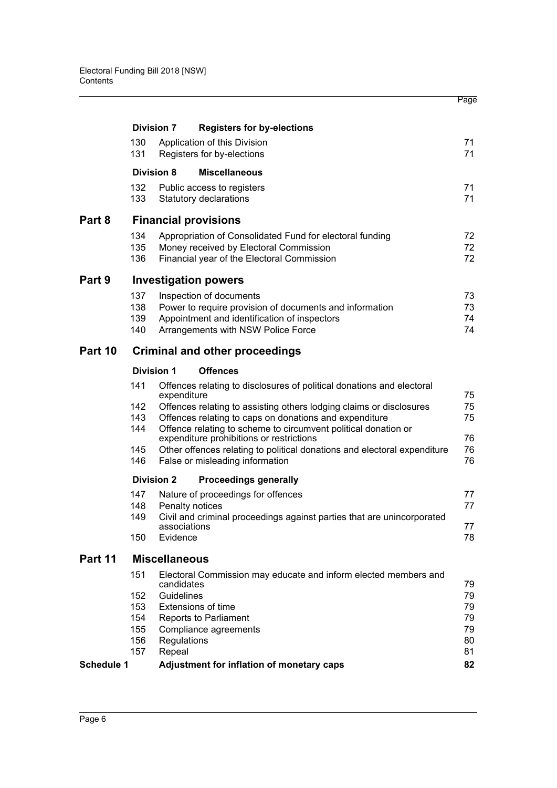|                   |                                       |                      |                                                                                                                      | Page     |  |  |
|-------------------|---------------------------------------|----------------------|----------------------------------------------------------------------------------------------------------------------|----------|--|--|
|                   |                                       | <b>Division 7</b>    | <b>Registers for by-elections</b>                                                                                    |          |  |  |
|                   | 130<br>131                            |                      | Application of this Division<br>Registers for by-elections                                                           | 71<br>71 |  |  |
|                   |                                       | <b>Division 8</b>    | <b>Miscellaneous</b>                                                                                                 |          |  |  |
|                   | 132                                   |                      | Public access to registers                                                                                           | 71       |  |  |
|                   | 133                                   |                      | <b>Statutory declarations</b>                                                                                        | 71       |  |  |
| Part 8            |                                       |                      | <b>Financial provisions</b>                                                                                          |          |  |  |
|                   | 134                                   |                      | Appropriation of Consolidated Fund for electoral funding                                                             | 72       |  |  |
|                   | 135                                   |                      | Money received by Electoral Commission                                                                               | 72       |  |  |
|                   | 136                                   |                      | Financial year of the Electoral Commission                                                                           | 72       |  |  |
| Part 9            |                                       |                      | <b>Investigation powers</b>                                                                                          |          |  |  |
|                   | 137                                   |                      | Inspection of documents                                                                                              | 73       |  |  |
|                   | 138                                   |                      | Power to require provision of documents and information                                                              | 73       |  |  |
|                   | 139                                   |                      | Appointment and identification of inspectors                                                                         | 74       |  |  |
|                   | 140                                   |                      | Arrangements with NSW Police Force                                                                                   | 74       |  |  |
| Part 10           | <b>Criminal and other proceedings</b> |                      |                                                                                                                      |          |  |  |
|                   |                                       | <b>Division 1</b>    | <b>Offences</b>                                                                                                      |          |  |  |
|                   | 141                                   | expenditure          | Offences relating to disclosures of political donations and electoral                                                | 75       |  |  |
|                   | 142                                   |                      | Offences relating to assisting others lodging claims or disclosures                                                  | 75       |  |  |
|                   | 143                                   |                      | Offences relating to caps on donations and expenditure                                                               | 75       |  |  |
|                   | 144                                   |                      | Offence relating to scheme to circumvent political donation or                                                       | 76       |  |  |
|                   | 145                                   |                      | expenditure prohibitions or restrictions<br>Other offences relating to political donations and electoral expenditure | 76       |  |  |
|                   | 146                                   |                      | False or misleading information                                                                                      | 76       |  |  |
|                   |                                       | <b>Division 2</b>    | <b>Proceedings generally</b>                                                                                         |          |  |  |
|                   | 147                                   |                      | Nature of proceedings for offences                                                                                   | 77       |  |  |
|                   | 148                                   |                      | Penalty notices                                                                                                      | 77       |  |  |
|                   | 149                                   | associations         | Civil and criminal proceedings against parties that are unincorporated                                               |          |  |  |
|                   | 150                                   | Evidence             |                                                                                                                      | 77<br>78 |  |  |
| Part 11           |                                       | <b>Miscellaneous</b> |                                                                                                                      |          |  |  |
|                   | 151                                   | candidates           | Electoral Commission may educate and inform elected members and                                                      | 79       |  |  |
|                   | 152                                   | Guidelines           |                                                                                                                      | 79       |  |  |
|                   | 153                                   |                      | <b>Extensions of time</b>                                                                                            | 79       |  |  |
|                   | 154                                   |                      | Reports to Parliament                                                                                                | 79       |  |  |
|                   | 155                                   |                      | Compliance agreements                                                                                                | 79       |  |  |
|                   | 156                                   | Regulations          |                                                                                                                      | 80<br>81 |  |  |
|                   | 157<br>Repeal                         |                      |                                                                                                                      |          |  |  |
| <b>Schedule 1</b> |                                       |                      | Adjustment for inflation of monetary caps                                                                            | 82       |  |  |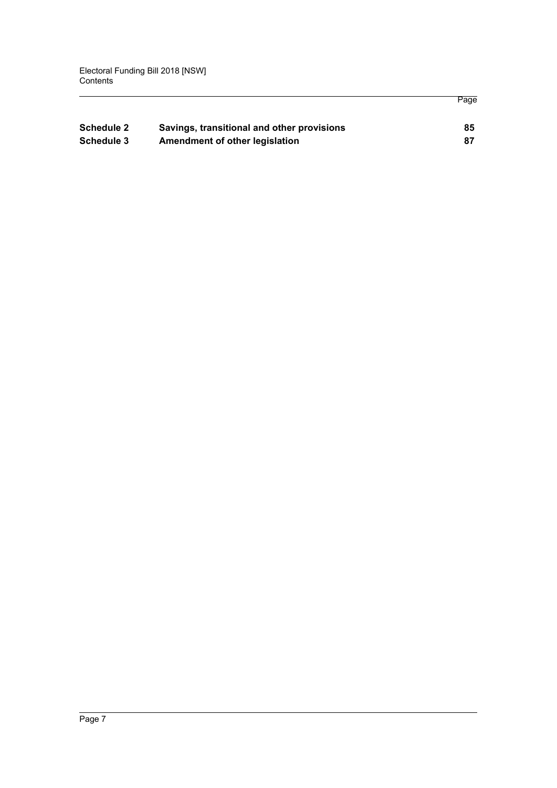| <b>Schedule 2</b> | Savings, transitional and other provisions | 85 |
|-------------------|--------------------------------------------|----|
|                   |                                            |    |
| Schedule 3        | Amendment of other legislation             | 87 |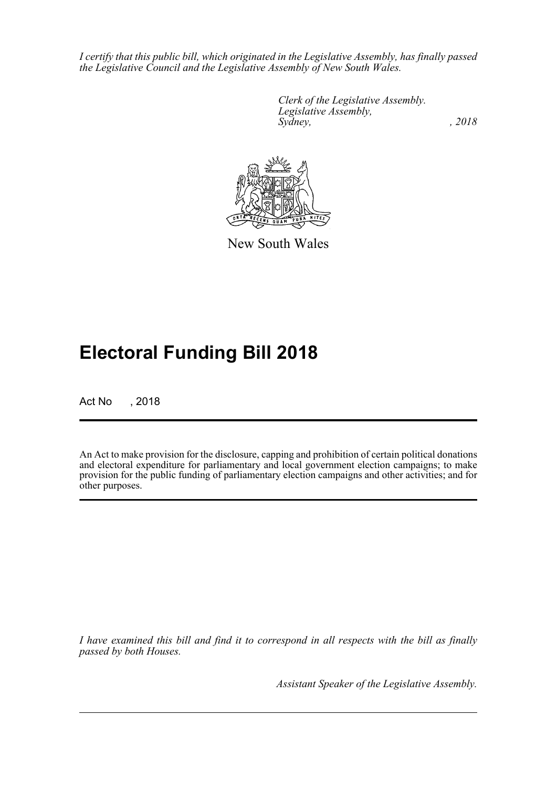*I certify that this public bill, which originated in the Legislative Assembly, has finally passed the Legislative Council and the Legislative Assembly of New South Wales.*

> *Clerk of the Legislative Assembly. Legislative Assembly, Sydney, , 2018*



New South Wales

# **Electoral Funding Bill 2018**

Act No , 2018

An Act to make provision for the disclosure, capping and prohibition of certain political donations and electoral expenditure for parliamentary and local government election campaigns; to make provision for the public funding of parliamentary election campaigns and other activities; and for other purposes.

*I have examined this bill and find it to correspond in all respects with the bill as finally passed by both Houses.*

*Assistant Speaker of the Legislative Assembly.*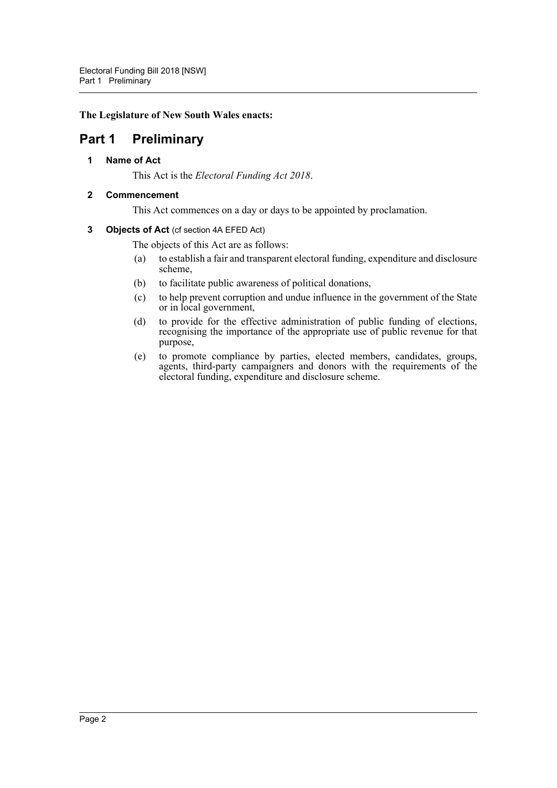# **The Legislature of New South Wales enacts:**

# <span id="page-8-1"></span><span id="page-8-0"></span>**Part 1 Preliminary**

**1 Name of Act**

This Act is the *Electoral Funding Act 2018*.

# <span id="page-8-2"></span>**2 Commencement**

This Act commences on a day or days to be appointed by proclamation.

# <span id="page-8-3"></span>**3 Objects of Act** (cf section 4A EFED Act)

The objects of this Act are as follows:

- (a) to establish a fair and transparent electoral funding, expenditure and disclosure scheme,
- (b) to facilitate public awareness of political donations,
- (c) to help prevent corruption and undue influence in the government of the State or in local government,
- (d) to provide for the effective administration of public funding of elections, recognising the importance of the appropriate use of public revenue for that purpose,
- (e) to promote compliance by parties, elected members, candidates, groups, agents, third-party campaigners and donors with the requirements of the electoral funding, expenditure and disclosure scheme.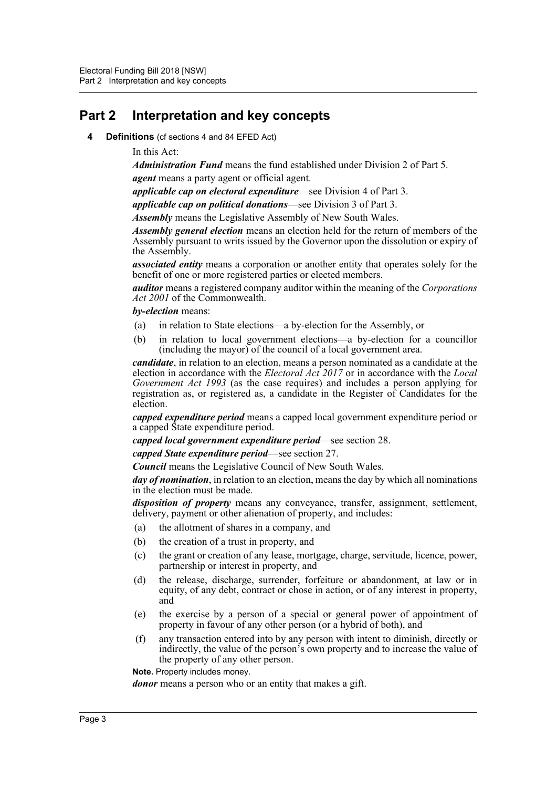# <span id="page-9-1"></span><span id="page-9-0"></span>**Part 2 Interpretation and key concepts**

- **4 Definitions** (cf sections 4 and 84 EFED Act)
	- In this Act:

*Administration Fund* means the fund established under Division 2 of Part 5.

*agent* means a party agent or official agent.

*applicable cap on electoral expenditure*—see Division 4 of Part 3.

*applicable cap on political donations*—see Division 3 of Part 3.

*Assembly* means the Legislative Assembly of New South Wales.

*Assembly general election* means an election held for the return of members of the Assembly pursuant to writs issued by the Governor upon the dissolution or expiry of the Assembly.

*associated entity* means a corporation or another entity that operates solely for the benefit of one or more registered parties or elected members.

*auditor* means a registered company auditor within the meaning of the *Corporations Act 2001* of the Commonwealth.

*by-election* means:

- (a) in relation to State elections—a by-election for the Assembly, or
- (b) in relation to local government elections—a by-election for a councillor (including the mayor) of the council of a local government area.

*candidate*, in relation to an election, means a person nominated as a candidate at the election in accordance with the *Electoral Act 2017* or in accordance with the *Local Government Act 1993* (as the case requires) and includes a person applying for registration as, or registered as, a candidate in the Register of Candidates for the election.

*capped expenditure period* means a capped local government expenditure period or a capped State expenditure period.

*capped local government expenditure period*—see section 28.

*capped State expenditure period*—see section 27.

*Council* means the Legislative Council of New South Wales.

*day of nomination*, in relation to an election, means the day by which all nominations in the election must be made.

*disposition of property* means any conveyance, transfer, assignment, settlement, delivery, payment or other alienation of property, and includes:

- (a) the allotment of shares in a company, and
- (b) the creation of a trust in property, and
- (c) the grant or creation of any lease, mortgage, charge, servitude, licence, power, partnership or interest in property, and
- (d) the release, discharge, surrender, forfeiture or abandonment, at law or in equity, of any debt, contract or chose in action, or of any interest in property, and
- (e) the exercise by a person of a special or general power of appointment of property in favour of any other person (or a hybrid of both), and
- (f) any transaction entered into by any person with intent to diminish, directly or indirectly, the value of the person's own property and to increase the value of the property of any other person.

**Note.** Property includes money.

*donor* means a person who or an entity that makes a gift.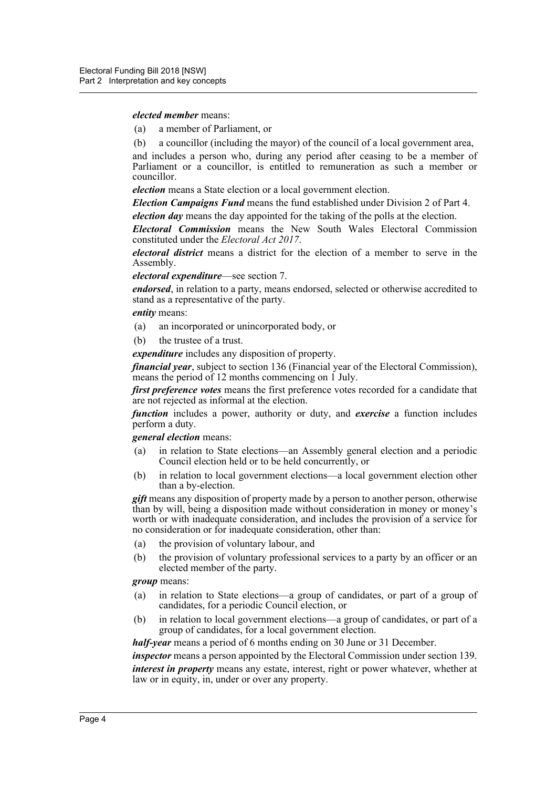*elected member* means:

- (a) a member of Parliament, or
- (b) a councillor (including the mayor) of the council of a local government area,

and includes a person who, during any period after ceasing to be a member of Parliament or a councillor, is entitled to remuneration as such a member or councillor.

*election* means a State election or a local government election.

*Election Campaigns Fund* means the fund established under Division 2 of Part 4. *election day* means the day appointed for the taking of the polls at the election.

*Electoral Commission* means the New South Wales Electoral Commission constituted under the *Electoral Act 2017*.

*electoral district* means a district for the election of a member to serve in the Assembly.

*electoral expenditure*—see section 7.

*endorsed*, in relation to a party, means endorsed, selected or otherwise accredited to stand as a representative of the party.

*entity* means:

- (a) an incorporated or unincorporated body, or
- (b) the trustee of a trust.

*expenditure* includes any disposition of property.

*financial year*, subject to section 136 (Financial year of the Electoral Commission), means the period of 12 months commencing on 1 July.

*first preference votes* means the first preference votes recorded for a candidate that are not rejected as informal at the election.

*function* includes a power, authority or duty, and *exercise* a function includes perform a duty.

#### *general election* means:

- (a) in relation to State elections—an Assembly general election and a periodic Council election held or to be held concurrently, or
- (b) in relation to local government elections—a local government election other than a by-election.

*gift* means any disposition of property made by a person to another person, otherwise than by will, being a disposition made without consideration in money or money's worth or with inadequate consideration, and includes the provision of a service for no consideration or for inadequate consideration, other than:

- (a) the provision of voluntary labour, and
- (b) the provision of voluntary professional services to a party by an officer or an elected member of the party.

# *group* means:

- (a) in relation to State elections—a group of candidates, or part of a group of candidates, for a periodic Council election, or
- (b) in relation to local government elections—a group of candidates, or part of a group of candidates, for a local government election.

*half-year* means a period of 6 months ending on 30 June or 31 December.

*inspector* means a person appointed by the Electoral Commission under section 139. *interest in property* means any estate, interest, right or power whatever, whether at law or in equity, in, under or over any property.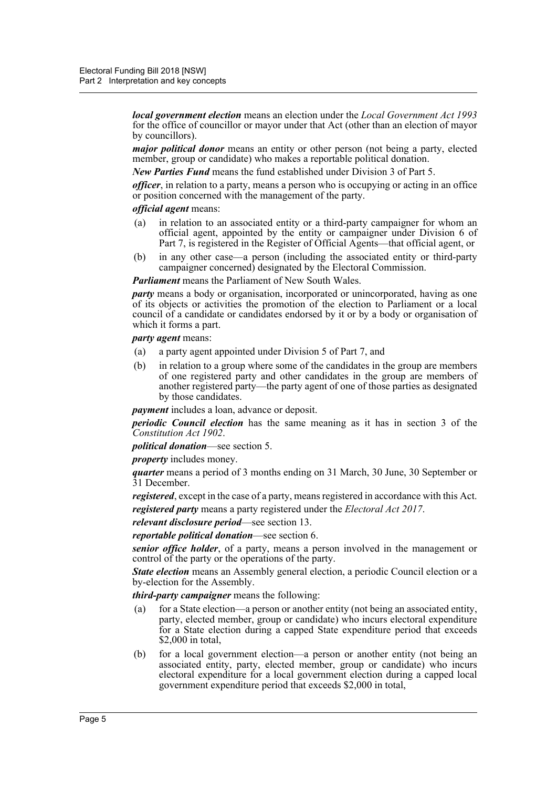*local government election* means an election under the *Local Government Act 1993* for the office of councillor or mayor under that Act (other than an election of mayor by councillors).

*major political donor* means an entity or other person (not being a party, elected member, group or candidate) who makes a reportable political donation.

*New Parties Fund* means the fund established under Division 3 of Part 5.

*officer*, in relation to a party, means a person who is occupying or acting in an office or position concerned with the management of the party.

#### *official agent* means:

- (a) in relation to an associated entity or a third-party campaigner for whom an official agent, appointed by the entity or campaigner under Division 6 of Part 7, is registered in the Register of Official Agents—that official agent, or
- (b) in any other case—a person (including the associated entity or third-party campaigner concerned) designated by the Electoral Commission.

*Parliament* means the Parliament of New South Wales.

*party* means a body or organisation, incorporated or unincorporated, having as one of its objects or activities the promotion of the election to Parliament or a local council of a candidate or candidates endorsed by it or by a body or organisation of which it forms a part.

*party agent* means:

- (a) a party agent appointed under Division 5 of Part 7, and
- (b) in relation to a group where some of the candidates in the group are members of one registered party and other candidates in the group are members of another registered party—the party agent of one of those parties as designated by those candidates.

*payment* includes a loan, advance or deposit.

*periodic Council election* has the same meaning as it has in section 3 of the *Constitution Act 1902*.

*political donation*—see section 5.

*property* includes money.

*quarter* means a period of 3 months ending on 31 March, 30 June, 30 September or 31 December.

*registered*, except in the case of a party, means registered in accordance with this Act.

*registered party* means a party registered under the *Electoral Act 2017*.

*relevant disclosure period*—see section 13.

*reportable political donation*—see section 6.

*senior office holder*, of a party, means a person involved in the management or control of the party or the operations of the party.

*State election* means an Assembly general election, a periodic Council election or a by-election for the Assembly.

*third-party campaigner* means the following:

- (a) for a State election—a person or another entity (not being an associated entity, party, elected member, group or candidate) who incurs electoral expenditure for a State election during a capped State expenditure period that exceeds \$2,000 in total,
- (b) for a local government election—a person or another entity (not being an associated entity, party, elected member, group or candidate) who incurs electoral expenditure for a local government election during a capped local government expenditure period that exceeds \$2,000 in total,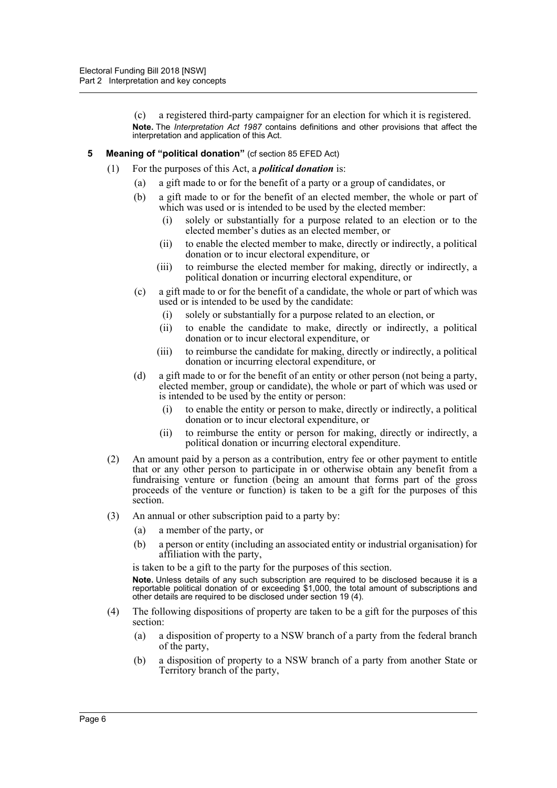(c) a registered third-party campaigner for an election for which it is registered. **Note.** The *Interpretation Act 1987* contains definitions and other provisions that affect the interpretation and application of this Act.

- <span id="page-12-0"></span>**5** Meaning of "political donation" (cf section 85 EFED Act)
	- (1) For the purposes of this Act, a *political donation* is:
		- (a) a gift made to or for the benefit of a party or a group of candidates, or
		- (b) a gift made to or for the benefit of an elected member, the whole or part of which was used or is intended to be used by the elected member:
			- (i) solely or substantially for a purpose related to an election or to the elected member's duties as an elected member, or
			- (ii) to enable the elected member to make, directly or indirectly, a political donation or to incur electoral expenditure, or
			- (iii) to reimburse the elected member for making, directly or indirectly, a political donation or incurring electoral expenditure, or
		- (c) a gift made to or for the benefit of a candidate, the whole or part of which was used or is intended to be used by the candidate:
			- (i) solely or substantially for a purpose related to an election, or
			- (ii) to enable the candidate to make, directly or indirectly, a political donation or to incur electoral expenditure, or
			- (iii) to reimburse the candidate for making, directly or indirectly, a political donation or incurring electoral expenditure, or
		- (d) a gift made to or for the benefit of an entity or other person (not being a party, elected member, group or candidate), the whole or part of which was used or is intended to be used by the entity or person:
			- (i) to enable the entity or person to make, directly or indirectly, a political donation or to incur electoral expenditure, or
			- (ii) to reimburse the entity or person for making, directly or indirectly, a political donation or incurring electoral expenditure.
	- (2) An amount paid by a person as a contribution, entry fee or other payment to entitle that or any other person to participate in or otherwise obtain any benefit from a fundraising venture or function (being an amount that forms part of the gross proceeds of the venture or function) is taken to be a gift for the purposes of this section.
	- (3) An annual or other subscription paid to a party by:
		- (a) a member of the party, or
		- (b) a person or entity (including an associated entity or industrial organisation) for affiliation with the party,

is taken to be a gift to the party for the purposes of this section.

**Note.** Unless details of any such subscription are required to be disclosed because it is a reportable political donation of or exceeding \$1,000, the total amount of subscriptions and other details are required to be disclosed under section 19 (4).

- (4) The following dispositions of property are taken to be a gift for the purposes of this section:
	- (a) a disposition of property to a NSW branch of a party from the federal branch of the party,
	- (b) a disposition of property to a NSW branch of a party from another State or Territory branch of the party,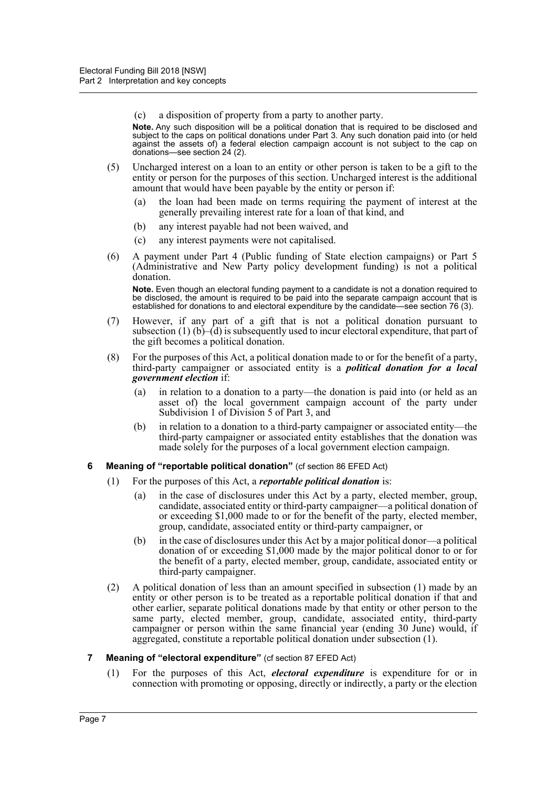(c) a disposition of property from a party to another party.

**Note.** Any such disposition will be a political donation that is required to be disclosed and subject to the caps on political donations under Part 3. Any such donation paid into (or held against the assets of) a federal election campaign account is not subject to the cap on donations—see section 24 (2).

- (5) Uncharged interest on a loan to an entity or other person is taken to be a gift to the entity or person for the purposes of this section. Uncharged interest is the additional amount that would have been payable by the entity or person if:
	- (a) the loan had been made on terms requiring the payment of interest at the generally prevailing interest rate for a loan of that kind, and
	- (b) any interest payable had not been waived, and
	- (c) any interest payments were not capitalised.
- (6) A payment under Part 4 (Public funding of State election campaigns) or Part 5 (Administrative and New Party policy development funding) is not a political donation.

**Note.** Even though an electoral funding payment to a candidate is not a donation required to be disclosed, the amount is required to be paid into the separate campaign account that is established for donations to and electoral expenditure by the candidate—see section 76 (3).

- (7) However, if any part of a gift that is not a political donation pursuant to subsection (1) (b)–(d) is subsequently used to incur electoral expenditure, that part of the gift becomes a political donation.
- (8) For the purposes of this Act, a political donation made to or for the benefit of a party, third-party campaigner or associated entity is a *political donation for a local government election* if:
	- (a) in relation to a donation to a party—the donation is paid into (or held as an asset of) the local government campaign account of the party under Subdivision 1 of Division 5 of Part 3, and
	- (b) in relation to a donation to a third-party campaigner or associated entity—the third-party campaigner or associated entity establishes that the donation was made solely for the purposes of a local government election campaign.
- <span id="page-13-0"></span>**6 Meaning of "reportable political donation"** (cf section 86 EFED Act)
	- (1) For the purposes of this Act, a *reportable political donation* is:
		- (a) in the case of disclosures under this Act by a party, elected member, group, candidate, associated entity or third-party campaigner—a political donation of or exceeding \$1,000 made to or for the benefit of the party, elected member, group, candidate, associated entity or third-party campaigner, or
		- (b) in the case of disclosures under this Act by a major political donor—a political donation of or exceeding \$1,000 made by the major political donor to or for the benefit of a party, elected member, group, candidate, associated entity or third-party campaigner.
	- (2) A political donation of less than an amount specified in subsection (1) made by an entity or other person is to be treated as a reportable political donation if that and other earlier, separate political donations made by that entity or other person to the same party, elected member, group, candidate, associated entity, third-party campaigner or person within the same financial year (ending 30 June) would, if aggregated, constitute a reportable political donation under subsection (1).
- <span id="page-13-1"></span>**7 Meaning of "electoral expenditure"** (cf section 87 EFED Act)
	- (1) For the purposes of this Act, *electoral expenditure* is expenditure for or in connection with promoting or opposing, directly or indirectly, a party or the election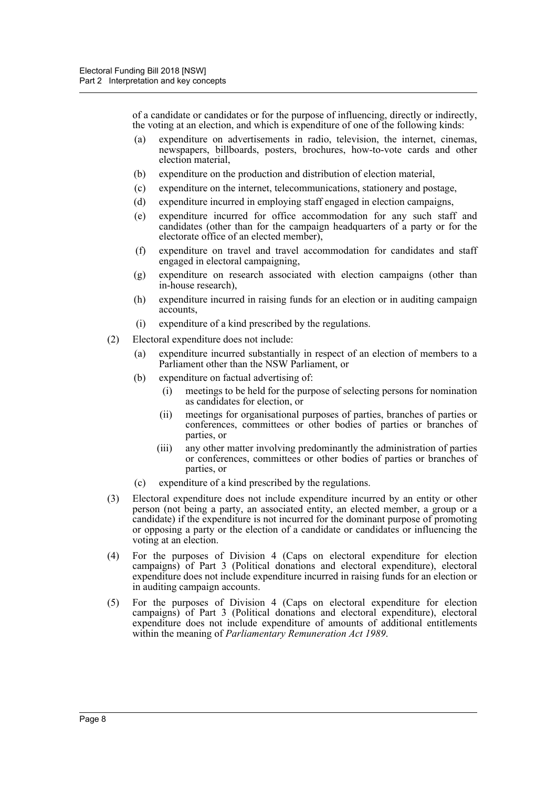of a candidate or candidates or for the purpose of influencing, directly or indirectly, the voting at an election, and which is expenditure of one of the following kinds:

- (a) expenditure on advertisements in radio, television, the internet, cinemas, newspapers, billboards, posters, brochures, how-to-vote cards and other election material,
- (b) expenditure on the production and distribution of election material,
- (c) expenditure on the internet, telecommunications, stationery and postage,
- (d) expenditure incurred in employing staff engaged in election campaigns,
- (e) expenditure incurred for office accommodation for any such staff and candidates (other than for the campaign headquarters of a party or for the electorate office of an elected member),
- (f) expenditure on travel and travel accommodation for candidates and staff engaged in electoral campaigning,
- (g) expenditure on research associated with election campaigns (other than in-house research),
- (h) expenditure incurred in raising funds for an election or in auditing campaign accounts,
- (i) expenditure of a kind prescribed by the regulations.
- (2) Electoral expenditure does not include:
	- (a) expenditure incurred substantially in respect of an election of members to a Parliament other than the NSW Parliament, or
	- (b) expenditure on factual advertising of:
		- (i) meetings to be held for the purpose of selecting persons for nomination as candidates for election, or
		- (ii) meetings for organisational purposes of parties, branches of parties or conferences, committees or other bodies of parties or branches of parties, or
		- (iii) any other matter involving predominantly the administration of parties or conferences, committees or other bodies of parties or branches of parties, or
	- (c) expenditure of a kind prescribed by the regulations.
- (3) Electoral expenditure does not include expenditure incurred by an entity or other person (not being a party, an associated entity, an elected member, a group or a candidate) if the expenditure is not incurred for the dominant purpose of promoting or opposing a party or the election of a candidate or candidates or influencing the voting at an election.
- (4) For the purposes of Division 4 (Caps on electoral expenditure for election campaigns) of Part 3 (Political donations and electoral expenditure), electoral expenditure does not include expenditure incurred in raising funds for an election or in auditing campaign accounts.
- (5) For the purposes of Division 4 (Caps on electoral expenditure for election campaigns) of Part 3 (Political donations and electoral expenditure), electoral expenditure does not include expenditure of amounts of additional entitlements within the meaning of *Parliamentary Remuneration Act 1989*.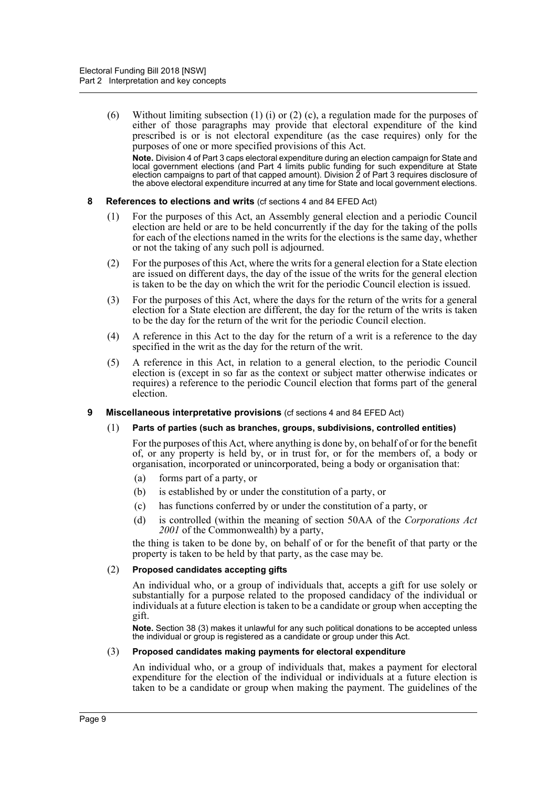(6) Without limiting subsection (1) (i) or (2) (c), a regulation made for the purposes of either of those paragraphs may provide that electoral expenditure of the kind prescribed is or is not electoral expenditure (as the case requires) only for the purposes of one or more specified provisions of this Act.

**Note.** Division 4 of Part 3 caps electoral expenditure during an election campaign for State and local government elections (and Part 4 limits public funding for such expenditure at State election campaigns to part of that capped amount). Division 2 of Part 3 requires disclosure of the above electoral expenditure incurred at any time for State and local government elections.

#### <span id="page-15-0"></span>**8 References to elections and writs** (cf sections 4 and 84 EFED Act)

- (1) For the purposes of this Act, an Assembly general election and a periodic Council election are held or are to be held concurrently if the day for the taking of the polls for each of the elections named in the writs for the elections is the same day, whether or not the taking of any such poll is adjourned.
- (2) For the purposes of this Act, where the writs for a general election for a State election are issued on different days, the day of the issue of the writs for the general election is taken to be the day on which the writ for the periodic Council election is issued.
- (3) For the purposes of this Act, where the days for the return of the writs for a general election for a State election are different, the day for the return of the writs is taken to be the day for the return of the writ for the periodic Council election.
- (4) A reference in this Act to the day for the return of a writ is a reference to the day specified in the writ as the day for the return of the writ.
- (5) A reference in this Act, in relation to a general election, to the periodic Council election is (except in so far as the context or subject matter otherwise indicates or requires) a reference to the periodic Council election that forms part of the general election.

# <span id="page-15-1"></span>**9 Miscellaneous interpretative provisions** (cf sections 4 and 84 EFED Act)

# (1) **Parts of parties (such as branches, groups, subdivisions, controlled entities)**

For the purposes of this Act, where anything is done by, on behalf of or for the benefit of, or any property is held by, or in trust for, or for the members of, a body or organisation, incorporated or unincorporated, being a body or organisation that:

- (a) forms part of a party, or
- (b) is established by or under the constitution of a party, or
- (c) has functions conferred by or under the constitution of a party, or
- (d) is controlled (within the meaning of section 50AA of the *Corporations Act 2001* of the Commonwealth) by a party,

the thing is taken to be done by, on behalf of or for the benefit of that party or the property is taken to be held by that party, as the case may be.

#### (2) **Proposed candidates accepting gifts**

An individual who, or a group of individuals that, accepts a gift for use solely or substantially for a purpose related to the proposed candidacy of the individual or individuals at a future election is taken to be a candidate or group when accepting the gift.

**Note.** Section 38 (3) makes it unlawful for any such political donations to be accepted unless the individual or group is registered as a candidate or group under this Act.

#### (3) **Proposed candidates making payments for electoral expenditure**

An individual who, or a group of individuals that, makes a payment for electoral expenditure for the election of the individual or individuals at a future election is taken to be a candidate or group when making the payment. The guidelines of the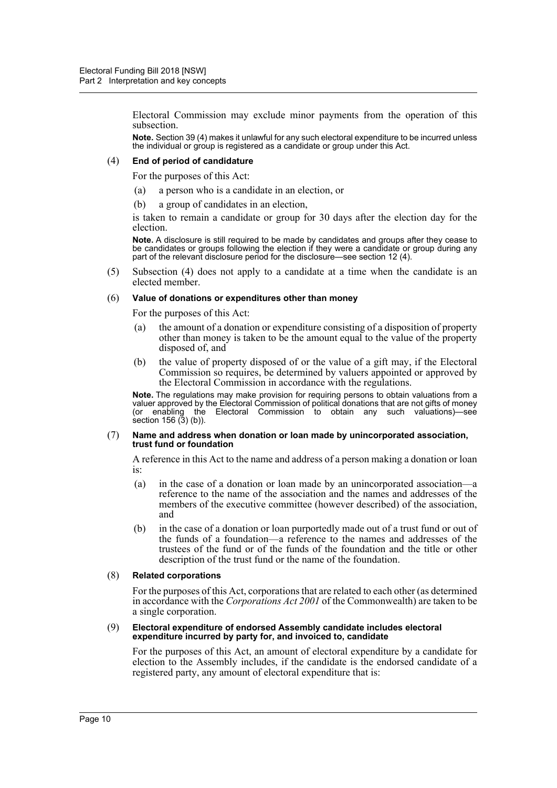Electoral Commission may exclude minor payments from the operation of this subsection.

**Note.** Section 39 (4) makes it unlawful for any such electoral expenditure to be incurred unless the individual or group is registered as a candidate or group under this Act.

#### (4) **End of period of candidature**

For the purposes of this Act:

- (a) a person who is a candidate in an election, or
- (b) a group of candidates in an election,

is taken to remain a candidate or group for 30 days after the election day for the election.

**Note.** A disclosure is still required to be made by candidates and groups after they cease to be candidates or groups following the election if they were a candidate or group during any part of the relevant disclosure period for the disclosure—see section 12 (4).

(5) Subsection (4) does not apply to a candidate at a time when the candidate is an elected member.

#### (6) **Value of donations or expenditures other than money**

For the purposes of this Act:

- (a) the amount of a donation or expenditure consisting of a disposition of property other than money is taken to be the amount equal to the value of the property disposed of, and
- (b) the value of property disposed of or the value of a gift may, if the Electoral Commission so requires, be determined by valuers appointed or approved by the Electoral Commission in accordance with the regulations.

**Note.** The regulations may make provision for requiring persons to obtain valuations from a valuer approved by the Electoral Commission of political donations that are not gifts of money (or enabling the Electoral Commission to obtain any such valuations)—see  $sec$  (3) (b)).

#### (7) **Name and address when donation or loan made by unincorporated association, trust fund or foundation**

A reference in this Act to the name and address of a person making a donation or loan is:

- (a) in the case of a donation or loan made by an unincorporated association—a reference to the name of the association and the names and addresses of the members of the executive committee (however described) of the association, and
- (b) in the case of a donation or loan purportedly made out of a trust fund or out of the funds of a foundation—a reference to the names and addresses of the trustees of the fund or of the funds of the foundation and the title or other description of the trust fund or the name of the foundation.

#### (8) **Related corporations**

For the purposes of this Act, corporations that are related to each other (as determined in accordance with the *Corporations Act 2001* of the Commonwealth) are taken to be a single corporation.

#### (9) **Electoral expenditure of endorsed Assembly candidate includes electoral expenditure incurred by party for, and invoiced to, candidate**

For the purposes of this Act, an amount of electoral expenditure by a candidate for election to the Assembly includes, if the candidate is the endorsed candidate of a registered party, any amount of electoral expenditure that is: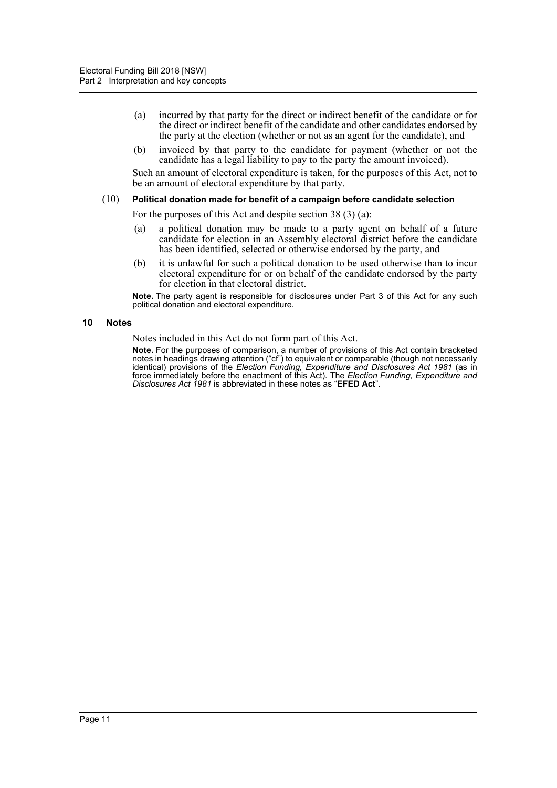- (a) incurred by that party for the direct or indirect benefit of the candidate or for the direct or indirect benefit of the candidate and other candidates endorsed by the party at the election (whether or not as an agent for the candidate), and
- (b) invoiced by that party to the candidate for payment (whether or not the candidate has a legal liability to pay to the party the amount invoiced).

Such an amount of electoral expenditure is taken, for the purposes of this Act, not to be an amount of electoral expenditure by that party.

#### (10) **Political donation made for benefit of a campaign before candidate selection**

For the purposes of this Act and despite section 38 (3) (a):

- (a) a political donation may be made to a party agent on behalf of a future candidate for election in an Assembly electoral district before the candidate has been identified, selected or otherwise endorsed by the party, and
- (b) it is unlawful for such a political donation to be used otherwise than to incur electoral expenditure for or on behalf of the candidate endorsed by the party for election in that electoral district.

**Note.** The party agent is responsible for disclosures under Part 3 of this Act for any such political donation and electoral expenditure.

#### <span id="page-17-0"></span>**10 Notes**

Notes included in this Act do not form part of this Act.

**Note.** For the purposes of comparison, a number of provisions of this Act contain bracketed notes in headings drawing attention ("cf") to equivalent or comparable (though not necessarily identical) provisions of the *Election Funding, Expenditure and Disclosures Act 1981* (as in force immediately before the enactment of this Act). The *Election Funding, Expenditure and Disclosures Act 1981* is abbreviated in these notes as "**EFED Act**".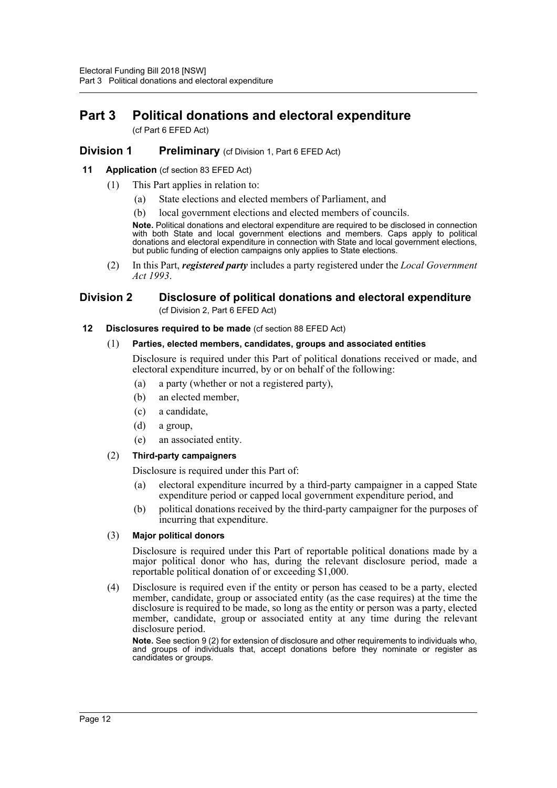# <span id="page-18-0"></span>**Part 3 Political donations and electoral expenditure**

(cf Part 6 EFED Act)

# <span id="page-18-1"></span>**Division 1 Preliminary** (cf Division 1, Part 6 EFED Act)

# <span id="page-18-2"></span>**11 Application** (cf section 83 EFED Act)

- (1) This Part applies in relation to:
	- (a) State elections and elected members of Parliament, and
	- (b) local government elections and elected members of councils.

**Note.** Political donations and electoral expenditure are required to be disclosed in connection with both State and local government elections and members. Caps apply to political donations and electoral expenditure in connection with State and local government elections, but public funding of election campaigns only applies to State elections.

(2) In this Part, *registered party* includes a party registered under the *Local Government Act 1993*.

# <span id="page-18-3"></span>**Division 2 Disclosure of political donations and electoral expenditure**  (cf Division 2, Part 6 EFED Act)

<span id="page-18-4"></span>**12 Disclosures required to be made** (cf section 88 EFED Act)

#### (1) **Parties, elected members, candidates, groups and associated entities**

Disclosure is required under this Part of political donations received or made, and electoral expenditure incurred, by or on behalf of the following:

- (a) a party (whether or not a registered party),
- (b) an elected member,
- (c) a candidate,
- (d) a group,
- (e) an associated entity.

# (2) **Third-party campaigners**

Disclosure is required under this Part of:

- (a) electoral expenditure incurred by a third-party campaigner in a capped State expenditure period or capped local government expenditure period, and
- (b) political donations received by the third-party campaigner for the purposes of incurring that expenditure.

# (3) **Major political donors**

Disclosure is required under this Part of reportable political donations made by a major political donor who has, during the relevant disclosure period, made a reportable political donation of or exceeding \$1,000.

(4) Disclosure is required even if the entity or person has ceased to be a party, elected member, candidate, group or associated entity (as the case requires) at the time the disclosure is required to be made, so long as the entity or person was a party, elected member, candidate, group or associated entity at any time during the relevant disclosure period.

**Note.** See section 9 (2) for extension of disclosure and other requirements to individuals who, and groups of individuals that, accept donations before they nominate or register as candidates or groups.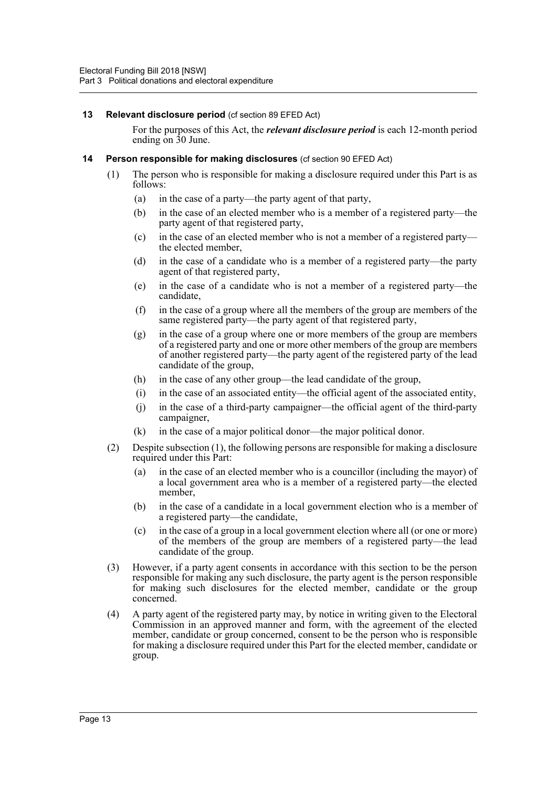# <span id="page-19-0"></span>**13 Relevant disclosure period** (cf section 89 EFED Act)

For the purposes of this Act, the *relevant disclosure period* is each 12-month period ending on  $30$  June.

# <span id="page-19-1"></span>**14 Person responsible for making disclosures** (cf section 90 EFED Act)

- (1) The person who is responsible for making a disclosure required under this Part is as follows:
	- (a) in the case of a party—the party agent of that party,
	- (b) in the case of an elected member who is a member of a registered party—the party agent of that registered party,
	- (c) in the case of an elected member who is not a member of a registered party the elected member,
	- (d) in the case of a candidate who is a member of a registered party—the party agent of that registered party,
	- (e) in the case of a candidate who is not a member of a registered party—the candidate,
	- (f) in the case of a group where all the members of the group are members of the same registered party—the party agent of that registered party,
	- (g) in the case of a group where one or more members of the group are members of a registered party and one or more other members of the group are members of another registered party—the party agent of the registered party of the lead candidate of the group,
	- (h) in the case of any other group—the lead candidate of the group,
	- (i) in the case of an associated entity—the official agent of the associated entity,
	- (j) in the case of a third-party campaigner—the official agent of the third-party campaigner,
	- (k) in the case of a major political donor—the major political donor.
- (2) Despite subsection (1), the following persons are responsible for making a disclosure required under this Part:
	- (a) in the case of an elected member who is a councillor (including the mayor) of a local government area who is a member of a registered party—the elected member,
	- (b) in the case of a candidate in a local government election who is a member of a registered party—the candidate,
	- (c) in the case of a group in a local government election where all (or one or more) of the members of the group are members of a registered party—the lead candidate of the group.
- (3) However, if a party agent consents in accordance with this section to be the person responsible for making any such disclosure, the party agent is the person responsible for making such disclosures for the elected member, candidate or the group concerned.
- (4) A party agent of the registered party may, by notice in writing given to the Electoral Commission in an approved manner and form, with the agreement of the elected member, candidate or group concerned, consent to be the person who is responsible for making a disclosure required under this Part for the elected member, candidate or group.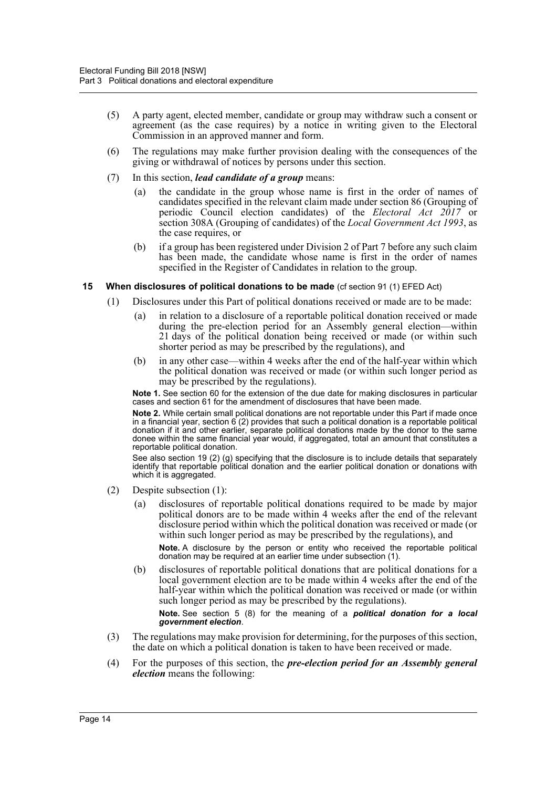- (5) A party agent, elected member, candidate or group may withdraw such a consent or agreement (as the case requires) by a notice in writing given to the Electoral Commission in an approved manner and form.
- (6) The regulations may make further provision dealing with the consequences of the giving or withdrawal of notices by persons under this section.
- (7) In this section, *lead candidate of a group* means:
	- (a) the candidate in the group whose name is first in the order of names of candidates specified in the relevant claim made under section 86 (Grouping of periodic Council election candidates) of the *Electoral Act 2017* or section 308A (Grouping of candidates) of the *Local Government Act 1993*, as the case requires, or
	- (b) if a group has been registered under Division 2 of Part 7 before any such claim has been made, the candidate whose name is first in the order of names specified in the Register of Candidates in relation to the group.

#### <span id="page-20-0"></span>**15 When disclosures of political donations to be made** (cf section 91 (1) EFED Act)

- (1) Disclosures under this Part of political donations received or made are to be made:
	- (a) in relation to a disclosure of a reportable political donation received or made during the pre-election period for an Assembly general election—within 21 days of the political donation being received or made (or within such shorter period as may be prescribed by the regulations), and
	- (b) in any other case—within 4 weeks after the end of the half-year within which the political donation was received or made (or within such longer period as may be prescribed by the regulations).

**Note 1.** See section 60 for the extension of the due date for making disclosures in particular cases and section 61 for the amendment of disclosures that have been made.

**Note 2.** While certain small political donations are not reportable under this Part if made once in a financial year, section 6 (2) provides that such a political donation is a reportable political donation if it and other earlier, separate political donations made by the donor to the same donee within the same financial year would, if aggregated, total an amount that constitutes a reportable political donation.

See also section 19 (2) (g) specifying that the disclosure is to include details that separately identify that reportable political donation and the earlier political donation or donations with which it is aggregated.

- (2) Despite subsection (1):
	- (a) disclosures of reportable political donations required to be made by major political donors are to be made within 4 weeks after the end of the relevant disclosure period within which the political donation was received or made (or within such longer period as may be prescribed by the regulations), and

**Note.** A disclosure by the person or entity who received the reportable political donation may be required at an earlier time under subsection (1).

(b) disclosures of reportable political donations that are political donations for a local government election are to be made within 4 weeks after the end of the half-year within which the political donation was received or made (or within such longer period as may be prescribed by the regulations).

**Note.** See section 5 (8) for the meaning of a *political donation for a local government election*.

- (3) The regulations may make provision for determining, for the purposes of this section, the date on which a political donation is taken to have been received or made.
- (4) For the purposes of this section, the *pre-election period for an Assembly general election* means the following: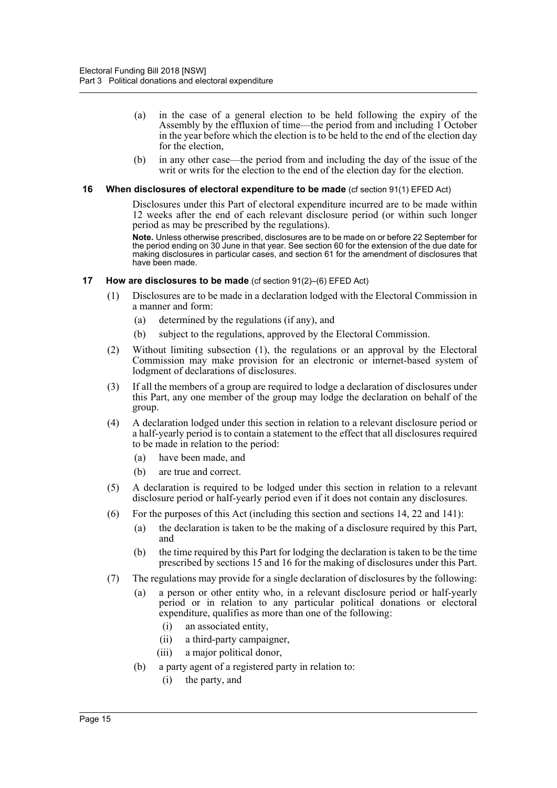- (a) in the case of a general election to be held following the expiry of the Assembly by the effluxion of time—the period from and including 1 October in the year before which the election is to be held to the end of the election day for the election,
- (b) in any other case—the period from and including the day of the issue of the writ or writs for the election to the end of the election day for the election.

#### <span id="page-21-0"></span>**16 When disclosures of electoral expenditure to be made** (cf section 91(1) EFED Act)

Disclosures under this Part of electoral expenditure incurred are to be made within 12 weeks after the end of each relevant disclosure period (or within such longer period as may be prescribed by the regulations).

**Note.** Unless otherwise prescribed, disclosures are to be made on or before 22 September for the period ending on 30 June in that year. See section 60 for the extension of the due date for making disclosures in particular cases, and section 61 for the amendment of disclosures that have been made.

#### <span id="page-21-1"></span>**17 How are disclosures to be made** (cf section 91(2)–(6) EFED Act)

- (1) Disclosures are to be made in a declaration lodged with the Electoral Commission in a manner and form:
	- (a) determined by the regulations (if any), and
	- (b) subject to the regulations, approved by the Electoral Commission.
- (2) Without limiting subsection (1), the regulations or an approval by the Electoral Commission may make provision for an electronic or internet-based system of lodgment of declarations of disclosures.
- (3) If all the members of a group are required to lodge a declaration of disclosures under this Part, any one member of the group may lodge the declaration on behalf of the group.
- (4) A declaration lodged under this section in relation to a relevant disclosure period or a half-yearly period is to contain a statement to the effect that all disclosures required to be made in relation to the period:
	- (a) have been made, and
	- (b) are true and correct.
- (5) A declaration is required to be lodged under this section in relation to a relevant disclosure period or half-yearly period even if it does not contain any disclosures.
- (6) For the purposes of this Act (including this section and sections 14, 22 and 141):
	- (a) the declaration is taken to be the making of a disclosure required by this Part, and
	- (b) the time required by this Part for lodging the declaration is taken to be the time prescribed by sections 15 and 16 for the making of disclosures under this Part.
- (7) The regulations may provide for a single declaration of disclosures by the following:
	- (a) a person or other entity who, in a relevant disclosure period or half-yearly period or in relation to any particular political donations or electoral expenditure, qualifies as more than one of the following:
		- (i) an associated entity,
		- (ii) a third-party campaigner,
		- (iii) a major political donor,
	- (b) a party agent of a registered party in relation to:
		- (i) the party, and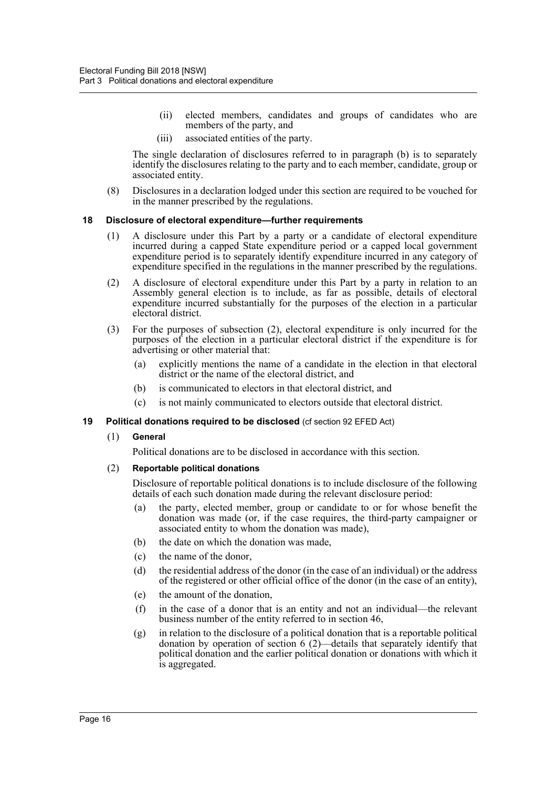- (ii) elected members, candidates and groups of candidates who are members of the party, and
- (iii) associated entities of the party.

The single declaration of disclosures referred to in paragraph (b) is to separately identify the disclosures relating to the party and to each member, candidate, group or associated entity.

(8) Disclosures in a declaration lodged under this section are required to be vouched for in the manner prescribed by the regulations.

# <span id="page-22-1"></span><span id="page-22-0"></span>**18 Disclosure of electoral expenditure—further requirements**

- (1) A disclosure under this Part by a party or a candidate of electoral expenditure incurred during a capped State expenditure period or a capped local government expenditure period is to separately identify expenditure incurred in any category of expenditure specified in the regulations in the manner prescribed by the regulations.
- (2) A disclosure of electoral expenditure under this Part by a party in relation to an Assembly general election is to include, as far as possible, details of electoral expenditure incurred substantially for the purposes of the election in a particular electoral district.
- (3) For the purposes of subsection (2), electoral expenditure is only incurred for the purposes of the election in a particular electoral district if the expenditure is for advertising or other material that:
	- (a) explicitly mentions the name of a candidate in the election in that electoral district or the name of the electoral district, and
	- (b) is communicated to electors in that electoral district, and
	- (c) is not mainly communicated to electors outside that electoral district.

# <span id="page-22-2"></span>**19 Political donations required to be disclosed** (cf section 92 EFED Act)

(1) **General**

Political donations are to be disclosed in accordance with this section.

(2) **Reportable political donations**

Disclosure of reportable political donations is to include disclosure of the following details of each such donation made during the relevant disclosure period:

- (a) the party, elected member, group or candidate to or for whose benefit the donation was made (or, if the case requires, the third-party campaigner or associated entity to whom the donation was made),
- (b) the date on which the donation was made,
- (c) the name of the donor,
- (d) the residential address of the donor (in the case of an individual) or the address of the registered or other official office of the donor (in the case of an entity),
- (e) the amount of the donation,
- (f) in the case of a donor that is an entity and not an individual—the relevant business number of the entity referred to in section 46,
- $(g)$  in relation to the disclosure of a political donation that is a reportable political donation by operation of section 6 (2)—details that separately identify that political donation and the earlier political donation or donations with which it is aggregated.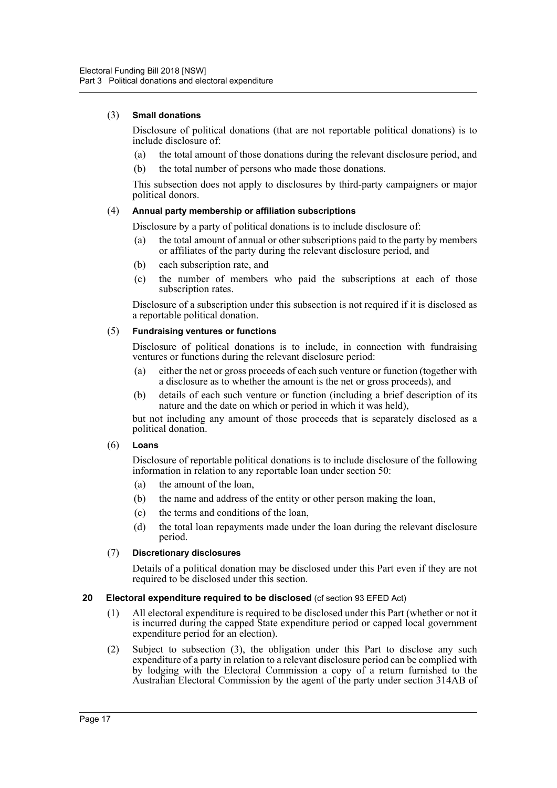# (3) **Small donations**

Disclosure of political donations (that are not reportable political donations) is to include disclosure of:

- (a) the total amount of those donations during the relevant disclosure period, and
- (b) the total number of persons who made those donations.

This subsection does not apply to disclosures by third-party campaigners or major political donors.

# (4) **Annual party membership or affiliation subscriptions**

Disclosure by a party of political donations is to include disclosure of:

- (a) the total amount of annual or other subscriptions paid to the party by members or affiliates of the party during the relevant disclosure period, and
- (b) each subscription rate, and
- (c) the number of members who paid the subscriptions at each of those subscription rates.

Disclosure of a subscription under this subsection is not required if it is disclosed as a reportable political donation.

# (5) **Fundraising ventures or functions**

Disclosure of political donations is to include, in connection with fundraising ventures or functions during the relevant disclosure period:

- (a) either the net or gross proceeds of each such venture or function (together with a disclosure as to whether the amount is the net or gross proceeds), and
- (b) details of each such venture or function (including a brief description of its nature and the date on which or period in which it was held),

but not including any amount of those proceeds that is separately disclosed as a political donation.

# (6) **Loans**

Disclosure of reportable political donations is to include disclosure of the following information in relation to any reportable loan under section 50:

- (a) the amount of the loan,
- (b) the name and address of the entity or other person making the loan,
- (c) the terms and conditions of the loan,
- (d) the total loan repayments made under the loan during the relevant disclosure period.

# (7) **Discretionary disclosures**

Details of a political donation may be disclosed under this Part even if they are not required to be disclosed under this section.

# <span id="page-23-0"></span>**20 Electoral expenditure required to be disclosed** (cf section 93 EFED Act)

- (1) All electoral expenditure is required to be disclosed under this Part (whether or not it is incurred during the capped State expenditure period or capped local government expenditure period for an election).
- (2) Subject to subsection (3), the obligation under this Part to disclose any such expenditure of a party in relation to a relevant disclosure period can be complied with by lodging with the Electoral Commission a copy of a return furnished to the Australian Electoral Commission by the agent of the party under section 314AB of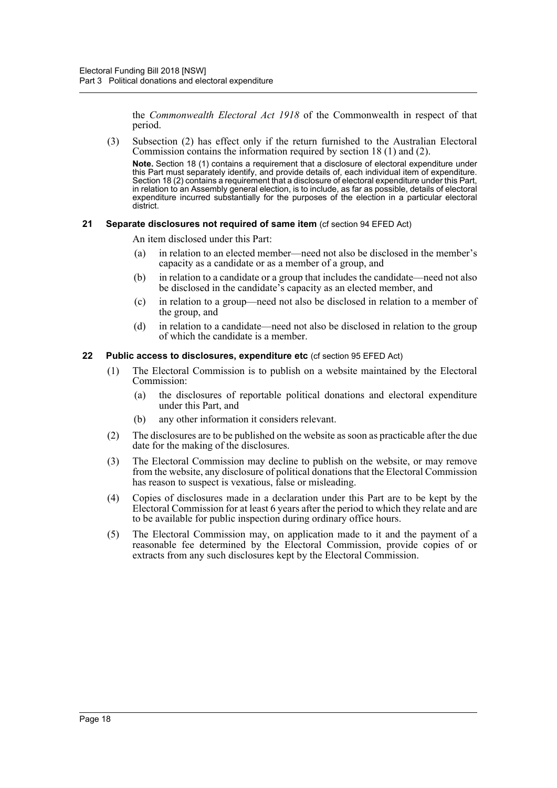the *Commonwealth Electoral Act 1918* of the Commonwealth in respect of that period.

(3) Subsection (2) has effect only if the return furnished to the Australian Electoral Commission contains the information required by section 18 (1) and (2).

**Note.** Section 18 (1) contains a requirement that a disclosure of electoral expenditure under this Part must separately identify, and provide details of, each individual item of expenditure. Section 18 (2) contains a requirement that a disclosure of electoral expenditure under this Part, in relation to an Assembly general election, is to include, as far as possible, details of electoral expenditure incurred substantially for the purposes of the election in a particular electoral district.

# <span id="page-24-0"></span>**21 Separate disclosures not required of same item** (cf section 94 EFED Act)

An item disclosed under this Part:

- (a) in relation to an elected member—need not also be disclosed in the member's capacity as a candidate or as a member of a group, and
- (b) in relation to a candidate or a group that includes the candidate—need not also be disclosed in the candidate's capacity as an elected member, and
- (c) in relation to a group—need not also be disclosed in relation to a member of the group, and
- (d) in relation to a candidate—need not also be disclosed in relation to the group of which the candidate is a member.

# <span id="page-24-1"></span>**22 Public access to disclosures, expenditure etc** (cf section 95 EFED Act)

- (1) The Electoral Commission is to publish on a website maintained by the Electoral Commission:
	- (a) the disclosures of reportable political donations and electoral expenditure under this Part, and
	- (b) any other information it considers relevant.
- (2) The disclosures are to be published on the website as soon as practicable after the due date for the making of the disclosures.
- (3) The Electoral Commission may decline to publish on the website, or may remove from the website, any disclosure of political donations that the Electoral Commission has reason to suspect is vexatious, false or misleading.
- (4) Copies of disclosures made in a declaration under this Part are to be kept by the Electoral Commission for at least 6 years after the period to which they relate and are to be available for public inspection during ordinary office hours.
- (5) The Electoral Commission may, on application made to it and the payment of a reasonable fee determined by the Electoral Commission, provide copies of or extracts from any such disclosures kept by the Electoral Commission.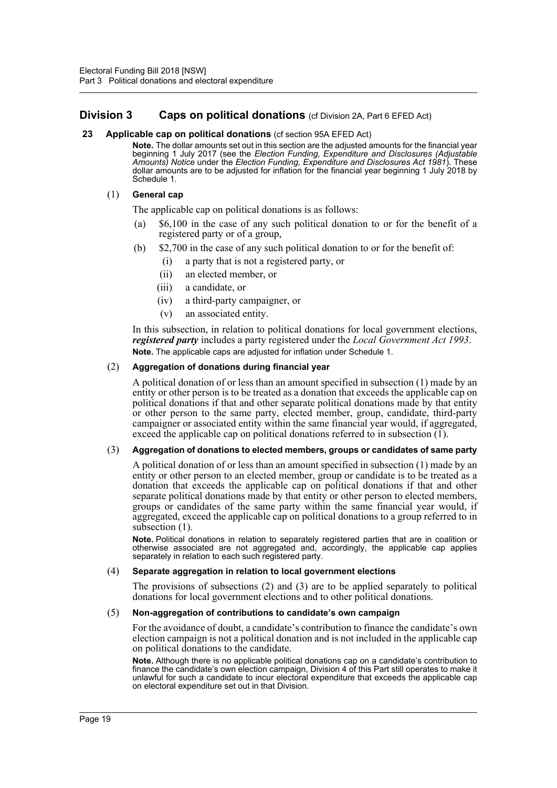# <span id="page-25-0"></span>**Division 3** Caps on political donations (of Division 2A, Part 6 EFED Act)

#### <span id="page-25-1"></span>**23 Applicable cap on political donations** (cf section 95A EFED Act)

**Note.** The dollar amounts set out in this section are the adjusted amounts for the financial year beginning 1 July 2017 (see the *Election Funding, Expenditure and Disclosures (Adjustable Amounts) Notice* under the *Election Funding, Expenditure and Disclosures Act 1981*). These dollar amounts are to be adjusted for inflation for the financial year beginning 1 July 2018 by Schedule 1.

# (1) **General cap**

The applicable cap on political donations is as follows:

- (a) \$6,100 in the case of any such political donation to or for the benefit of a registered party or of a group,
- (b) \$2,700 in the case of any such political donation to or for the benefit of:
	- (i) a party that is not a registered party, or
	- (ii) an elected member, or
	- (iii) a candidate, or
	- (iv) a third-party campaigner, or
	- (v) an associated entity.

In this subsection, in relation to political donations for local government elections, *registered party* includes a party registered under the *Local Government Act 1993*. **Note.** The applicable caps are adjusted for inflation under Schedule 1.

#### (2) **Aggregation of donations during financial year**

A political donation of or less than an amount specified in subsection (1) made by an entity or other person is to be treated as a donation that exceeds the applicable cap on political donations if that and other separate political donations made by that entity or other person to the same party, elected member, group, candidate, third-party campaigner or associated entity within the same financial year would, if aggregated, exceed the applicable cap on political donations referred to in subsection  $(1)$ .

# (3) **Aggregation of donations to elected members, groups or candidates of same party**

A political donation of or less than an amount specified in subsection (1) made by an entity or other person to an elected member, group or candidate is to be treated as a donation that exceeds the applicable cap on political donations if that and other separate political donations made by that entity or other person to elected members, groups or candidates of the same party within the same financial year would, if aggregated, exceed the applicable cap on political donations to a group referred to in subsection (1).

**Note.** Political donations in relation to separately registered parties that are in coalition or otherwise associated are not aggregated and, accordingly, the applicable cap applies separately in relation to each such registered party.

#### (4) **Separate aggregation in relation to local government elections**

The provisions of subsections (2) and (3) are to be applied separately to political donations for local government elections and to other political donations.

#### (5) **Non-aggregation of contributions to candidate's own campaign**

For the avoidance of doubt, a candidate's contribution to finance the candidate's own election campaign is not a political donation and is not included in the applicable cap on political donations to the candidate.

**Note.** Although there is no applicable political donations cap on a candidate's contribution to finance the candidate's own election campaign, Division 4 of this Part still operates to make it unlawful for such a candidate to incur electoral expenditure that exceeds the applicable cap on electoral expenditure set out in that Division.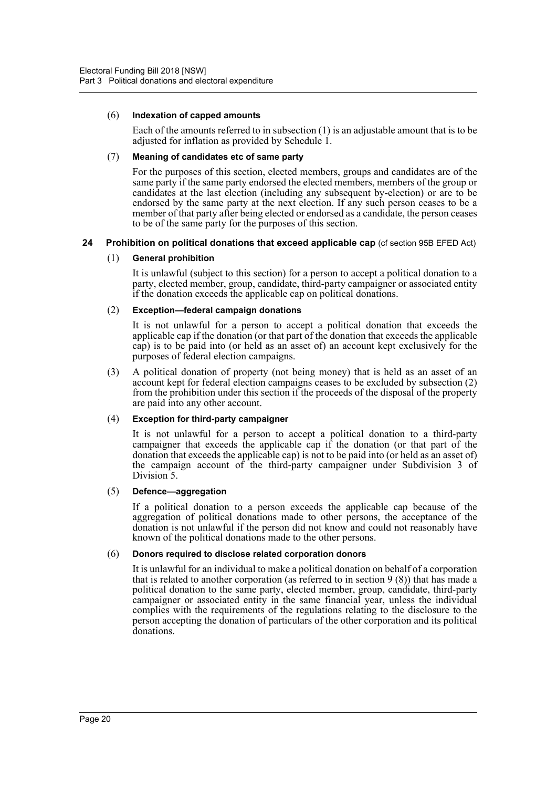#### (6) **Indexation of capped amounts**

Each of the amounts referred to in subsection (1) is an adjustable amount that is to be adjusted for inflation as provided by Schedule 1.

#### (7) **Meaning of candidates etc of same party**

For the purposes of this section, elected members, groups and candidates are of the same party if the same party endorsed the elected members, members of the group or candidates at the last election (including any subsequent by-election) or are to be endorsed by the same party at the next election. If any such person ceases to be a member of that party after being elected or endorsed as a candidate, the person ceases to be of the same party for the purposes of this section.

# <span id="page-26-0"></span>**24 Prohibition on political donations that exceed applicable cap** (cf section 95B EFED Act)

# (1) **General prohibition**

It is unlawful (subject to this section) for a person to accept a political donation to a party, elected member, group, candidate, third-party campaigner or associated entity if the donation exceeds the applicable cap on political donations.

#### (2) **Exception—federal campaign donations**

It is not unlawful for a person to accept a political donation that exceeds the applicable cap if the donation (or that part of the donation that exceeds the applicable cap) is to be paid into (or held as an asset of) an account kept exclusively for the purposes of federal election campaigns.

(3) A political donation of property (not being money) that is held as an asset of an account kept for federal election campaigns ceases to be excluded by subsection (2) from the prohibition under this section if the proceeds of the disposal of the property are paid into any other account.

# (4) **Exception for third-party campaigner**

It is not unlawful for a person to accept a political donation to a third-party campaigner that exceeds the applicable cap if the donation (or that part of the donation that exceeds the applicable cap) is not to be paid into (or held as an asset of) the campaign account of the third-party campaigner under Subdivision 3 of Division<sub>5</sub>.

#### (5) **Defence—aggregation**

If a political donation to a person exceeds the applicable cap because of the aggregation of political donations made to other persons, the acceptance of the donation is not unlawful if the person did not know and could not reasonably have known of the political donations made to the other persons.

# (6) **Donors required to disclose related corporation donors**

It is unlawful for an individual to make a political donation on behalf of a corporation that is related to another corporation (as referred to in section  $9(8)$ ) that has made a political donation to the same party, elected member, group, candidate, third-party campaigner or associated entity in the same financial year, unless the individual complies with the requirements of the regulations relating to the disclosure to the person accepting the donation of particulars of the other corporation and its political donations.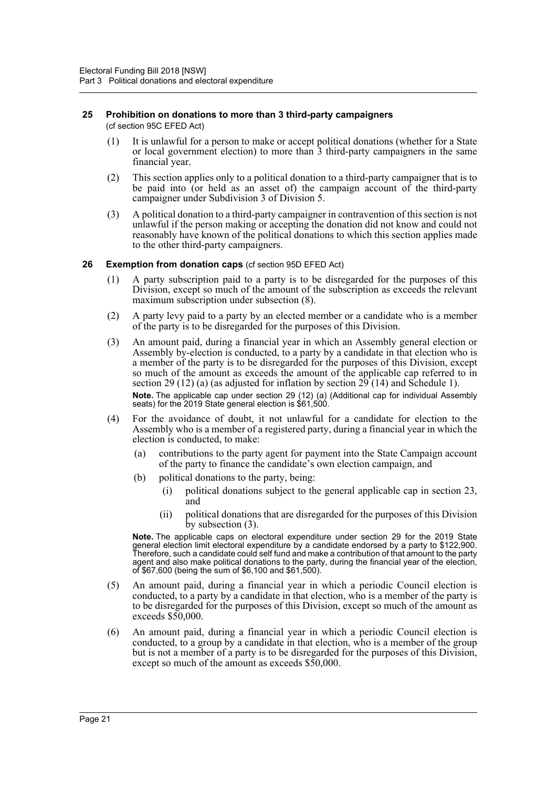#### <span id="page-27-0"></span>**25 Prohibition on donations to more than 3 third-party campaigners**  (cf section 95C EFED Act)

- (1) It is unlawful for a person to make or accept political donations (whether for a State or local government election) to more than 3 third-party campaigners in the same financial year.
- (2) This section applies only to a political donation to a third-party campaigner that is to be paid into (or held as an asset of) the campaign account of the third-party campaigner under Subdivision 3 of Division 5.
- (3) A political donation to a third-party campaigner in contravention of this section is not unlawful if the person making or accepting the donation did not know and could not reasonably have known of the political donations to which this section applies made to the other third-party campaigners.

# <span id="page-27-1"></span>**26 Exemption from donation caps** (cf section 95D EFED Act)

- (1) A party subscription paid to a party is to be disregarded for the purposes of this Division, except so much of the amount of the subscription as exceeds the relevant maximum subscription under subsection (8).
- (2) A party levy paid to a party by an elected member or a candidate who is a member of the party is to be disregarded for the purposes of this Division.
- (3) An amount paid, during a financial year in which an Assembly general election or Assembly by-election is conducted, to a party by a candidate in that election who is a member of the party is to be disregarded for the purposes of this Division, except so much of the amount as exceeds the amount of the applicable cap referred to in section 29 (12) (a) (as adjusted for inflation by section  $29(14)$  and Schedule 1). **Note.** The applicable cap under section 29 (12) (a) (Additional cap for individual Assembly seats) for the 2019 State general election is \$61,500.
- (4) For the avoidance of doubt, it not unlawful for a candidate for election to the Assembly who is a member of a registered party, during a financial year in which the election is conducted, to make:
	- (a) contributions to the party agent for payment into the State Campaign account of the party to finance the candidate's own election campaign, and
	- (b) political donations to the party, being:
		- (i) political donations subject to the general applicable cap in section 23, and
		- (ii) political donations that are disregarded for the purposes of this Division by subsection (3).

**Note.** The applicable caps on electoral expenditure under section 29 for the 2019 State general election limit electoral expenditure by a candidate endorsed by a party to \$122,900. Therefore, such a candidate could self fund and make a contribution of that amount to the party agent and also make political donations to the party, during the financial year of the election, of \$67,600 (being the sum of \$6,100 and \$61,500).

- (5) An amount paid, during a financial year in which a periodic Council election is conducted, to a party by a candidate in that election, who is a member of the party is to be disregarded for the purposes of this Division, except so much of the amount as exceeds \$50,000.
- (6) An amount paid, during a financial year in which a periodic Council election is conducted, to a group by a candidate in that election, who is a member of the group but is not a member of a party is to be disregarded for the purposes of this Division, except so much of the amount as exceeds \$50,000.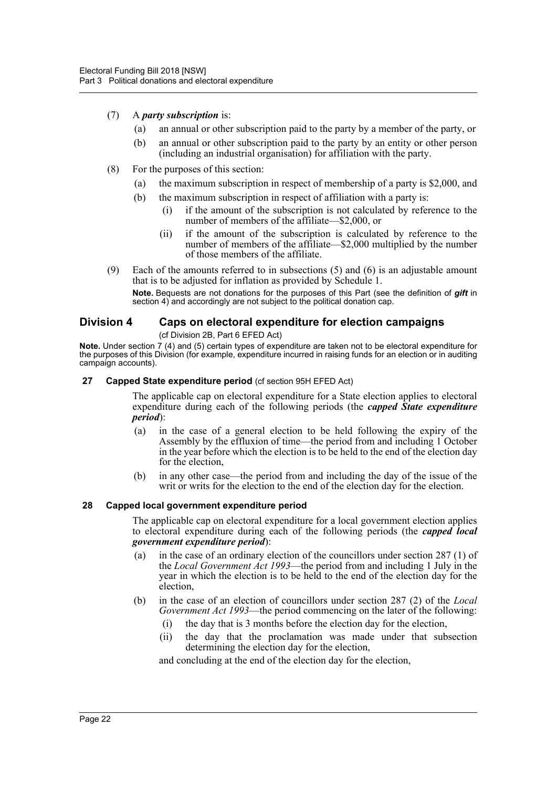- (7) A *party subscription* is:
	- (a) an annual or other subscription paid to the party by a member of the party, or
	- (b) an annual or other subscription paid to the party by an entity or other person (including an industrial organisation) for affiliation with the party.
- (8) For the purposes of this section:
	- (a) the maximum subscription in respect of membership of a party is \$2,000, and
	- (b) the maximum subscription in respect of affiliation with a party is:
		- (i) if the amount of the subscription is not calculated by reference to the number of members of the affiliate—\$2,000, or
		- (ii) if the amount of the subscription is calculated by reference to the number of members of the affiliate—\$2,000 multiplied by the number of those members of the affiliate.
- (9) Each of the amounts referred to in subsections (5) and (6) is an adjustable amount that is to be adjusted for inflation as provided by Schedule 1.

**Note.** Bequests are not donations for the purposes of this Part (see the definition of *gift* in section 4) and accordingly are not subject to the political donation cap.

# <span id="page-28-0"></span>**Division 4 Caps on electoral expenditure for election campaigns**

#### (cf Division 2B, Part 6 EFED Act)

**Note.** Under section 7 (4) and (5) certain types of expenditure are taken not to be electoral expenditure for the purposes of this Division (for example, expenditure incurred in raising funds for an election or in auditing campaign accounts).

#### <span id="page-28-1"></span>**27 Capped State expenditure period** (cf section 95H EFED Act)

The applicable cap on electoral expenditure for a State election applies to electoral expenditure during each of the following periods (the *capped State expenditure period*):

- (a) in the case of a general election to be held following the expiry of the Assembly by the effluxion of time—the period from and including 1 October in the year before which the election is to be held to the end of the election day for the election,
- (b) in any other case—the period from and including the day of the issue of the writ or writs for the election to the end of the election day for the election.

# <span id="page-28-2"></span>**28 Capped local government expenditure period**

The applicable cap on electoral expenditure for a local government election applies to electoral expenditure during each of the following periods (the *capped local government expenditure period*):

- (a) in the case of an ordinary election of the councillors under section 287 (1) of the *Local Government Act 1993*—the period from and including 1 July in the year in which the election is to be held to the end of the election day for the election,
- (b) in the case of an election of councillors under section 287 (2) of the *Local Government Act 1993*—the period commencing on the later of the following:
	- (i) the day that is 3 months before the election day for the election,
	- (ii) the day that the proclamation was made under that subsection determining the election day for the election,

and concluding at the end of the election day for the election,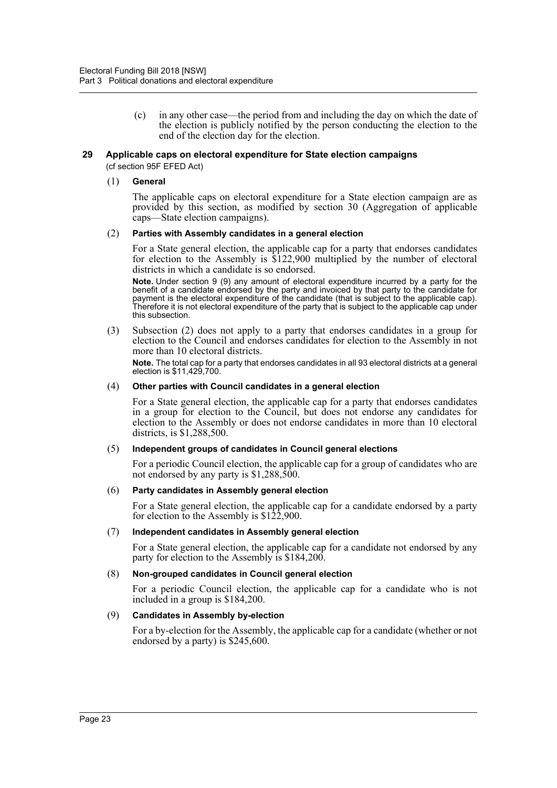(c) in any other case—the period from and including the day on which the date of the election is publicly notified by the person conducting the election to the end of the election day for the election.

#### <span id="page-29-0"></span>**29 Applicable caps on electoral expenditure for State election campaigns**

(cf section 95F EFED Act)

#### (1) **General**

The applicable caps on electoral expenditure for a State election campaign are as provided by this section, as modified by section 30 (Aggregation of applicable caps—State election campaigns).

#### (2) **Parties with Assembly candidates in a general election**

For a State general election, the applicable cap for a party that endorses candidates for election to the Assembly is \$122,900 multiplied by the number of electoral districts in which a candidate is so endorsed.

**Note.** Under section 9 (9) any amount of electoral expenditure incurred by a party for the benefit of a candidate endorsed by the party and invoiced by that party to the candidate for payment is the electoral expenditure of the candidate (that is subject to the applicable cap). Therefore it is not electoral expenditure of the party that is subject to the applicable cap under this subsection.

(3) Subsection (2) does not apply to a party that endorses candidates in a group for election to the Council and endorses candidates for election to the Assembly in not more than 10 electoral districts.

**Note.** The total cap for a party that endorses candidates in all 93 electoral districts at a general election is \$11,429,700.

#### (4) **Other parties with Council candidates in a general election**

For a State general election, the applicable cap for a party that endorses candidates in a group for election to the Council, but does not endorse any candidates for election to the Assembly or does not endorse candidates in more than 10 electoral districts, is \$1,288,500.

#### (5) **Independent groups of candidates in Council general elections**

For a periodic Council election, the applicable cap for a group of candidates who are not endorsed by any party is \$1,288,500.

#### (6) **Party candidates in Assembly general election**

For a State general election, the applicable cap for a candidate endorsed by a party for election to the Assembly is \$122,900.

#### (7) **Independent candidates in Assembly general election**

For a State general election, the applicable cap for a candidate not endorsed by any party for election to the Assembly is \$184,200.

#### (8) **Non-grouped candidates in Council general election**

For a periodic Council election, the applicable cap for a candidate who is not included in a group is \$184,200.

#### (9) **Candidates in Assembly by-election**

For a by-election for the Assembly, the applicable cap for a candidate (whether or not endorsed by a party) is \$245,600.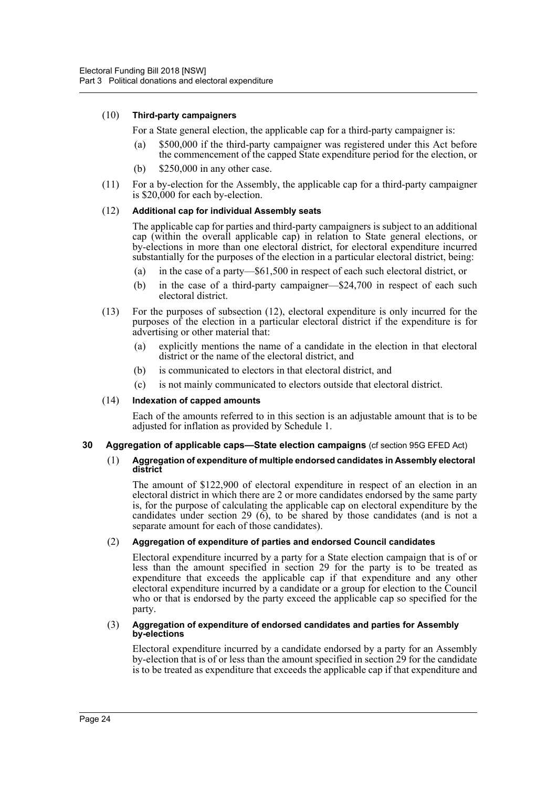# (10) **Third-party campaigners**

For a State general election, the applicable cap for a third-party campaigner is:

- (a) \$500,000 if the third-party campaigner was registered under this Act before the commencement of the capped State expenditure period for the election, or
- (b) \$250,000 in any other case.
- (11) For a by-election for the Assembly, the applicable cap for a third-party campaigner is \$20,000 for each by-election.

# (12) **Additional cap for individual Assembly seats**

The applicable cap for parties and third-party campaigners is subject to an additional cap (within the overall applicable cap) in relation to State general elections, or by-elections in more than one electoral district, for electoral expenditure incurred substantially for the purposes of the election in a particular electoral district, being:

- (a) in the case of a party—\$61,500 in respect of each such electoral district, or
- (b) in the case of a third-party campaigner—\$24,700 in respect of each such electoral district.
- (13) For the purposes of subsection (12), electoral expenditure is only incurred for the purposes of the election in a particular electoral district if the expenditure is for advertising or other material that:
	- (a) explicitly mentions the name of a candidate in the election in that electoral district or the name of the electoral district, and
	- (b) is communicated to electors in that electoral district, and
	- (c) is not mainly communicated to electors outside that electoral district.

# (14) **Indexation of capped amounts**

Each of the amounts referred to in this section is an adjustable amount that is to be adjusted for inflation as provided by Schedule 1.

# <span id="page-30-0"></span>**30 Aggregation of applicable caps—State election campaigns** (cf section 95G EFED Act)

#### (1) **Aggregation of expenditure of multiple endorsed candidates in Assembly electoral district**

The amount of \$122,900 of electoral expenditure in respect of an election in an electoral district in which there are 2 or more candidates endorsed by the same party is, for the purpose of calculating the applicable cap on electoral expenditure by the candidates under section 29 ( $\vec{6}$ ), to be shared by those candidates (and is not a separate amount for each of those candidates).

# (2) **Aggregation of expenditure of parties and endorsed Council candidates**

Electoral expenditure incurred by a party for a State election campaign that is of or less than the amount specified in section 29 for the party is to be treated as expenditure that exceeds the applicable cap if that expenditure and any other electoral expenditure incurred by a candidate or a group for election to the Council who or that is endorsed by the party exceed the applicable cap so specified for the party.

#### (3) **Aggregation of expenditure of endorsed candidates and parties for Assembly by-elections**

Electoral expenditure incurred by a candidate endorsed by a party for an Assembly by-election that is of or less than the amount specified in section 29 for the candidate is to be treated as expenditure that exceeds the applicable cap if that expenditure and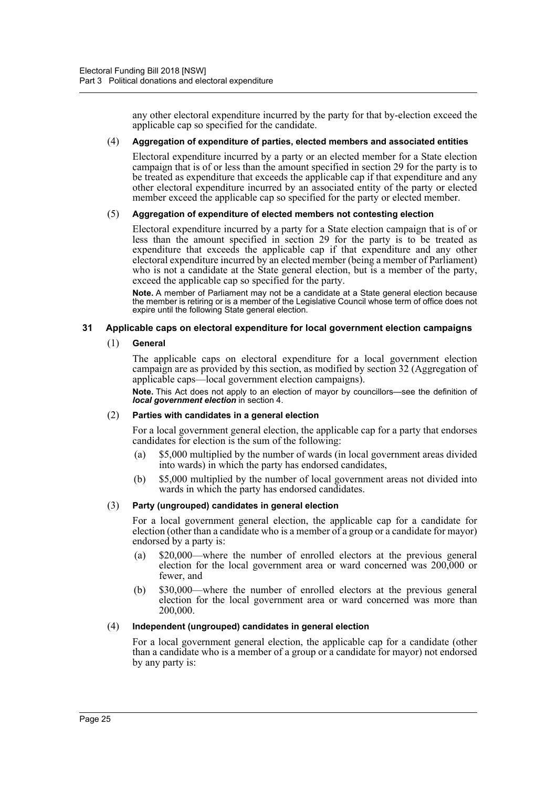any other electoral expenditure incurred by the party for that by-election exceed the applicable cap so specified for the candidate.

#### (4) **Aggregation of expenditure of parties, elected members and associated entities**

Electoral expenditure incurred by a party or an elected member for a State election campaign that is of or less than the amount specified in section 29 for the party is to be treated as expenditure that exceeds the applicable cap if that expenditure and any other electoral expenditure incurred by an associated entity of the party or elected member exceed the applicable cap so specified for the party or elected member.

# (5) **Aggregation of expenditure of elected members not contesting election**

Electoral expenditure incurred by a party for a State election campaign that is of or less than the amount specified in section 29 for the party is to be treated as expenditure that exceeds the applicable cap if that expenditure and any other electoral expenditure incurred by an elected member (being a member of Parliament) who is not a candidate at the State general election, but is a member of the party, exceed the applicable cap so specified for the party.

**Note.** A member of Parliament may not be a candidate at a State general election because the member is retiring or is a member of the Legislative Council whose term of office does not expire until the following State general election.

# <span id="page-31-0"></span>**31 Applicable caps on electoral expenditure for local government election campaigns**

#### (1) **General**

The applicable caps on electoral expenditure for a local government election campaign are as provided by this section, as modified by section 32 (Aggregation of applicable caps—local government election campaigns).

**Note.** This Act does not apply to an election of mayor by councillors—see the definition of *local government election* in section 4.

#### (2) **Parties with candidates in a general election**

For a local government general election, the applicable cap for a party that endorses candidates for election is the sum of the following:

- (a) \$5,000 multiplied by the number of wards (in local government areas divided into wards) in which the party has endorsed candidates,
- (b) \$5,000 multiplied by the number of local government areas not divided into wards in which the party has endorsed candidates.

# (3) **Party (ungrouped) candidates in general election**

For a local government general election, the applicable cap for a candidate for election (other than a candidate who is a member of a group or a candidate for mayor) endorsed by a party is:

- (a) \$20,000—where the number of enrolled electors at the previous general election for the local government area or ward concerned was 200,000 or fewer, and
- (b) \$30,000—where the number of enrolled electors at the previous general election for the local government area or ward concerned was more than 200,000.

#### (4) **Independent (ungrouped) candidates in general election**

For a local government general election, the applicable cap for a candidate (other than a candidate who is a member of a group or a candidate for mayor) not endorsed by any party is: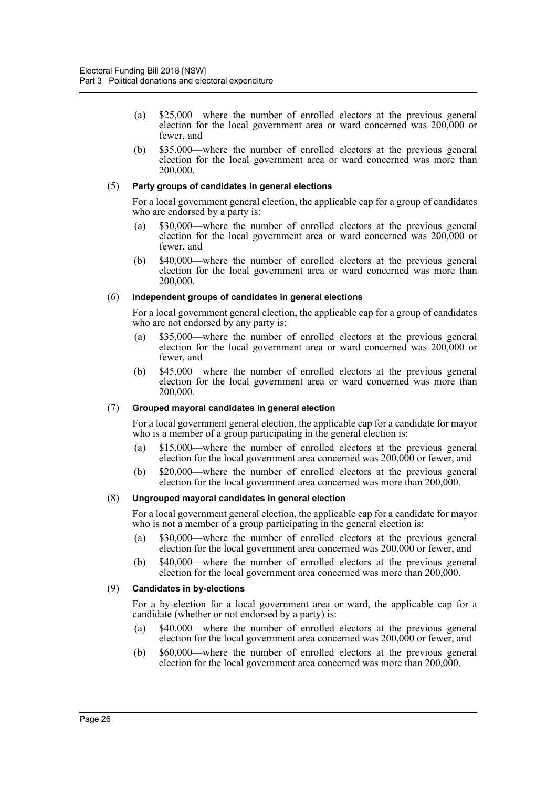- (a) \$25,000—where the number of enrolled electors at the previous general election for the local government area or ward concerned was 200,000 or fewer, and
- (b) \$35,000—where the number of enrolled electors at the previous general election for the local government area or ward concerned was more than 200,000.

# (5) **Party groups of candidates in general elections**

For a local government general election, the applicable cap for a group of candidates who are endorsed by a party is:

- (a) \$30,000—where the number of enrolled electors at the previous general election for the local government area or ward concerned was 200,000 or fewer, and
- (b) \$40,000—where the number of enrolled electors at the previous general election for the local government area or ward concerned was more than 200,000.

# (6) **Independent groups of candidates in general elections**

For a local government general election, the applicable cap for a group of candidates who are not endorsed by any party is:

- (a) \$35,000—where the number of enrolled electors at the previous general election for the local government area or ward concerned was 200,000 or fewer, and
- (b) \$45,000—where the number of enrolled electors at the previous general election for the local government area or ward concerned was more than 200,000.

# (7) **Grouped mayoral candidates in general election**

For a local government general election, the applicable cap for a candidate for mayor who is a member of a group participating in the general election is:

- (a) \$15,000—where the number of enrolled electors at the previous general election for the local government area concerned was 200,000 or fewer, and
- (b) \$20,000—where the number of enrolled electors at the previous general election for the local government area concerned was more than 200,000.

# (8) **Ungrouped mayoral candidates in general election**

For a local government general election, the applicable cap for a candidate for mayor who is not a member of a group participating in the general election is:

- (a) \$30,000—where the number of enrolled electors at the previous general election for the local government area concerned was 200,000 or fewer, and
- (b) \$40,000—where the number of enrolled electors at the previous general election for the local government area concerned was more than 200,000.

# (9) **Candidates in by-elections**

For a by-election for a local government area or ward, the applicable cap for a candidate (whether or not endorsed by a party) is:

- (a) \$40,000—where the number of enrolled electors at the previous general election for the local government area concerned was 200,000 or fewer, and
- (b) \$60,000—where the number of enrolled electors at the previous general election for the local government area concerned was more than 200,000.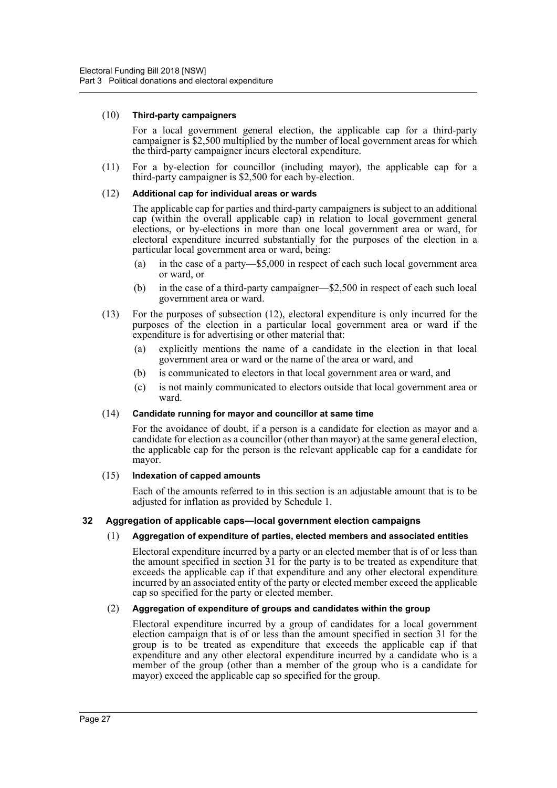#### (10) **Third-party campaigners**

For a local government general election, the applicable cap for a third-party campaigner is \$2,500 multiplied by the number of local government areas for which the third-party campaigner incurs electoral expenditure.

(11) For a by-election for councillor (including mayor), the applicable cap for a third-party campaigner is \$2,500 for each by-election.

#### (12) **Additional cap for individual areas or wards**

The applicable cap for parties and third-party campaigners is subject to an additional cap (within the overall applicable cap) in relation to local government general elections, or by-elections in more than one local government area or ward, for electoral expenditure incurred substantially for the purposes of the election in a particular local government area or ward, being:

- (a) in the case of a party—\$5,000 in respect of each such local government area or ward, or
- (b) in the case of a third-party campaigner—\$2,500 in respect of each such local government area or ward.
- (13) For the purposes of subsection (12), electoral expenditure is only incurred for the purposes of the election in a particular local government area or ward if the expenditure is for advertising or other material that:
	- (a) explicitly mentions the name of a candidate in the election in that local government area or ward or the name of the area or ward, and
	- (b) is communicated to electors in that local government area or ward, and
	- (c) is not mainly communicated to electors outside that local government area or ward.

#### (14) **Candidate running for mayor and councillor at same time**

For the avoidance of doubt, if a person is a candidate for election as mayor and a candidate for election as a councillor (other than mayor) at the same general election, the applicable cap for the person is the relevant applicable cap for a candidate for mayor.

#### (15) **Indexation of capped amounts**

Each of the amounts referred to in this section is an adjustable amount that is to be adjusted for inflation as provided by Schedule 1.

# <span id="page-33-0"></span>**32 Aggregation of applicable caps—local government election campaigns**

# (1) **Aggregation of expenditure of parties, elected members and associated entities**

Electoral expenditure incurred by a party or an elected member that is of or less than the amount specified in section 31 for the party is to be treated as expenditure that exceeds the applicable cap if that expenditure and any other electoral expenditure incurred by an associated entity of the party or elected member exceed the applicable cap so specified for the party or elected member.

# (2) **Aggregation of expenditure of groups and candidates within the group**

Electoral expenditure incurred by a group of candidates for a local government election campaign that is of or less than the amount specified in section 31 for the group is to be treated as expenditure that exceeds the applicable cap if that expenditure and any other electoral expenditure incurred by a candidate who is a member of the group (other than a member of the group who is a candidate for mayor) exceed the applicable cap so specified for the group.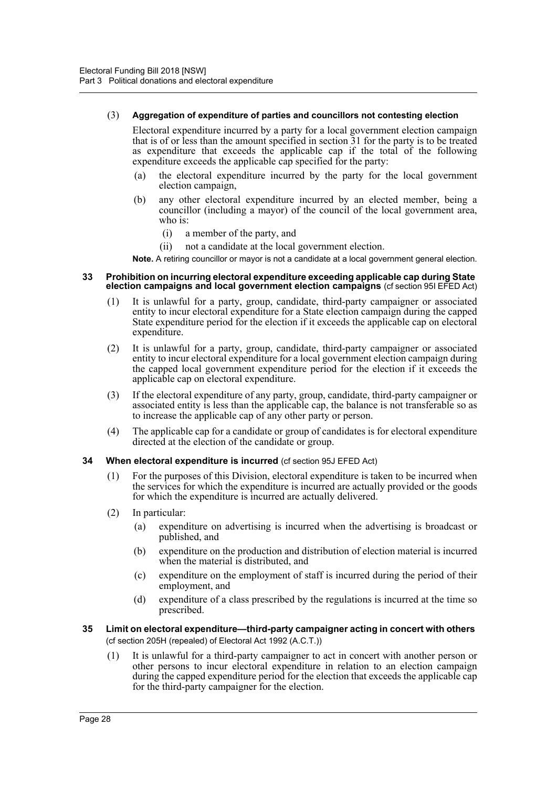#### (3) **Aggregation of expenditure of parties and councillors not contesting election**

Electoral expenditure incurred by a party for a local government election campaign that is of or less than the amount specified in section  $\overline{3}1$  for the party is to be treated as expenditure that exceeds the applicable cap if the total of the following expenditure exceeds the applicable cap specified for the party:

- (a) the electoral expenditure incurred by the party for the local government election campaign,
- (b) any other electoral expenditure incurred by an elected member, being a councillor (including a mayor) of the council of the local government area, who is:
	- (i) a member of the party, and
	- (ii) not a candidate at the local government election.

**Note.** A retiring councillor or mayor is not a candidate at a local government general election.

#### <span id="page-34-0"></span>**33 Prohibition on incurring electoral expenditure exceeding applicable cap during State election campaigns and local government election campaigns** (cf section 95I EFED Act)

- (1) It is unlawful for a party, group, candidate, third-party campaigner or associated entity to incur electoral expenditure for a State election campaign during the capped State expenditure period for the election if it exceeds the applicable cap on electoral expenditure.
- (2) It is unlawful for a party, group, candidate, third-party campaigner or associated entity to incur electoral expenditure for a local government election campaign during the capped local government expenditure period for the election if it exceeds the applicable cap on electoral expenditure.
- (3) If the electoral expenditure of any party, group, candidate, third-party campaigner or associated entity is less than the applicable cap, the balance is not transferable so as to increase the applicable cap of any other party or person.
- (4) The applicable cap for a candidate or group of candidates is for electoral expenditure directed at the election of the candidate or group.
- <span id="page-34-1"></span>**34 When electoral expenditure is incurred** (cf section 95J EFED Act)
	- (1) For the purposes of this Division, electoral expenditure is taken to be incurred when the services for which the expenditure is incurred are actually provided or the goods for which the expenditure is incurred are actually delivered.
	- (2) In particular:
		- (a) expenditure on advertising is incurred when the advertising is broadcast or published, and
		- (b) expenditure on the production and distribution of election material is incurred when the material is distributed, and
		- (c) expenditure on the employment of staff is incurred during the period of their employment, and
		- (d) expenditure of a class prescribed by the regulations is incurred at the time so prescribed.
- <span id="page-34-2"></span>**35 Limit on electoral expenditure—third-party campaigner acting in concert with others**  (cf section 205H (repealed) of Electoral Act 1992 (A.C.T.))
	- (1) It is unlawful for a third-party campaigner to act in concert with another person or other persons to incur electoral expenditure in relation to an election campaign during the capped expenditure period for the election that exceeds the applicable cap for the third-party campaigner for the election.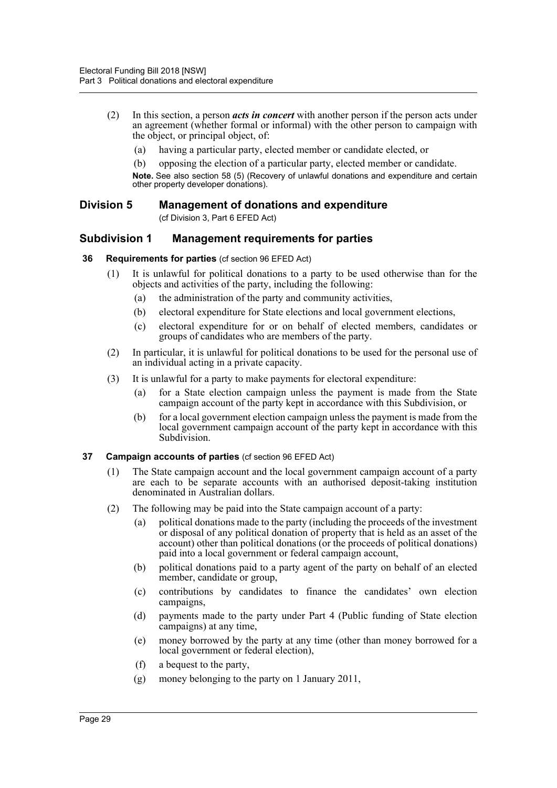- (2) In this section, a person *acts in concert* with another person if the person acts under an agreement (whether formal or informal) with the other person to campaign with the object, or principal object, of:
	- (a) having a particular party, elected member or candidate elected, or
	- (b) opposing the election of a particular party, elected member or candidate.

**Note.** See also section 58 (5) (Recovery of unlawful donations and expenditure and certain other property developer donations).

# <span id="page-35-0"></span>**Division 5 Management of donations and expenditure**

(cf Division 3, Part 6 EFED Act)

# <span id="page-35-1"></span>**Subdivision 1 Management requirements for parties**

# <span id="page-35-2"></span>**36 Requirements for parties** (cf section 96 EFED Act)

- (1) It is unlawful for political donations to a party to be used otherwise than for the objects and activities of the party, including the following:
	- (a) the administration of the party and community activities,
	- (b) electoral expenditure for State elections and local government elections,
	- (c) electoral expenditure for or on behalf of elected members, candidates or groups of candidates who are members of the party.
- (2) In particular, it is unlawful for political donations to be used for the personal use of an individual acting in a private capacity.
- (3) It is unlawful for a party to make payments for electoral expenditure:
	- (a) for a State election campaign unless the payment is made from the State campaign account of the party kept in accordance with this Subdivision, or
	- (b) for a local government election campaign unless the payment is made from the local government campaign account of the party kept in accordance with this Subdivision.

# <span id="page-35-3"></span>**37 Campaign accounts of parties** (cf section 96 EFED Act)

- (1) The State campaign account and the local government campaign account of a party are each to be separate accounts with an authorised deposit-taking institution denominated in Australian dollars.
- (2) The following may be paid into the State campaign account of a party:
	- (a) political donations made to the party (including the proceeds of the investment or disposal of any political donation of property that is held as an asset of the account) other than political donations (or the proceeds of political donations) paid into a local government or federal campaign account,
	- (b) political donations paid to a party agent of the party on behalf of an elected member, candidate or group,
	- (c) contributions by candidates to finance the candidates' own election campaigns,
	- (d) payments made to the party under Part 4 (Public funding of State election campaigns) at any time,
	- (e) money borrowed by the party at any time (other than money borrowed for a local government or federal election),
	- (f) a bequest to the party,
	- (g) money belonging to the party on 1 January 2011,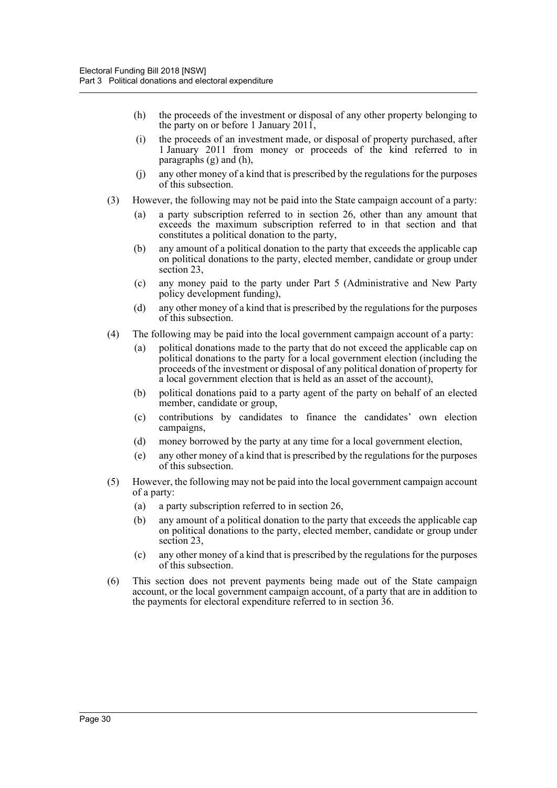- (h) the proceeds of the investment or disposal of any other property belonging to the party on or before 1 January 2011,
- (i) the proceeds of an investment made, or disposal of property purchased, after 1 January 2011 from money or proceeds of the kind referred to in paragraphs (g) and (h),
- (j) any other money of a kind that is prescribed by the regulations for the purposes of this subsection.
- (3) However, the following may not be paid into the State campaign account of a party:
	- (a) a party subscription referred to in section 26, other than any amount that exceeds the maximum subscription referred to in that section and that constitutes a political donation to the party,
	- (b) any amount of a political donation to the party that exceeds the applicable cap on political donations to the party, elected member, candidate or group under section 23,
	- (c) any money paid to the party under Part 5 (Administrative and New Party policy development funding),
	- (d) any other money of a kind that is prescribed by the regulations for the purposes of this subsection.
- (4) The following may be paid into the local government campaign account of a party:
	- (a) political donations made to the party that do not exceed the applicable cap on political donations to the party for a local government election (including the proceeds of the investment or disposal of any political donation of property for a local government election that is held as an asset of the account),
	- (b) political donations paid to a party agent of the party on behalf of an elected member, candidate or group,
	- (c) contributions by candidates to finance the candidates' own election campaigns,
	- (d) money borrowed by the party at any time for a local government election,
	- (e) any other money of a kind that is prescribed by the regulations for the purposes of this subsection.
- (5) However, the following may not be paid into the local government campaign account of a party:
	- (a) a party subscription referred to in section 26,
	- (b) any amount of a political donation to the party that exceeds the applicable cap on political donations to the party, elected member, candidate or group under section 23,
	- (c) any other money of a kind that is prescribed by the regulations for the purposes of this subsection.
- (6) This section does not prevent payments being made out of the State campaign account, or the local government campaign account, of a party that are in addition to the payments for electoral expenditure referred to in section 36.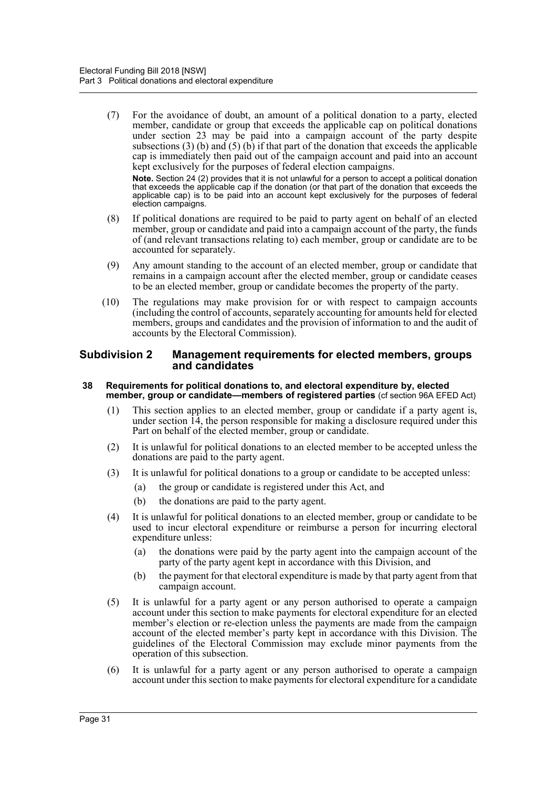(7) For the avoidance of doubt, an amount of a political donation to a party, elected member, candidate or group that exceeds the applicable cap on political donations under section 23 may be paid into a campaign account of the party despite subsections (3) (b) and (5) (b) if that part of the donation that exceeds the applicable cap is immediately then paid out of the campaign account and paid into an account kept exclusively for the purposes of federal election campaigns.

**Note.** Section 24 (2) provides that it is not unlawful for a person to accept a political donation that exceeds the applicable cap if the donation (or that part of the donation that exceeds the applicable cap) is to be paid into an account kept exclusively for the purposes of federal election campaigns.

- (8) If political donations are required to be paid to party agent on behalf of an elected member, group or candidate and paid into a campaign account of the party, the funds of (and relevant transactions relating to) each member, group or candidate are to be accounted for separately.
- (9) Any amount standing to the account of an elected member, group or candidate that remains in a campaign account after the elected member, group or candidate ceases to be an elected member, group or candidate becomes the property of the party.
- (10) The regulations may make provision for or with respect to campaign accounts (including the control of accounts, separately accounting for amounts held for elected members, groups and candidates and the provision of information to and the audit of accounts by the Electoral Commission).

## **Subdivision 2 Management requirements for elected members, groups and candidates**

### **38 Requirements for political donations to, and electoral expenditure by, elected member, group or candidate—members of registered parties** (cf section 96A EFED Act)

- (1) This section applies to an elected member, group or candidate if a party agent is, under section 14, the person responsible for making a disclosure required under this Part on behalf of the elected member, group or candidate.
- (2) It is unlawful for political donations to an elected member to be accepted unless the donations are paid to the party agent.
- (3) It is unlawful for political donations to a group or candidate to be accepted unless:
	- (a) the group or candidate is registered under this Act, and
	- (b) the donations are paid to the party agent.
- (4) It is unlawful for political donations to an elected member, group or candidate to be used to incur electoral expenditure or reimburse a person for incurring electoral expenditure unless:
	- (a) the donations were paid by the party agent into the campaign account of the party of the party agent kept in accordance with this Division, and
	- (b) the payment for that electoral expenditure is made by that party agent from that campaign account.
- (5) It is unlawful for a party agent or any person authorised to operate a campaign account under this section to make payments for electoral expenditure for an elected member's election or re-election unless the payments are made from the campaign account of the elected member's party kept in accordance with this Division. The guidelines of the Electoral Commission may exclude minor payments from the operation of this subsection.
- (6) It is unlawful for a party agent or any person authorised to operate a campaign account under this section to make payments for electoral expenditure for a candidate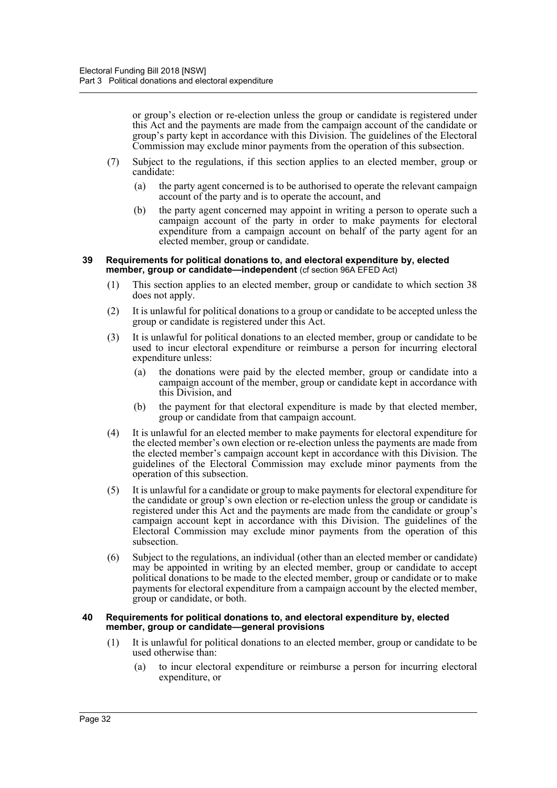or group's election or re-election unless the group or candidate is registered under this Act and the payments are made from the campaign account of the candidate or group's party kept in accordance with this Division. The guidelines of the Electoral Commission may exclude minor payments from the operation of this subsection.

- (7) Subject to the regulations, if this section applies to an elected member, group or candidate:
	- (a) the party agent concerned is to be authorised to operate the relevant campaign account of the party and is to operate the account, and
	- (b) the party agent concerned may appoint in writing a person to operate such a campaign account of the party in order to make payments for electoral expenditure from a campaign account on behalf of the party agent for an elected member, group or candidate.

#### **39 Requirements for political donations to, and electoral expenditure by, elected member, group or candidate—independent** (cf section 96A EFED Act)

- (1) This section applies to an elected member, group or candidate to which section 38 does not apply.
- (2) It is unlawful for political donations to a group or candidate to be accepted unless the group or candidate is registered under this Act.
- (3) It is unlawful for political donations to an elected member, group or candidate to be used to incur electoral expenditure or reimburse a person for incurring electoral expenditure unless:
	- (a) the donations were paid by the elected member, group or candidate into a campaign account of the member, group or candidate kept in accordance with this Division, and
	- (b) the payment for that electoral expenditure is made by that elected member, group or candidate from that campaign account.
- (4) It is unlawful for an elected member to make payments for electoral expenditure for the elected member's own election or re-election unless the payments are made from the elected member's campaign account kept in accordance with this Division. The guidelines of the Electoral Commission may exclude minor payments from the operation of this subsection.
- (5) It is unlawful for a candidate or group to make payments for electoral expenditure for the candidate or group's own election or re-election unless the group or candidate is registered under this Act and the payments are made from the candidate or group's campaign account kept in accordance with this Division. The guidelines of the Electoral Commission may exclude minor payments from the operation of this subsection.
- (6) Subject to the regulations, an individual (other than an elected member or candidate) may be appointed in writing by an elected member, group or candidate to accept political donations to be made to the elected member, group or candidate or to make payments for electoral expenditure from a campaign account by the elected member, group or candidate, or both.

#### **40 Requirements for political donations to, and electoral expenditure by, elected member, group or candidate—general provisions**

- (1) It is unlawful for political donations to an elected member, group or candidate to be used otherwise than:
	- (a) to incur electoral expenditure or reimburse a person for incurring electoral expenditure, or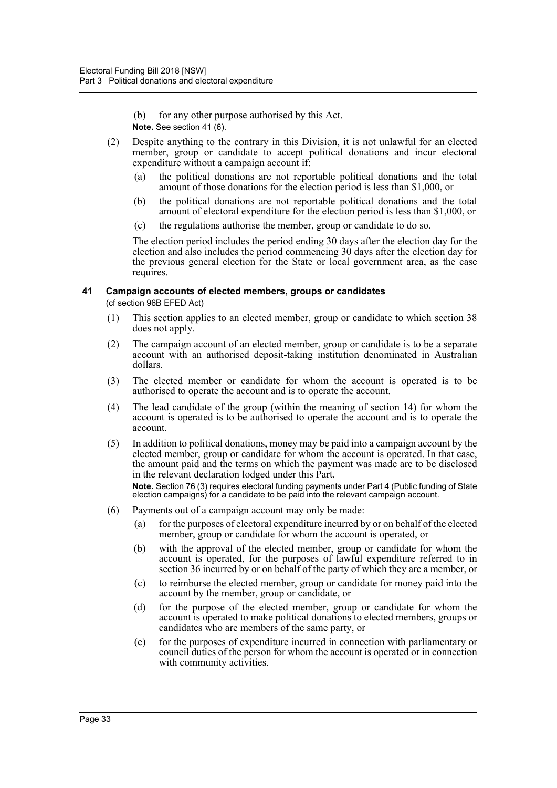(b) for any other purpose authorised by this Act.

- **Note.** See section 41 (6).
- (2) Despite anything to the contrary in this Division, it is not unlawful for an elected member, group or candidate to accept political donations and incur electoral expenditure without a campaign account if:
	- (a) the political donations are not reportable political donations and the total amount of those donations for the election period is less than \$1,000, or
	- (b) the political donations are not reportable political donations and the total amount of electoral expenditure for the election period is less than \$1,000, or
	- (c) the regulations authorise the member, group or candidate to do so.

The election period includes the period ending 30 days after the election day for the election and also includes the period commencing 30 days after the election day for the previous general election for the State or local government area, as the case requires.

## **41 Campaign accounts of elected members, groups or candidates**

(cf section 96B EFED Act)

- (1) This section applies to an elected member, group or candidate to which section 38 does not apply.
- (2) The campaign account of an elected member, group or candidate is to be a separate account with an authorised deposit-taking institution denominated in Australian dollars.
- (3) The elected member or candidate for whom the account is operated is to be authorised to operate the account and is to operate the account.
- (4) The lead candidate of the group (within the meaning of section 14) for whom the account is operated is to be authorised to operate the account and is to operate the account.
- (5) In addition to political donations, money may be paid into a campaign account by the elected member, group or candidate for whom the account is operated. In that case, the amount paid and the terms on which the payment was made are to be disclosed in the relevant declaration lodged under this Part.

**Note.** Section 76 (3) requires electoral funding payments under Part 4 (Public funding of State election campaigns) for a candidate to be paid into the relevant campaign account.

- (6) Payments out of a campaign account may only be made:
	- (a) for the purposes of electoral expenditure incurred by or on behalf of the elected member, group or candidate for whom the account is operated, or
	- (b) with the approval of the elected member, group or candidate for whom the account is operated, for the purposes of lawful expenditure referred to in section 36 incurred by or on behalf of the party of which they are a member, or
	- (c) to reimburse the elected member, group or candidate for money paid into the account by the member, group or candidate, or
	- (d) for the purpose of the elected member, group or candidate for whom the account is operated to make political donations to elected members, groups or candidates who are members of the same party, or
	- (e) for the purposes of expenditure incurred in connection with parliamentary or council duties of the person for whom the account is operated or in connection with community activities.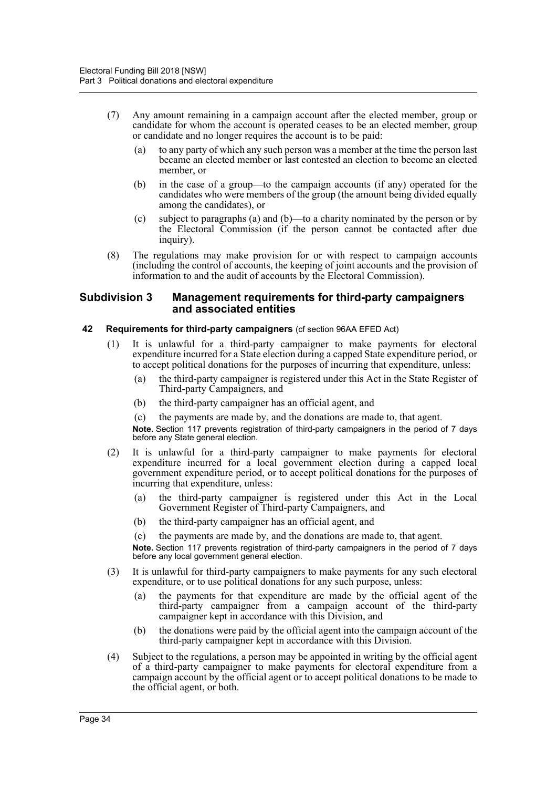- (7) Any amount remaining in a campaign account after the elected member, group or candidate for whom the account is operated ceases to be an elected member, group or candidate and no longer requires the account is to be paid:
	- (a) to any party of which any such person was a member at the time the person last became an elected member or last contested an election to become an elected member, or
	- (b) in the case of a group—to the campaign accounts (if any) operated for the candidates who were members of the group (the amount being divided equally among the candidates), or
	- (c) subject to paragraphs (a) and (b)—to a charity nominated by the person or by the Electoral Commission (if the person cannot be contacted after due inquiry).
- (8) The regulations may make provision for or with respect to campaign accounts (including the control of accounts, the keeping of joint accounts and the provision of information to and the audit of accounts by the Electoral Commission).

### **Subdivision 3 Management requirements for third-party campaigners and associated entities**

## **42 Requirements for third-party campaigners** (cf section 96AA EFED Act)

- (1) It is unlawful for a third-party campaigner to make payments for electoral expenditure incurred for a State election during a capped State expenditure period, or to accept political donations for the purposes of incurring that expenditure, unless:
	- (a) the third-party campaigner is registered under this Act in the State Register of Third-party Campaigners, and
	- (b) the third-party campaigner has an official agent, and
	- (c) the payments are made by, and the donations are made to, that agent.

**Note.** Section 117 prevents registration of third-party campaigners in the period of 7 days before any State general election.

- (2) It is unlawful for a third-party campaigner to make payments for electoral expenditure incurred for a local government election during a capped local government expenditure period, or to accept political donations for the purposes of incurring that expenditure, unless:
	- (a) the third-party campaigner is registered under this Act in the Local Government Register of Third-party Campaigners, and
	- (b) the third-party campaigner has an official agent, and
	- (c) the payments are made by, and the donations are made to, that agent.

**Note.** Section 117 prevents registration of third-party campaigners in the period of 7 days before any local government general election.

- (3) It is unlawful for third-party campaigners to make payments for any such electoral expenditure, or to use political donations for any such purpose, unless:
	- (a) the payments for that expenditure are made by the official agent of the third-party campaigner from a campaign account of the third-party campaigner kept in accordance with this Division, and
	- (b) the donations were paid by the official agent into the campaign account of the third-party campaigner kept in accordance with this Division.
- (4) Subject to the regulations, a person may be appointed in writing by the official agent of a third-party campaigner to make payments for electoral expenditure from a campaign account by the official agent or to accept political donations to be made to the official agent, or both.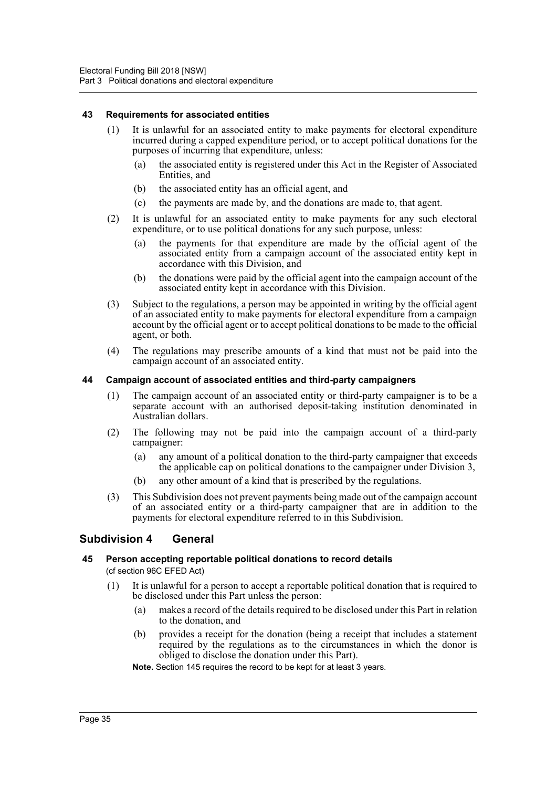### **43 Requirements for associated entities**

- (1) It is unlawful for an associated entity to make payments for electoral expenditure incurred during a capped expenditure period, or to accept political donations for the purposes of incurring that expenditure, unless:
	- (a) the associated entity is registered under this Act in the Register of Associated Entities, and
	- (b) the associated entity has an official agent, and
	- (c) the payments are made by, and the donations are made to, that agent.
- (2) It is unlawful for an associated entity to make payments for any such electoral expenditure, or to use political donations for any such purpose, unless:
	- (a) the payments for that expenditure are made by the official agent of the associated entity from a campaign account of the associated entity kept in accordance with this Division, and
	- (b) the donations were paid by the official agent into the campaign account of the associated entity kept in accordance with this Division.
- (3) Subject to the regulations, a person may be appointed in writing by the official agent of an associated entity to make payments for electoral expenditure from a campaign account by the official agent or to accept political donations to be made to the official agent, or both.
- (4) The regulations may prescribe amounts of a kind that must not be paid into the campaign account of an associated entity.

### **44 Campaign account of associated entities and third-party campaigners**

- (1) The campaign account of an associated entity or third-party campaigner is to be a separate account with an authorised deposit-taking institution denominated in Australian dollars.
- (2) The following may not be paid into the campaign account of a third-party campaigner:
	- (a) any amount of a political donation to the third-party campaigner that exceeds the applicable cap on political donations to the campaigner under Division 3,
	- (b) any other amount of a kind that is prescribed by the regulations.
- (3) This Subdivision does not prevent payments being made out of the campaign account of an associated entity or a third-party campaigner that are in addition to the payments for electoral expenditure referred to in this Subdivision.

## **Subdivision 4 General**

# **45 Person accepting reportable political donations to record details**

(cf section 96C EFED Act)

- (1) It is unlawful for a person to accept a reportable political donation that is required to be disclosed under this Part unless the person:
	- (a) makes a record of the details required to be disclosed under this Part in relation to the donation, and
	- (b) provides a receipt for the donation (being a receipt that includes a statement required by the regulations as to the circumstances in which the donor is obliged to disclose the donation under this Part).
	- **Note.** Section 145 requires the record to be kept for at least 3 years.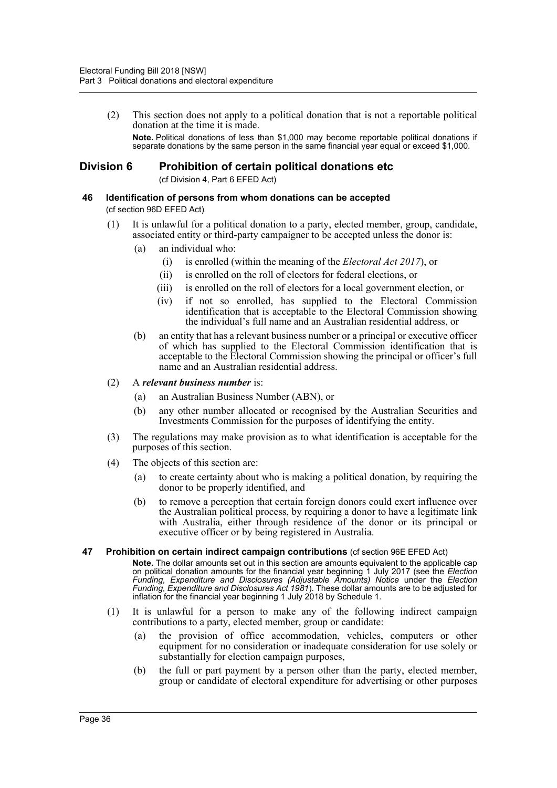(2) This section does not apply to a political donation that is not a reportable political donation at the time it is made. **Note.** Political donations of less than \$1,000 may become reportable political donations if separate donations by the same person in the same financial year equal or exceed \$1,000.

## **Division 6 Prohibition of certain political donations etc**

(cf Division 4, Part 6 EFED Act)

- **46 Identification of persons from whom donations can be accepted** (cf section 96D EFED Act)
	- (1) It is unlawful for a political donation to a party, elected member, group, candidate, associated entity or third-party campaigner to be accepted unless the donor is:
		- (a) an individual who:
			- (i) is enrolled (within the meaning of the *Electoral Act 2017*), or
			- (ii) is enrolled on the roll of electors for federal elections, or
			- (iii) is enrolled on the roll of electors for a local government election, or
			- (iv) if not so enrolled, has supplied to the Electoral Commission identification that is acceptable to the Electoral Commission showing the individual's full name and an Australian residential address, or
		- (b) an entity that has a relevant business number or a principal or executive officer of which has supplied to the Electoral Commission identification that is acceptable to the Electoral Commission showing the principal or officer's full name and an Australian residential address.

### (2) A *relevant business number* is:

- (a) an Australian Business Number (ABN), or
- (b) any other number allocated or recognised by the Australian Securities and Investments Commission for the purposes of identifying the entity.
- (3) The regulations may make provision as to what identification is acceptable for the purposes of this section.
- (4) The objects of this section are:
	- (a) to create certainty about who is making a political donation, by requiring the donor to be properly identified, and
	- (b) to remove a perception that certain foreign donors could exert influence over the Australian political process, by requiring a donor to have a legitimate link with Australia, either through residence of the donor or its principal or executive officer or by being registered in Australia.

### **47 Prohibition on certain indirect campaign contributions** (cf section 96E EFED Act)

**Note.** The dollar amounts set out in this section are amounts equivalent to the applicable cap on political donation amounts for the financial year beginning 1 July 2017 (see the *Election Funding, Expenditure and Disclosures (Adjustable Amounts) Notice* under the *Election Funding, Expenditure and Disclosures Act 1981*). These dollar amounts are to be adjusted for inflation for the financial year beginning 1 July 2018 by Schedule 1.

- (1) It is unlawful for a person to make any of the following indirect campaign contributions to a party, elected member, group or candidate:
	- (a) the provision of office accommodation, vehicles, computers or other equipment for no consideration or inadequate consideration for use solely or substantially for election campaign purposes,
	- (b) the full or part payment by a person other than the party, elected member, group or candidate of electoral expenditure for advertising or other purposes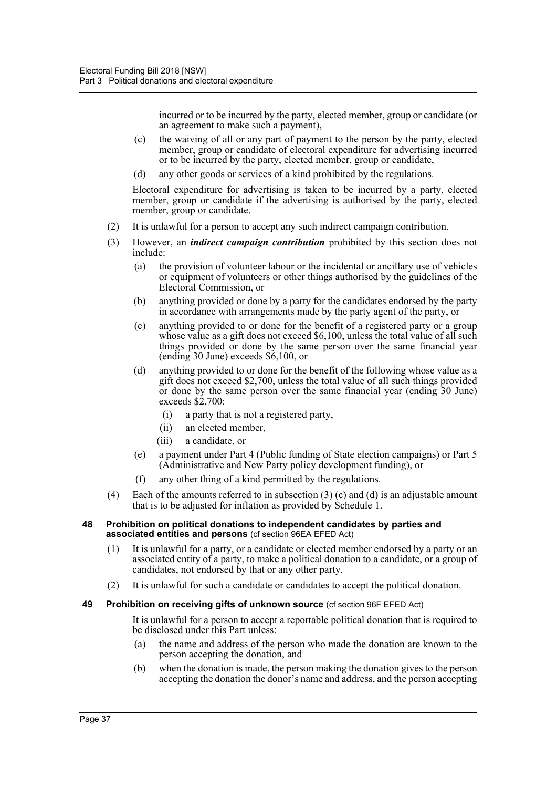incurred or to be incurred by the party, elected member, group or candidate (or an agreement to make such a payment),

- (c) the waiving of all or any part of payment to the person by the party, elected member, group or candidate of electoral expenditure for advertising incurred or to be incurred by the party, elected member, group or candidate,
- (d) any other goods or services of a kind prohibited by the regulations.

Electoral expenditure for advertising is taken to be incurred by a party, elected member, group or candidate if the advertising is authorised by the party, elected member, group or candidate.

- (2) It is unlawful for a person to accept any such indirect campaign contribution.
- (3) However, an *indirect campaign contribution* prohibited by this section does not include:
	- (a) the provision of volunteer labour or the incidental or ancillary use of vehicles or equipment of volunteers or other things authorised by the guidelines of the Electoral Commission, or
	- (b) anything provided or done by a party for the candidates endorsed by the party in accordance with arrangements made by the party agent of the party, or
	- (c) anything provided to or done for the benefit of a registered party or a group whose value as a gift does not exceed \$6,100, unless the total value of all such things provided or done by the same person over the same financial year (ending 30 June) exceeds \$6,100, or
	- (d) anything provided to or done for the benefit of the following whose value as a gift does not exceed \$2,700, unless the total value of all such things provided or done by the same person over the same financial year (ending 30 June) exceeds \$2,700:
		- (i) a party that is not a registered party,
		- (ii) an elected member,
		- (iii) a candidate, or
	- (e) a payment under Part 4 (Public funding of State election campaigns) or Part 5 (Administrative and New Party policy development funding), or
	- (f) any other thing of a kind permitted by the regulations.
- (4) Each of the amounts referred to in subsection (3) (c) and (d) is an adjustable amount that is to be adjusted for inflation as provided by Schedule 1.

#### **48 Prohibition on political donations to independent candidates by parties and associated entities and persons** (cf section 96EA EFED Act)

- (1) It is unlawful for a party, or a candidate or elected member endorsed by a party or an associated entity of a party, to make a political donation to a candidate, or a group of candidates, not endorsed by that or any other party.
- (2) It is unlawful for such a candidate or candidates to accept the political donation.

### **49 Prohibition on receiving gifts of unknown source** (cf section 96F EFED Act)

It is unlawful for a person to accept a reportable political donation that is required to be disclosed under this Part unless:

- (a) the name and address of the person who made the donation are known to the person accepting the donation, and
- (b) when the donation is made, the person making the donation gives to the person accepting the donation the donor's name and address, and the person accepting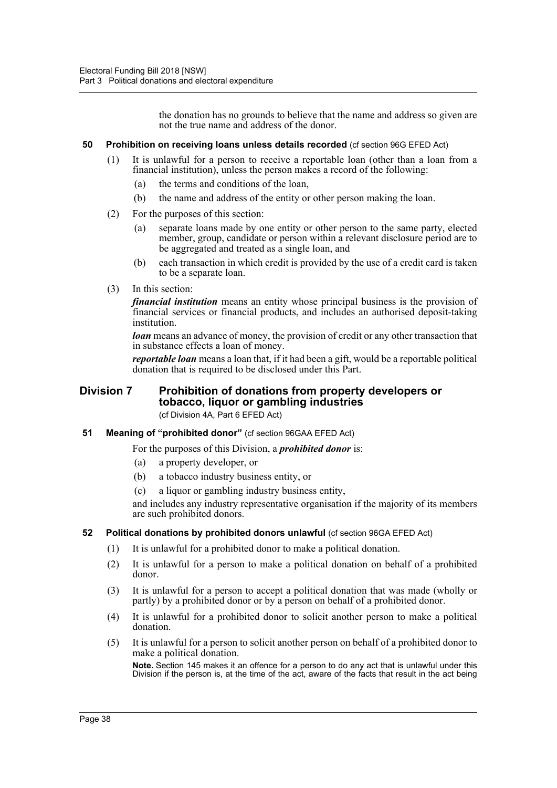the donation has no grounds to believe that the name and address so given are not the true name and address of the donor.

### **50 Prohibition on receiving loans unless details recorded** (cf section 96G EFED Act)

- (1) It is unlawful for a person to receive a reportable loan (other than a loan from a financial institution), unless the person makes a record of the following:
	- (a) the terms and conditions of the loan,
	- (b) the name and address of the entity or other person making the loan.
- (2) For the purposes of this section:
	- (a) separate loans made by one entity or other person to the same party, elected member, group, candidate or person within a relevant disclosure period are to be aggregated and treated as a single loan, and
	- (b) each transaction in which credit is provided by the use of a credit card is taken to be a separate loan.
- (3) In this section:

*financial institution* means an entity whose principal business is the provision of financial services or financial products, and includes an authorised deposit-taking institution.

*loan* means an advance of money, the provision of credit or any other transaction that in substance effects a loan of money.

*reportable loan* means a loan that, if it had been a gift, would be a reportable political donation that is required to be disclosed under this Part.

## **Division 7 Prohibition of donations from property developers or tobacco, liquor or gambling industries**

(cf Division 4A, Part 6 EFED Act)

### **51 Meaning of "prohibited donor"** (cf section 96GAA EFED Act)

For the purposes of this Division, a *prohibited donor* is:

- (a) a property developer, or
- (b) a tobacco industry business entity, or
- (c) a liquor or gambling industry business entity,

and includes any industry representative organisation if the majority of its members are such prohibited donors.

### **52 Political donations by prohibited donors unlawful** (cf section 96GA EFED Act)

- (1) It is unlawful for a prohibited donor to make a political donation.
- (2) It is unlawful for a person to make a political donation on behalf of a prohibited donor.
- (3) It is unlawful for a person to accept a political donation that was made (wholly or partly) by a prohibited donor or by a person on behalf of a prohibited donor.
- (4) It is unlawful for a prohibited donor to solicit another person to make a political donation.
- (5) It is unlawful for a person to solicit another person on behalf of a prohibited donor to make a political donation.

**Note.** Section 145 makes it an offence for a person to do any act that is unlawful under this Division if the person is, at the time of the act, aware of the facts that result in the act being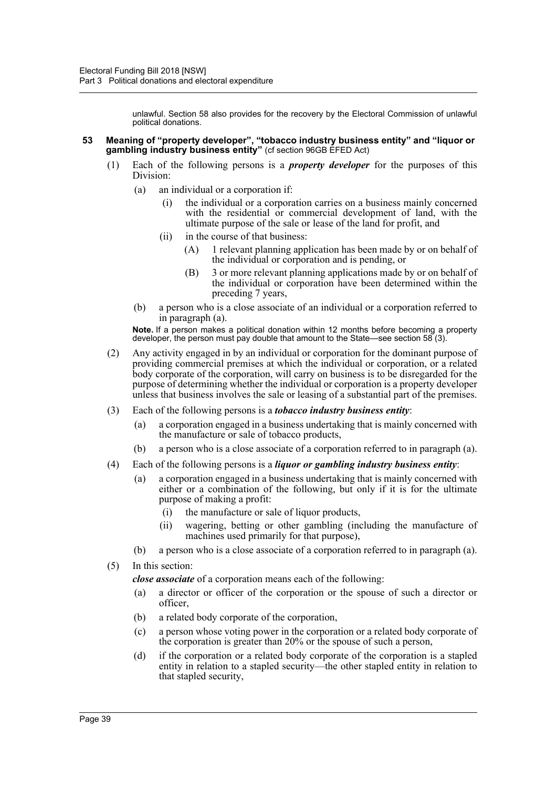unlawful. Section 58 also provides for the recovery by the Electoral Commission of unlawful political donations.

- **53 Meaning of "property developer", "tobacco industry business entity" and "liquor or gambling industry business entity"** (cf section 96GB EFED Act)
	- (1) Each of the following persons is a *property developer* for the purposes of this Division:
		- (a) an individual or a corporation if:
			- (i) the individual or a corporation carries on a business mainly concerned with the residential or commercial development of land, with the ultimate purpose of the sale or lease of the land for profit, and
			- (ii) in the course of that business:
				- (A) 1 relevant planning application has been made by or on behalf of the individual or corporation and is pending, or
				- (B) 3 or more relevant planning applications made by or on behalf of the individual or corporation have been determined within the preceding 7 years,
		- (b) a person who is a close associate of an individual or a corporation referred to in paragraph (a).

**Note.** If a person makes a political donation within 12 months before becoming a property developer, the person must pay double that amount to the State—see section  $58(3)$ .

- (2) Any activity engaged in by an individual or corporation for the dominant purpose of providing commercial premises at which the individual or corporation, or a related body corporate of the corporation, will carry on business is to be disregarded for the purpose of determining whether the individual or corporation is a property developer unless that business involves the sale or leasing of a substantial part of the premises.
- (3) Each of the following persons is a *tobacco industry business entity*:
	- (a) a corporation engaged in a business undertaking that is mainly concerned with the manufacture or sale of tobacco products,
	- (b) a person who is a close associate of a corporation referred to in paragraph (a).
- (4) Each of the following persons is a *liquor or gambling industry business entity*:
	- (a) a corporation engaged in a business undertaking that is mainly concerned with either or a combination of the following, but only if it is for the ultimate purpose of making a profit:
		- (i) the manufacture or sale of liquor products,
		- (ii) wagering, betting or other gambling (including the manufacture of machines used primarily for that purpose),
	- (b) a person who is a close associate of a corporation referred to in paragraph (a).
- (5) In this section:

*close associate* of a corporation means each of the following:

- (a) a director or officer of the corporation or the spouse of such a director or officer,
- (b) a related body corporate of the corporation,
- (c) a person whose voting power in the corporation or a related body corporate of the corporation is greater than 20% or the spouse of such a person,
- (d) if the corporation or a related body corporate of the corporation is a stapled entity in relation to a stapled security—the other stapled entity in relation to that stapled security,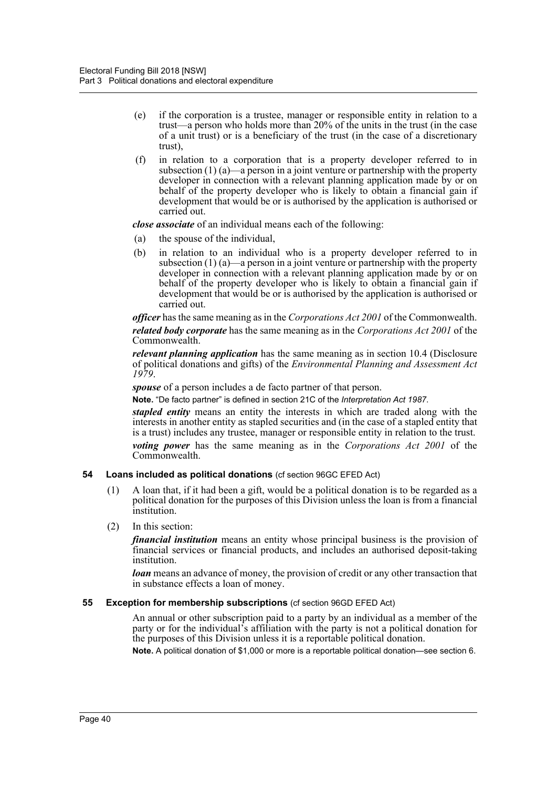- (e) if the corporation is a trustee, manager or responsible entity in relation to a trust—a person who holds more than 20% of the units in the trust (in the case of a unit trust) or is a beneficiary of the trust (in the case of a discretionary trust),
- (f) in relation to a corporation that is a property developer referred to in subsection  $(1)$  (a)—a person in a joint venture or partnership with the property developer in connection with a relevant planning application made by or on behalf of the property developer who is likely to obtain a financial gain if development that would be or is authorised by the application is authorised or carried out.

*close associate* of an individual means each of the following:

- (a) the spouse of the individual,
- (b) in relation to an individual who is a property developer referred to in subsection  $(1)$  (a)—a person in a joint venture or partnership with the property developer in connection with a relevant planning application made by or on behalf of the property developer who is likely to obtain a financial gain if development that would be or is authorised by the application is authorised or carried out.

*officer* has the same meaning as in the *Corporations Act 2001* of the Commonwealth. *related body corporate* has the same meaning as in the *Corporations Act 2001* of the Commonwealth.

*relevant planning application* has the same meaning as in section 10.4 (Disclosure of political donations and gifts) of the *Environmental Planning and Assessment Act 1979*.

*spouse* of a person includes a de facto partner of that person.

**Note.** "De facto partner" is defined in section 21C of the *Interpretation Act 1987*.

*stapled entity* means an entity the interests in which are traded along with the interests in another entity as stapled securities and (in the case of a stapled entity that is a trust) includes any trustee, manager or responsible entity in relation to the trust. *voting power* has the same meaning as in the *Corporations Act 2001* of the Commonwealth.

### **54 Loans included as political donations** (cf section 96GC EFED Act)

(1) A loan that, if it had been a gift, would be a political donation is to be regarded as a political donation for the purposes of this Division unless the loan is from a financial institution.

### (2) In this section:

*financial institution* means an entity whose principal business is the provision of financial services or financial products, and includes an authorised deposit-taking institution.

*loan* means an advance of money, the provision of credit or any other transaction that in substance effects a loan of money.

### **55 Exception for membership subscriptions** (cf section 96GD EFED Act)

An annual or other subscription paid to a party by an individual as a member of the party or for the individual's affiliation with the party is not a political donation for the purposes of this Division unless it is a reportable political donation.

**Note.** A political donation of \$1,000 or more is a reportable political donation—see section 6.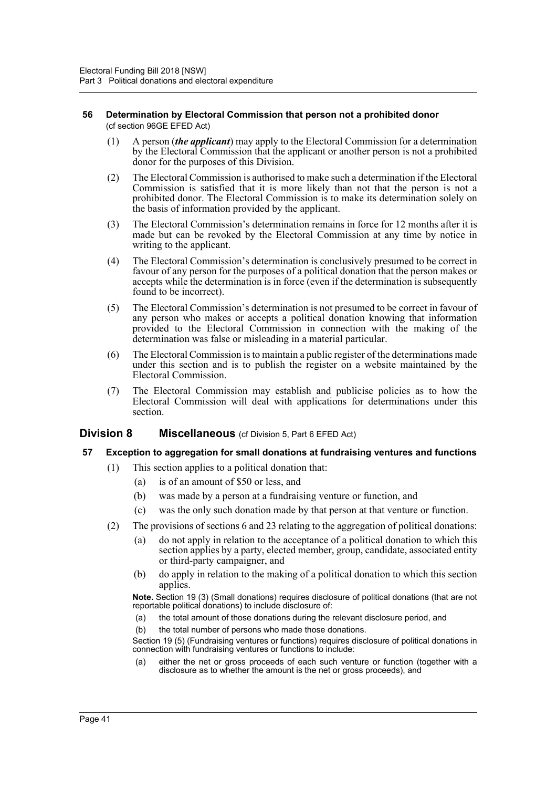### **56 Determination by Electoral Commission that person not a prohibited donor**  (cf section 96GE EFED Act)

- (1) A person (*the applicant*) may apply to the Electoral Commission for a determination by the Electoral Commission that the applicant or another person is not a prohibited donor for the purposes of this Division.
- (2) The Electoral Commission is authorised to make such a determination if the Electoral Commission is satisfied that it is more likely than not that the person is not a prohibited donor. The Electoral Commission is to make its determination solely on the basis of information provided by the applicant.
- (3) The Electoral Commission's determination remains in force for 12 months after it is made but can be revoked by the Electoral Commission at any time by notice in writing to the applicant.
- (4) The Electoral Commission's determination is conclusively presumed to be correct in favour of any person for the purposes of a political donation that the person makes or accepts while the determination is in force (even if the determination is subsequently found to be incorrect).
- (5) The Electoral Commission's determination is not presumed to be correct in favour of any person who makes or accepts a political donation knowing that information provided to the Electoral Commission in connection with the making of the determination was false or misleading in a material particular.
- (6) The Electoral Commission is to maintain a public register of the determinations made under this section and is to publish the register on a website maintained by the Electoral Commission.
- (7) The Electoral Commission may establish and publicise policies as to how the Electoral Commission will deal with applications for determinations under this section.

### **Division 8 Miscellaneous** (cf Division 5, Part 6 EFED Act)

### **57 Exception to aggregation for small donations at fundraising ventures and functions**

- (1) This section applies to a political donation that:
	- (a) is of an amount of \$50 or less, and
	- (b) was made by a person at a fundraising venture or function, and
	- (c) was the only such donation made by that person at that venture or function.
- (2) The provisions of sections 6 and 23 relating to the aggregation of political donations:
	- (a) do not apply in relation to the acceptance of a political donation to which this section applies by a party, elected member, group, candidate, associated entity or third-party campaigner, and
	- (b) do apply in relation to the making of a political donation to which this section applies.

**Note.** Section 19 (3) (Small donations) requires disclosure of political donations (that are not reportable political donations) to include disclosure of:

- (a) the total amount of those donations during the relevant disclosure period, and
- (b) the total number of persons who made those donations.

Section 19 (5) (Fundraising ventures or functions) requires disclosure of political donations in connection with fundraising ventures or functions to include:

(a) either the net or gross proceeds of each such venture or function (together with a disclosure as to whether the amount is the net or gross proceeds), and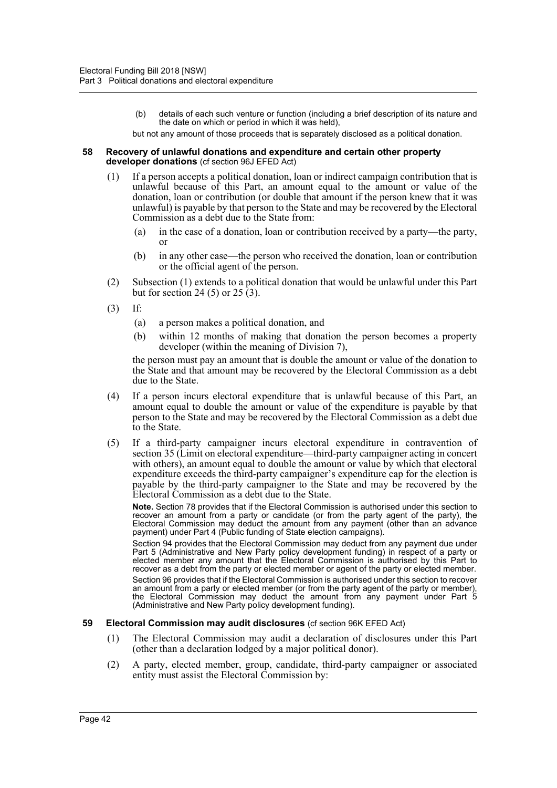(b) details of each such venture or function (including a brief description of its nature and the date on which or period in which it was held),

but not any amount of those proceeds that is separately disclosed as a political donation.

#### **58 Recovery of unlawful donations and expenditure and certain other property developer donations** (cf section 96J EFED Act)

- (1) If a person accepts a political donation, loan or indirect campaign contribution that is unlawful because of this Part, an amount equal to the amount or value of the donation, loan or contribution (or double that amount if the person knew that it was unlawful) is payable by that person to the State and may be recovered by the Electoral Commission as a debt due to the State from:
	- (a) in the case of a donation, loan or contribution received by a party—the party, or
	- (b) in any other case—the person who received the donation, loan or contribution or the official agent of the person.
- (2) Subsection (1) extends to a political donation that would be unlawful under this Part but for section 24 (5) or 25 (3).
- (3) If:
	- (a) a person makes a political donation, and
	- (b) within 12 months of making that donation the person becomes a property developer (within the meaning of Division 7),

the person must pay an amount that is double the amount or value of the donation to the State and that amount may be recovered by the Electoral Commission as a debt due to the State.

- (4) If a person incurs electoral expenditure that is unlawful because of this Part, an amount equal to double the amount or value of the expenditure is payable by that person to the State and may be recovered by the Electoral Commission as a debt due to the State.
- (5) If a third-party campaigner incurs electoral expenditure in contravention of section 35 (Limit on electoral expenditure—third-party campaigner acting in concert with others), an amount equal to double the amount or value by which that electoral expenditure exceeds the third-party campaigner's expenditure cap for the election is payable by the third-party campaigner to the State and may be recovered by the Electoral Commission as a debt due to the State.

**Note.** Section 78 provides that if the Electoral Commission is authorised under this section to recover an amount from a party or candidate (or from the party agent of the party), the Electoral Commission may deduct the amount from any payment (other than an advance payment) under Part 4 (Public funding of State election campaigns).

Section 94 provides that the Electoral Commission may deduct from any payment due under Part 5 (Administrative and New Party policy development funding) in respect of a party or elected member any amount that the Electoral Commission is authorised by this Part to recover as a debt from the party or elected member or agent of the party or elected member.

Section 96 provides that if the Electoral Commission is authorised under this section to recover an amount from a party or elected member (or from the party agent of the party or member), the Electoral Commission may deduct the amount from any payment under Part 5 (Administrative and New Party policy development funding).

### **59 Electoral Commission may audit disclosures** (cf section 96K EFED Act)

- (1) The Electoral Commission may audit a declaration of disclosures under this Part (other than a declaration lodged by a major political donor).
- (2) A party, elected member, group, candidate, third-party campaigner or associated entity must assist the Electoral Commission by: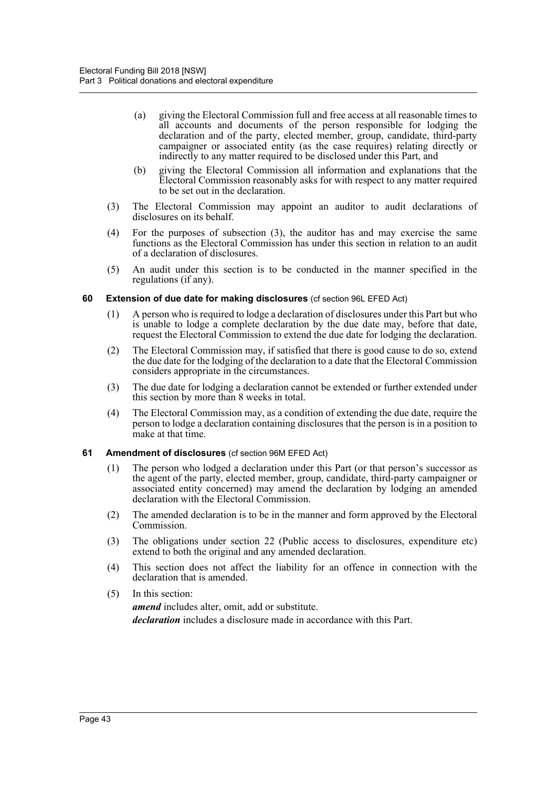- (a) giving the Electoral Commission full and free access at all reasonable times to all accounts and documents of the person responsible for lodging the declaration and of the party, elected member, group, candidate, third-party campaigner or associated entity (as the case requires) relating directly or indirectly to any matter required to be disclosed under this Part, and
- (b) giving the Electoral Commission all information and explanations that the Electoral Commission reasonably asks for with respect to any matter required to be set out in the declaration.
- (3) The Electoral Commission may appoint an auditor to audit declarations of disclosures on its behalf.
- (4) For the purposes of subsection (3), the auditor has and may exercise the same functions as the Electoral Commission has under this section in relation to an audit of a declaration of disclosures.
- (5) An audit under this section is to be conducted in the manner specified in the regulations (if any).

### **60 Extension of due date for making disclosures** (cf section 96L EFED Act)

- (1) A person who is required to lodge a declaration of disclosures under this Part but who is unable to lodge a complete declaration by the due date may, before that date, request the Electoral Commission to extend the due date for lodging the declaration.
- (2) The Electoral Commission may, if satisfied that there is good cause to do so, extend the due date for the lodging of the declaration to a date that the Electoral Commission considers appropriate in the circumstances.
- (3) The due date for lodging a declaration cannot be extended or further extended under this section by more than 8 weeks in total.
- (4) The Electoral Commission may, as a condition of extending the due date, require the person to lodge a declaration containing disclosures that the person is in a position to make at that time.

### **61 Amendment of disclosures** (cf section 96M EFED Act)

- (1) The person who lodged a declaration under this Part (or that person's successor as the agent of the party, elected member, group, candidate, third-party campaigner or associated entity concerned) may amend the declaration by lodging an amended declaration with the Electoral Commission.
- (2) The amended declaration is to be in the manner and form approved by the Electoral Commission.
- (3) The obligations under section 22 (Public access to disclosures, expenditure etc) extend to both the original and any amended declaration.
- (4) This section does not affect the liability for an offence in connection with the declaration that is amended.
- (5) In this section:
	- *amend* includes alter, omit, add or substitute. *declaration* includes a disclosure made in accordance with this Part.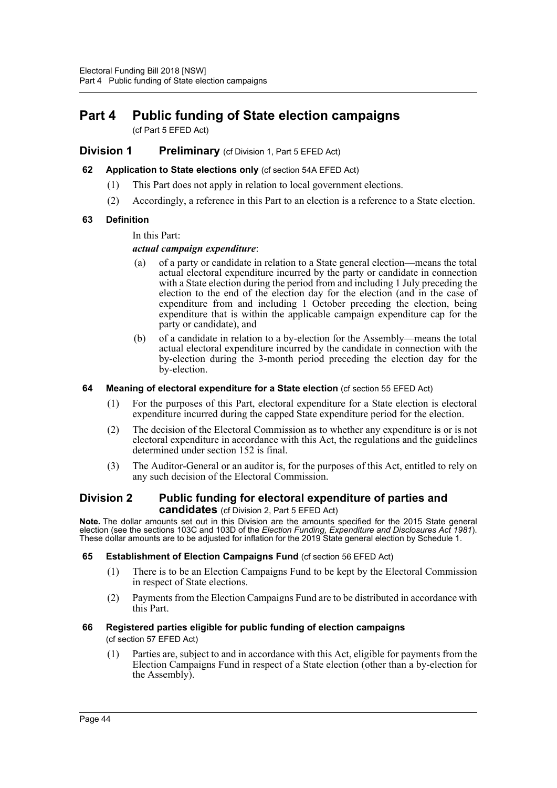# **Part 4 Public funding of State election campaigns**

(cf Part 5 EFED Act)

## **Division 1 Preliminary** (cf Division 1, Part 5 EFED Act)

### **62 Application to State elections only** (cf section 54A EFED Act)

- (1) This Part does not apply in relation to local government elections.
- (2) Accordingly, a reference in this Part to an election is a reference to a State election.

## **63 Definition**

## In this Part:

## *actual campaign expenditure*:

- (a) of a party or candidate in relation to a State general election—means the total actual electoral expenditure incurred by the party or candidate in connection with a State election during the period from and including 1 July preceding the election to the end of the election day for the election (and in the case of expenditure from and including 1 October preceding the election, being expenditure that is within the applicable campaign expenditure cap for the party or candidate), and
- (b) of a candidate in relation to a by-election for the Assembly—means the total actual electoral expenditure incurred by the candidate in connection with the by-election during the 3-month period preceding the election day for the by-election.

### **64 Meaning of electoral expenditure for a State election** (cf section 55 EFED Act)

- (1) For the purposes of this Part, electoral expenditure for a State election is electoral expenditure incurred during the capped State expenditure period for the election.
- (2) The decision of the Electoral Commission as to whether any expenditure is or is not electoral expenditure in accordance with this Act, the regulations and the guidelines determined under section 152 is final.
- (3) The Auditor-General or an auditor is, for the purposes of this Act, entitled to rely on any such decision of the Electoral Commission.

## **Division 2 Public funding for electoral expenditure of parties and candidates** (cf Division 2, Part 5 EFED Act)

**Note.** The dollar amounts set out in this Division are the amounts specified for the 2015 State general election (see the sections 103C and 103D of the *Election Funding, Expenditure and Disclosures Act 1981*). These dollar amounts are to be adjusted for inflation for the 2019 State general election by Schedule 1.

### **65 Establishment of Election Campaigns Fund** (cf section 56 EFED Act)

- (1) There is to be an Election Campaigns Fund to be kept by the Electoral Commission in respect of State elections.
- (2) Payments from the Election Campaigns Fund are to be distributed in accordance with this Part.

### **66 Registered parties eligible for public funding of election campaigns**

(cf section 57 EFED Act)

(1) Parties are, subject to and in accordance with this Act, eligible for payments from the Election Campaigns Fund in respect of a State election (other than a by-election for the Assembly).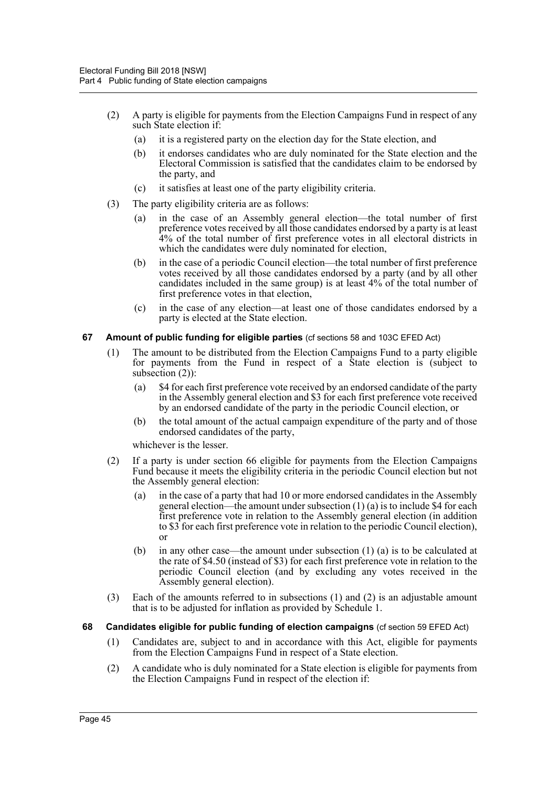- (2) A party is eligible for payments from the Election Campaigns Fund in respect of any such State election if:
	- (a) it is a registered party on the election day for the State election, and
	- (b) it endorses candidates who are duly nominated for the State election and the Electoral Commission is satisfied that the candidates claim to be endorsed by the party, and
	- (c) it satisfies at least one of the party eligibility criteria.
- (3) The party eligibility criteria are as follows:
	- (a) in the case of an Assembly general election—the total number of first preference votes received by all those candidates endorsed by a party is at least 4% of the total number of first preference votes in all electoral districts in which the candidates were duly nominated for election,
	- (b) in the case of a periodic Council election—the total number of first preference votes received by all those candidates endorsed by a party (and by all other candidates included in the same group) is at least 4% of the total number of first preference votes in that election,
	- (c) in the case of any election—at least one of those candidates endorsed by a party is elected at the State election.

## **67 Amount of public funding for eligible parties** (cf sections 58 and 103C EFED Act)

- (1) The amount to be distributed from the Election Campaigns Fund to a party eligible for payments from the Fund in respect of a State election is (subject to subsection (2)):
	- (a) \$4 for each first preference vote received by an endorsed candidate of the party in the Assembly general election and \$3 for each first preference vote received by an endorsed candidate of the party in the periodic Council election, or
	- (b) the total amount of the actual campaign expenditure of the party and of those endorsed candidates of the party,

whichever is the lesser.

- (2) If a party is under section 66 eligible for payments from the Election Campaigns Fund because it meets the eligibility criteria in the periodic Council election but not the Assembly general election:
	- (a) in the case of a party that had 10 or more endorsed candidates in the Assembly general election—the amount under subsection  $(1)$  (a) is to include \$4 for each first preference vote in relation to the Assembly general election (in addition to \$3 for each first preference vote in relation to the periodic Council election), or
	- (b) in any other case—the amount under subsection (1) (a) is to be calculated at the rate of \$4.50 (instead of \$3) for each first preference vote in relation to the periodic Council election (and by excluding any votes received in the Assembly general election).
- (3) Each of the amounts referred to in subsections (1) and (2) is an adjustable amount that is to be adjusted for inflation as provided by Schedule 1.
- **68 Candidates eligible for public funding of election campaigns** (cf section 59 EFED Act)
	- (1) Candidates are, subject to and in accordance with this Act, eligible for payments from the Election Campaigns Fund in respect of a State election.
	- (2) A candidate who is duly nominated for a State election is eligible for payments from the Election Campaigns Fund in respect of the election if: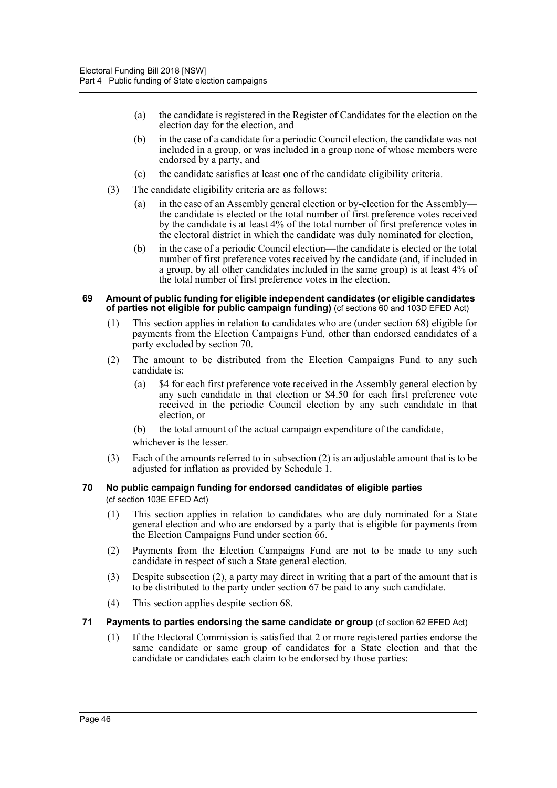- (a) the candidate is registered in the Register of Candidates for the election on the election day for the election, and
- (b) in the case of a candidate for a periodic Council election, the candidate was not included in a group, or was included in a group none of whose members were endorsed by a party, and
- (c) the candidate satisfies at least one of the candidate eligibility criteria.
- (3) The candidate eligibility criteria are as follows:
	- (a) in the case of an Assembly general election or by-election for the Assembly the candidate is elected or the total number of first preference votes received by the candidate is at least 4% of the total number of first preference votes in the electoral district in which the candidate was duly nominated for election,
	- (b) in the case of a periodic Council election—the candidate is elected or the total number of first preference votes received by the candidate (and, if included in a group, by all other candidates included in the same group) is at least 4% of the total number of first preference votes in the election.

#### **69 Amount of public funding for eligible independent candidates (or eligible candidates of parties not eligible for public campaign funding)** (cf sections 60 and 103D EFED Act)

- (1) This section applies in relation to candidates who are (under section 68) eligible for payments from the Election Campaigns Fund, other than endorsed candidates of a party excluded by section 70.
- (2) The amount to be distributed from the Election Campaigns Fund to any such candidate is:
	- (a) \$4 for each first preference vote received in the Assembly general election by any such candidate in that election or \$4.50 for each first preference vote received in the periodic Council election by any such candidate in that election, or
	- (b) the total amount of the actual campaign expenditure of the candidate,
	- whichever is the lesser.
- (3) Each of the amounts referred to in subsection (2) is an adjustable amount that is to be adjusted for inflation as provided by Schedule 1.

#### **70 No public campaign funding for endorsed candidates of eligible parties**  (cf section 103E EFED Act)

- (1) This section applies in relation to candidates who are duly nominated for a State general election and who are endorsed by a party that is eligible for payments from the Election Campaigns Fund under section 66.
- (2) Payments from the Election Campaigns Fund are not to be made to any such candidate in respect of such a State general election.
- (3) Despite subsection (2), a party may direct in writing that a part of the amount that is to be distributed to the party under section 67 be paid to any such candidate.
- (4) This section applies despite section 68.

### **71 Payments to parties endorsing the same candidate or group** (cf section 62 EFED Act)

(1) If the Electoral Commission is satisfied that 2 or more registered parties endorse the same candidate or same group of candidates for a State election and that the candidate or candidates each claim to be endorsed by those parties: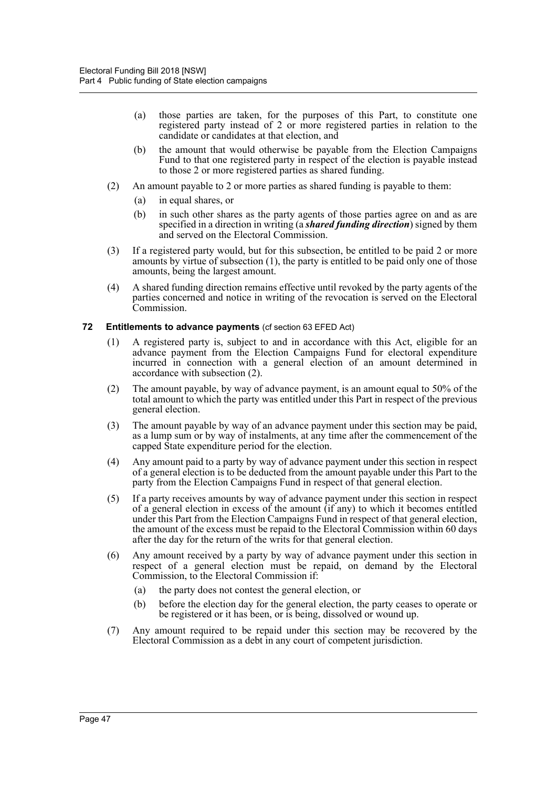- (a) those parties are taken, for the purposes of this Part, to constitute one registered party instead of 2 or more registered parties in relation to the candidate or candidates at that election, and
- (b) the amount that would otherwise be payable from the Election Campaigns Fund to that one registered party in respect of the election is payable instead to those 2 or more registered parties as shared funding.
- (2) An amount payable to 2 or more parties as shared funding is payable to them:
	- (a) in equal shares, or
	- (b) in such other shares as the party agents of those parties agree on and as are specified in a direction in writing (a *shared funding direction*) signed by them and served on the Electoral Commission.
- (3) If a registered party would, but for this subsection, be entitled to be paid 2 or more amounts by virtue of subsection (1), the party is entitled to be paid only one of those amounts, being the largest amount.
- (4) A shared funding direction remains effective until revoked by the party agents of the parties concerned and notice in writing of the revocation is served on the Electoral Commission.
- **72 Entitlements to advance payments** (cf section 63 EFED Act)
	- (1) A registered party is, subject to and in accordance with this Act, eligible for an advance payment from the Election Campaigns Fund for electoral expenditure incurred in connection with a general election of an amount determined in accordance with subsection (2).
	- (2) The amount payable, by way of advance payment, is an amount equal to 50% of the total amount to which the party was entitled under this Part in respect of the previous general election.
	- (3) The amount payable by way of an advance payment under this section may be paid, as a lump sum or by way of instalments, at any time after the commencement of the capped State expenditure period for the election.
	- (4) Any amount paid to a party by way of advance payment under this section in respect of a general election is to be deducted from the amount payable under this Part to the party from the Election Campaigns Fund in respect of that general election.
	- (5) If a party receives amounts by way of advance payment under this section in respect of a general election in excess of the amount (if any) to which it becomes entitled under this Part from the Election Campaigns Fund in respect of that general election, the amount of the excess must be repaid to the Electoral Commission within 60 days after the day for the return of the writs for that general election.
	- (6) Any amount received by a party by way of advance payment under this section in respect of a general election must be repaid, on demand by the Electoral Commission, to the Electoral Commission if:
		- (a) the party does not contest the general election, or
		- (b) before the election day for the general election, the party ceases to operate or be registered or it has been, or is being, dissolved or wound up.
	- (7) Any amount required to be repaid under this section may be recovered by the Electoral Commission as a debt in any court of competent jurisdiction.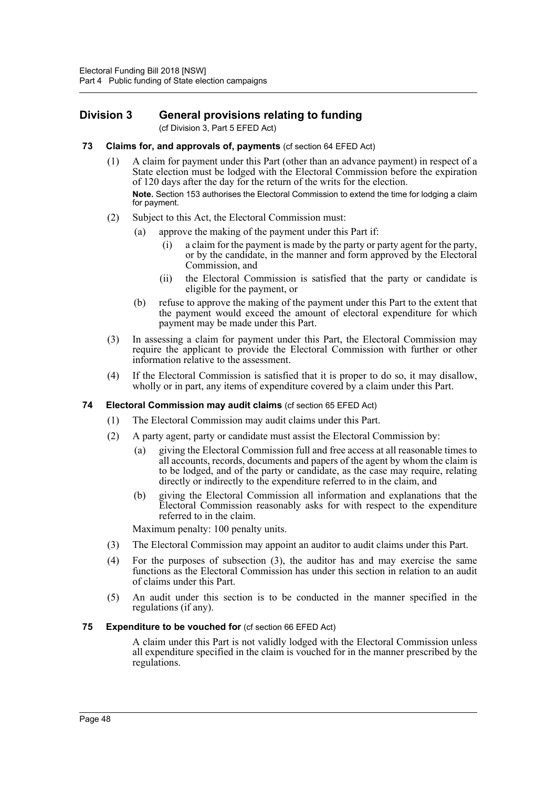## **Division 3 General provisions relating to funding**

(cf Division 3, Part 5 EFED Act)

- **73 Claims for, and approvals of, payments** (cf section 64 EFED Act)
	- (1) A claim for payment under this Part (other than an advance payment) in respect of a State election must be lodged with the Electoral Commission before the expiration of 120 days after the day for the return of the writs for the election. **Note.** Section 153 authorises the Electoral Commission to extend the time for lodging a claim for payment.
	- (2) Subject to this Act, the Electoral Commission must:
		- (a) approve the making of the payment under this Part if:
			- (i) a claim for the payment is made by the party or party agent for the party, or by the candidate, in the manner and form approved by the Electoral Commission, and
			- (ii) the Electoral Commission is satisfied that the party or candidate is eligible for the payment, or
		- (b) refuse to approve the making of the payment under this Part to the extent that the payment would exceed the amount of electoral expenditure for which payment may be made under this Part.
	- (3) In assessing a claim for payment under this Part, the Electoral Commission may require the applicant to provide the Electoral Commission with further or other information relative to the assessment.
	- (4) If the Electoral Commission is satisfied that it is proper to do so, it may disallow, wholly or in part, any items of expenditure covered by a claim under this Part.

### **74 Electoral Commission may audit claims** (cf section 65 EFED Act)

- (1) The Electoral Commission may audit claims under this Part.
- (2) A party agent, party or candidate must assist the Electoral Commission by:
	- (a) giving the Electoral Commission full and free access at all reasonable times to all accounts, records, documents and papers of the agent by whom the claim is to be lodged, and of the party or candidate, as the case may require, relating directly or indirectly to the expenditure referred to in the claim, and
	- (b) giving the Electoral Commission all information and explanations that the Electoral Commission reasonably asks for with respect to the expenditure referred to in the claim.

Maximum penalty: 100 penalty units.

- (3) The Electoral Commission may appoint an auditor to audit claims under this Part.
- (4) For the purposes of subsection (3), the auditor has and may exercise the same functions as the Electoral Commission has under this section in relation to an audit of claims under this Part.
- (5) An audit under this section is to be conducted in the manner specified in the regulations (if any).

### **75 Expenditure to be vouched for** (cf section 66 EFED Act)

A claim under this Part is not validly lodged with the Electoral Commission unless all expenditure specified in the claim is vouched for in the manner prescribed by the regulations.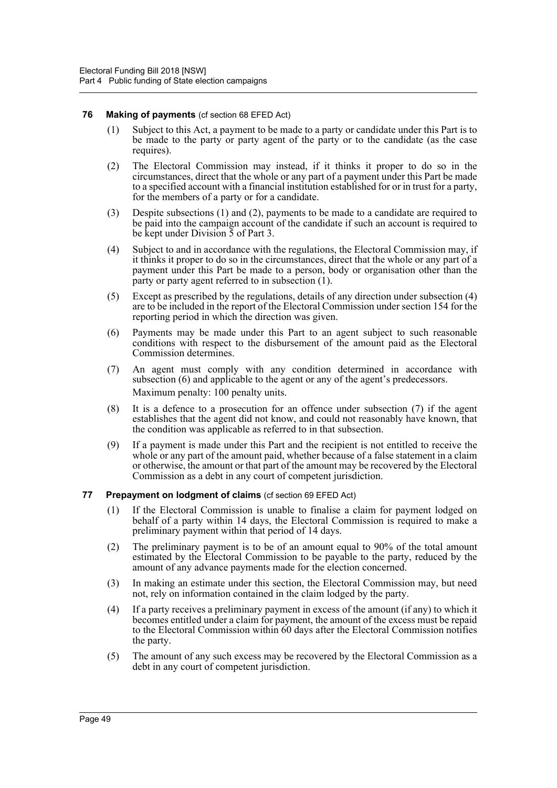### **76 Making of payments** (cf section 68 EFED Act)

- (1) Subject to this Act, a payment to be made to a party or candidate under this Part is to be made to the party or party agent of the party or to the candidate (as the case requires).
- (2) The Electoral Commission may instead, if it thinks it proper to do so in the circumstances, direct that the whole or any part of a payment under this Part be made to a specified account with a financial institution established for or in trust for a party, for the members of a party or for a candidate.
- (3) Despite subsections (1) and (2), payments to be made to a candidate are required to be paid into the campaign account of the candidate if such an account is required to be kept under Division 5 of Part 3.
- (4) Subject to and in accordance with the regulations, the Electoral Commission may, if it thinks it proper to do so in the circumstances, direct that the whole or any part of a payment under this Part be made to a person, body or organisation other than the party or party agent referred to in subsection (1).
- (5) Except as prescribed by the regulations, details of any direction under subsection (4) are to be included in the report of the Electoral Commission under section 154 for the reporting period in which the direction was given.
- (6) Payments may be made under this Part to an agent subject to such reasonable conditions with respect to the disbursement of the amount paid as the Electoral Commission determines.
- (7) An agent must comply with any condition determined in accordance with subsection (6) and applicable to the agent or any of the agent's predecessors. Maximum penalty: 100 penalty units.
- (8) It is a defence to a prosecution for an offence under subsection (7) if the agent establishes that the agent did not know, and could not reasonably have known, that the condition was applicable as referred to in that subsection.
- (9) If a payment is made under this Part and the recipient is not entitled to receive the whole or any part of the amount paid, whether because of a false statement in a claim or otherwise, the amount or that part of the amount may be recovered by the Electoral Commission as a debt in any court of competent jurisdiction.
- **77 Prepayment on lodgment of claims** (cf section 69 EFED Act)
	- (1) If the Electoral Commission is unable to finalise a claim for payment lodged on behalf of a party within 14 days, the Electoral Commission is required to make a preliminary payment within that period of 14 days.
	- (2) The preliminary payment is to be of an amount equal to 90% of the total amount estimated by the Electoral Commission to be payable to the party, reduced by the amount of any advance payments made for the election concerned.
	- (3) In making an estimate under this section, the Electoral Commission may, but need not, rely on information contained in the claim lodged by the party.
	- (4) If a party receives a preliminary payment in excess of the amount (if any) to which it becomes entitled under a claim for payment, the amount of the excess must be repaid to the Electoral Commission within 60 days after the Electoral Commission notifies the party.
	- (5) The amount of any such excess may be recovered by the Electoral Commission as a debt in any court of competent jurisdiction.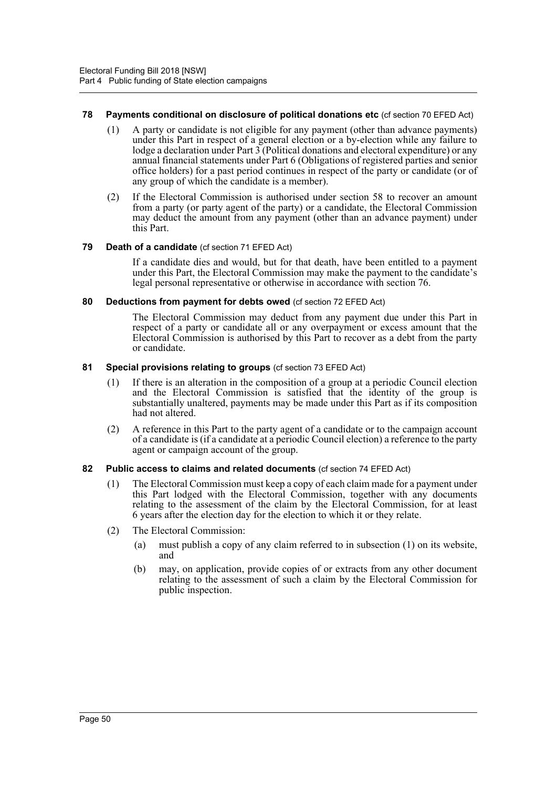### **78 Payments conditional on disclosure of political donations etc** (cf section 70 EFED Act)

- (1) A party or candidate is not eligible for any payment (other than advance payments) under this Part in respect of a general election or a by-election while any failure to lodge a declaration under Part  $3$  (Political donations and electoral expenditure) or any annual financial statements under Part 6 (Obligations of registered parties and senior office holders) for a past period continues in respect of the party or candidate (or of any group of which the candidate is a member).
- (2) If the Electoral Commission is authorised under section 58 to recover an amount from a party (or party agent of the party) or a candidate, the Electoral Commission may deduct the amount from any payment (other than an advance payment) under this Part.

### **79 Death of a candidate** (cf section 71 EFED Act)

If a candidate dies and would, but for that death, have been entitled to a payment under this Part, the Electoral Commission may make the payment to the candidate's legal personal representative or otherwise in accordance with section 76.

### **80 Deductions from payment for debts owed** (cf section 72 EFED Act)

The Electoral Commission may deduct from any payment due under this Part in respect of a party or candidate all or any overpayment or excess amount that the Electoral Commission is authorised by this Part to recover as a debt from the party or candidate.

### **81 Special provisions relating to groups** (cf section 73 EFED Act)

- (1) If there is an alteration in the composition of a group at a periodic Council election and the Electoral Commission is satisfied that the identity of the group is substantially unaltered, payments may be made under this Part as if its composition had not altered.
- (2) A reference in this Part to the party agent of a candidate or to the campaign account of a candidate is (if a candidate at a periodic Council election) a reference to the party agent or campaign account of the group.

## **82 Public access to claims and related documents** (cf section 74 EFED Act)

- (1) The Electoral Commission must keep a copy of each claim made for a payment under this Part lodged with the Electoral Commission, together with any documents relating to the assessment of the claim by the Electoral Commission, for at least 6 years after the election day for the election to which it or they relate.
- (2) The Electoral Commission:
	- (a) must publish a copy of any claim referred to in subsection (1) on its website, and
	- (b) may, on application, provide copies of or extracts from any other document relating to the assessment of such a claim by the Electoral Commission for public inspection.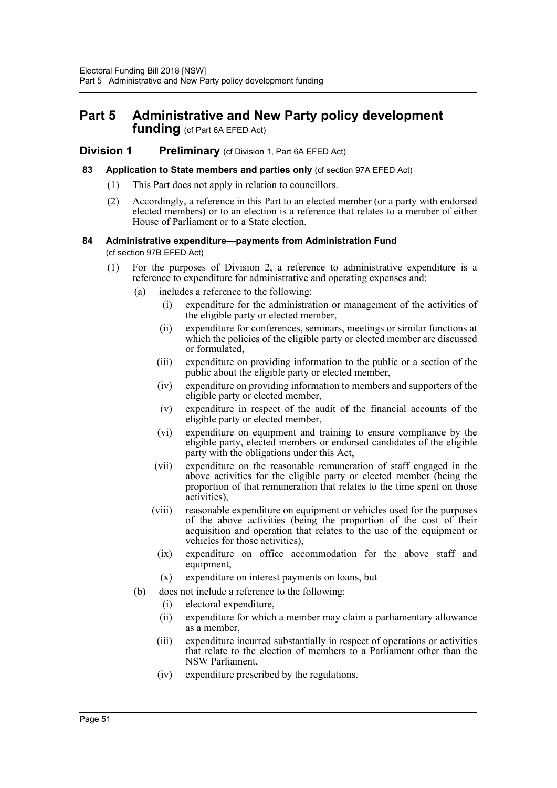## **Part 5 Administrative and New Party policy development funding** (cf Part 6A EFED Act)

## **Division 1 Preliminary** (cf Division 1, Part 6A EFED Act)

### **83 Application to State members and parties only** (cf section 97A EFED Act)

- (1) This Part does not apply in relation to councillors.
- (2) Accordingly, a reference in this Part to an elected member (or a party with endorsed elected members) or to an election is a reference that relates to a member of either House of Parliament or to a State election.

### **84 Administrative expenditure—payments from Administration Fund**  (cf section 97B EFED Act)

- (1) For the purposes of Division 2, a reference to administrative expenditure is a reference to expenditure for administrative and operating expenses and:
	- (a) includes a reference to the following:
		- (i) expenditure for the administration or management of the activities of the eligible party or elected member,
		- (ii) expenditure for conferences, seminars, meetings or similar functions at which the policies of the eligible party or elected member are discussed or formulated,
		- (iii) expenditure on providing information to the public or a section of the public about the eligible party or elected member,
		- (iv) expenditure on providing information to members and supporters of the eligible party or elected member,
		- (v) expenditure in respect of the audit of the financial accounts of the eligible party or elected member,
		- (vi) expenditure on equipment and training to ensure compliance by the eligible party, elected members or endorsed candidates of the eligible party with the obligations under this Act,
		- (vii) expenditure on the reasonable remuneration of staff engaged in the above activities for the eligible party or elected member (being the proportion of that remuneration that relates to the time spent on those activities),
		- (viii) reasonable expenditure on equipment or vehicles used for the purposes of the above activities (being the proportion of the cost of their acquisition and operation that relates to the use of the equipment or vehicles for those activities),
		- (ix) expenditure on office accommodation for the above staff and equipment,
		- (x) expenditure on interest payments on loans, but
	- (b) does not include a reference to the following:
		- (i) electoral expenditure,
		- (ii) expenditure for which a member may claim a parliamentary allowance as a member,
		- (iii) expenditure incurred substantially in respect of operations or activities that relate to the election of members to a Parliament other than the NSW Parliament,
		- (iv) expenditure prescribed by the regulations.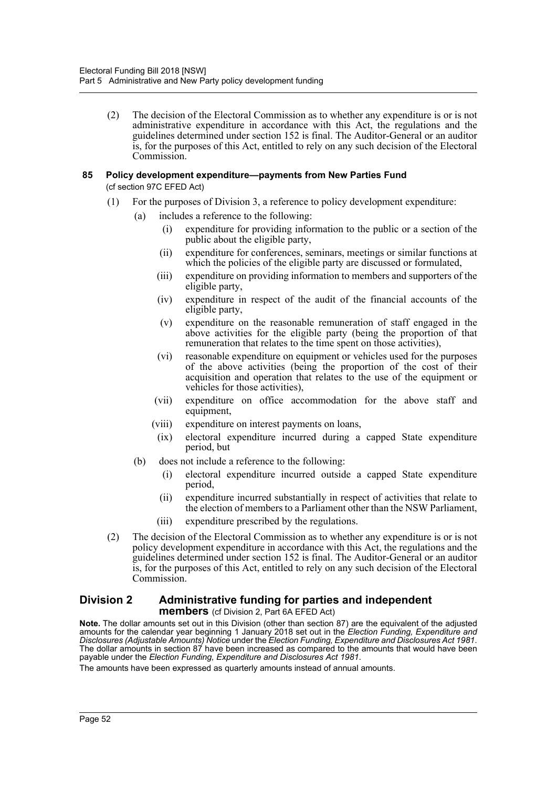(2) The decision of the Electoral Commission as to whether any expenditure is or is not administrative expenditure in accordance with this Act, the regulations and the guidelines determined under section 152 is final. The Auditor-General or an auditor is, for the purposes of this Act, entitled to rely on any such decision of the Electoral Commission.

### **85 Policy development expenditure—payments from New Parties Fund** (cf section 97C EFED Act)

- (1) For the purposes of Division 3, a reference to policy development expenditure:
	- (a) includes a reference to the following:
		- (i) expenditure for providing information to the public or a section of the public about the eligible party,
		- (ii) expenditure for conferences, seminars, meetings or similar functions at which the policies of the eligible party are discussed or formulated,
		- (iii) expenditure on providing information to members and supporters of the eligible party,
		- (iv) expenditure in respect of the audit of the financial accounts of the eligible party,
		- (v) expenditure on the reasonable remuneration of staff engaged in the above activities for the eligible party (being the proportion of that remuneration that relates to the time spent on those activities),
		- (vi) reasonable expenditure on equipment or vehicles used for the purposes of the above activities (being the proportion of the cost of their acquisition and operation that relates to the use of the equipment or vehicles for those activities),
		- (vii) expenditure on office accommodation for the above staff and equipment,
		- (viii) expenditure on interest payments on loans,
		- (ix) electoral expenditure incurred during a capped State expenditure period, but
	- (b) does not include a reference to the following:
		- (i) electoral expenditure incurred outside a capped State expenditure period,
		- (ii) expenditure incurred substantially in respect of activities that relate to the election of members to a Parliament other than the NSW Parliament,
		- (iii) expenditure prescribed by the regulations.
- (2) The decision of the Electoral Commission as to whether any expenditure is or is not policy development expenditure in accordance with this Act, the regulations and the guidelines determined under section 152 is final. The Auditor-General or an auditor is, for the purposes of this Act, entitled to rely on any such decision of the Electoral Commission.

## **Division 2 Administrative funding for parties and independent members** (cf Division 2, Part 6A EFED Act)

**Note.** The dollar amounts set out in this Division (other than section 87) are the equivalent of the adjusted amounts for the calendar year beginning 1 January 2018 set out in the *Election Funding, Expenditure and Disclosures (Adjustable Amounts) Notice* under the *Election Funding, Expenditure and Disclosures Act 1981*. The dollar amounts in section 87 have been increased as compared to the amounts that would have been payable under the *Election Funding, Expenditure and Disclosures Act 1981*.

The amounts have been expressed as quarterly amounts instead of annual amounts.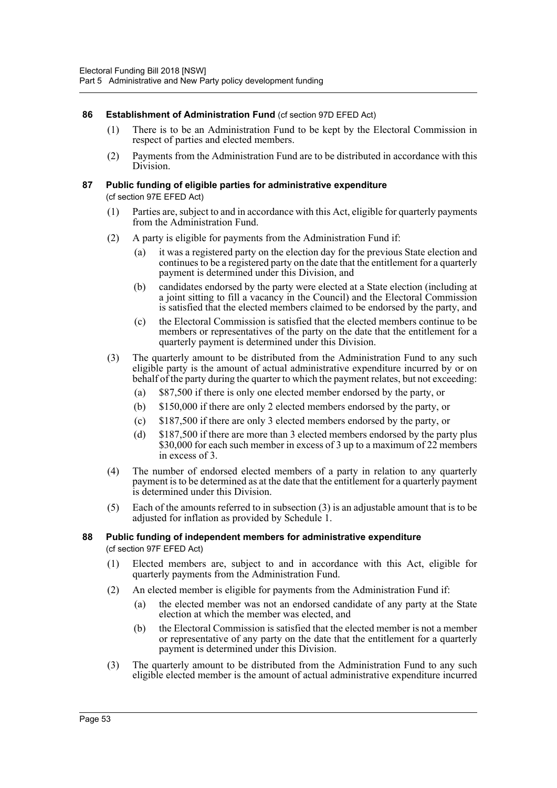## **86 Establishment of Administration Fund** (cf section 97D EFED Act)

- (1) There is to be an Administration Fund to be kept by the Electoral Commission in respect of parties and elected members.
- (2) Payments from the Administration Fund are to be distributed in accordance with this Division.

### **87 Public funding of eligible parties for administrative expenditure**  (cf section 97E EFED Act)

- (1) Parties are, subject to and in accordance with this Act, eligible for quarterly payments from the Administration Fund.
- (2) A party is eligible for payments from the Administration Fund if:
	- (a) it was a registered party on the election day for the previous State election and continues to be a registered party on the date that the entitlement for a quarterly payment is determined under this Division, and
	- (b) candidates endorsed by the party were elected at a State election (including at a joint sitting to fill a vacancy in the Council) and the Electoral Commission is satisfied that the elected members claimed to be endorsed by the party, and
	- (c) the Electoral Commission is satisfied that the elected members continue to be members or representatives of the party on the date that the entitlement for a quarterly payment is determined under this Division.
- (3) The quarterly amount to be distributed from the Administration Fund to any such eligible party is the amount of actual administrative expenditure incurred by or on behalf of the party during the quarter to which the payment relates, but not exceeding:
	- (a) \$87,500 if there is only one elected member endorsed by the party, or
	- (b) \$150,000 if there are only 2 elected members endorsed by the party, or
	- (c) \$187,500 if there are only 3 elected members endorsed by the party, or
	- (d) \$187,500 if there are more than 3 elected members endorsed by the party plus \$30,000 for each such member in excess of 3 up to a maximum of 22 members in excess of 3.
- (4) The number of endorsed elected members of a party in relation to any quarterly payment is to be determined as at the date that the entitlement for a quarterly payment is determined under this Division.
- (5) Each of the amounts referred to in subsection (3) is an adjustable amount that is to be adjusted for inflation as provided by Schedule 1.

## **88 Public funding of independent members for administrative expenditure**  (cf section 97F EFED Act)

- (1) Elected members are, subject to and in accordance with this Act, eligible for quarterly payments from the Administration Fund.
- (2) An elected member is eligible for payments from the Administration Fund if:
	- (a) the elected member was not an endorsed candidate of any party at the State election at which the member was elected, and
	- (b) the Electoral Commission is satisfied that the elected member is not a member or representative of any party on the date that the entitlement for a quarterly payment is determined under this Division.
- (3) The quarterly amount to be distributed from the Administration Fund to any such eligible elected member is the amount of actual administrative expenditure incurred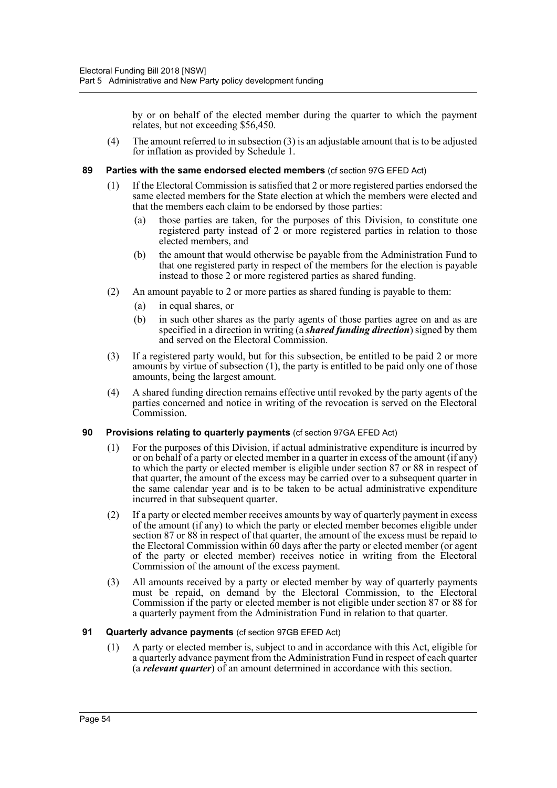by or on behalf of the elected member during the quarter to which the payment relates, but not exceeding \$56,450.

(4) The amount referred to in subsection (3) is an adjustable amount that is to be adjusted for inflation as provided by Schedule 1.

### **89 Parties with the same endorsed elected members** (cf section 97G EFED Act)

- (1) If the Electoral Commission is satisfied that 2 or more registered parties endorsed the same elected members for the State election at which the members were elected and that the members each claim to be endorsed by those parties:
	- (a) those parties are taken, for the purposes of this Division, to constitute one registered party instead of 2 or more registered parties in relation to those elected members, and
	- (b) the amount that would otherwise be payable from the Administration Fund to that one registered party in respect of the members for the election is payable instead to those 2 or more registered parties as shared funding.
- (2) An amount payable to 2 or more parties as shared funding is payable to them:
	- (a) in equal shares, or
	- (b) in such other shares as the party agents of those parties agree on and as are specified in a direction in writing (a *shared funding direction*) signed by them and served on the Electoral Commission.
- (3) If a registered party would, but for this subsection, be entitled to be paid 2 or more amounts by virtue of subsection (1), the party is entitled to be paid only one of those amounts, being the largest amount.
- (4) A shared funding direction remains effective until revoked by the party agents of the parties concerned and notice in writing of the revocation is served on the Electoral Commission.

## **90 Provisions relating to quarterly payments** (cf section 97GA EFED Act)

- (1) For the purposes of this Division, if actual administrative expenditure is incurred by or on behalf of a party or elected member in a quarter in excess of the amount (if any) to which the party or elected member is eligible under section 87 or 88 in respect of that quarter, the amount of the excess may be carried over to a subsequent quarter in the same calendar year and is to be taken to be actual administrative expenditure incurred in that subsequent quarter.
- (2) If a party or elected member receives amounts by way of quarterly payment in excess of the amount (if any) to which the party or elected member becomes eligible under section 87 or 88 in respect of that quarter, the amount of the excess must be repaid to the Electoral Commission within 60 days after the party or elected member (or agent of the party or elected member) receives notice in writing from the Electoral Commission of the amount of the excess payment.
- (3) All amounts received by a party or elected member by way of quarterly payments must be repaid, on demand by the Electoral Commission, to the Electoral Commission if the party or elected member is not eligible under section 87 or 88 for a quarterly payment from the Administration Fund in relation to that quarter.

## **91 Quarterly advance payments** (cf section 97GB EFED Act)

(1) A party or elected member is, subject to and in accordance with this Act, eligible for a quarterly advance payment from the Administration Fund in respect of each quarter (a *relevant quarter*) of an amount determined in accordance with this section.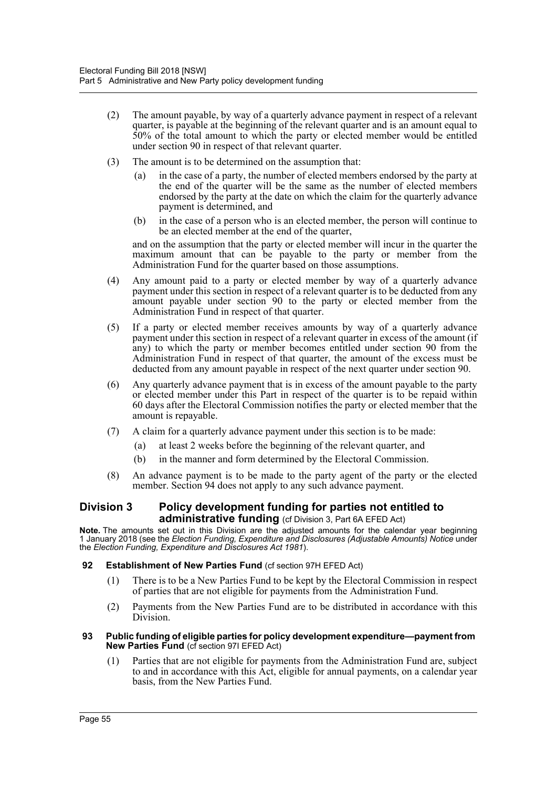- (2) The amount payable, by way of a quarterly advance payment in respect of a relevant quarter, is payable at the beginning of the relevant quarter and is an amount equal to 50% of the total amount to which the party or elected member would be entitled under section 90 in respect of that relevant quarter.
- (3) The amount is to be determined on the assumption that:
	- (a) in the case of a party, the number of elected members endorsed by the party at the end of the quarter will be the same as the number of elected members endorsed by the party at the date on which the claim for the quarterly advance payment is determined, and
	- (b) in the case of a person who is an elected member, the person will continue to be an elected member at the end of the quarter,

and on the assumption that the party or elected member will incur in the quarter the maximum amount that can be payable to the party or member from the Administration Fund for the quarter based on those assumptions.

- (4) Any amount paid to a party or elected member by way of a quarterly advance payment under this section in respect of a relevant quarter is to be deducted from any amount payable under section 90 to the party or elected member from the Administration Fund in respect of that quarter.
- (5) If a party or elected member receives amounts by way of a quarterly advance payment under this section in respect of a relevant quarter in excess of the amount (if any) to which the party or member becomes entitled under section 90 from the Administration Fund in respect of that quarter, the amount of the excess must be deducted from any amount payable in respect of the next quarter under section 90.
- (6) Any quarterly advance payment that is in excess of the amount payable to the party or elected member under this Part in respect of the quarter is to be repaid within 60 days after the Electoral Commission notifies the party or elected member that the amount is repayable.
- (7) A claim for a quarterly advance payment under this section is to be made:
	- (a) at least 2 weeks before the beginning of the relevant quarter, and
	- (b) in the manner and form determined by the Electoral Commission.
- (8) An advance payment is to be made to the party agent of the party or the elected member. Section 94 does not apply to any such advance payment.

## **Division 3 Policy development funding for parties not entitled to administrative funding** (cf Division 3, Part 6A EFED Act)

**Note.** The amounts set out in this Division are the adjusted amounts for the calendar year beginning 1 January 2018 (see the *Election Funding, Expenditure and Disclosures (Adjustable Amounts) Notice* under the *Election Funding, Expenditure and Disclosures Act 1981*).

### **92 Establishment of New Parties Fund** (cf section 97H EFED Act)

- (1) There is to be a New Parties Fund to be kept by the Electoral Commission in respect of parties that are not eligible for payments from the Administration Fund.
- (2) Payments from the New Parties Fund are to be distributed in accordance with this Division.

#### **93 Public funding of eligible parties for policy development expenditure—payment from New Parties Fund** (cf section 97I EFED Act)

(1) Parties that are not eligible for payments from the Administration Fund are, subject to and in accordance with this Act, eligible for annual payments, on a calendar year basis, from the New Parties Fund.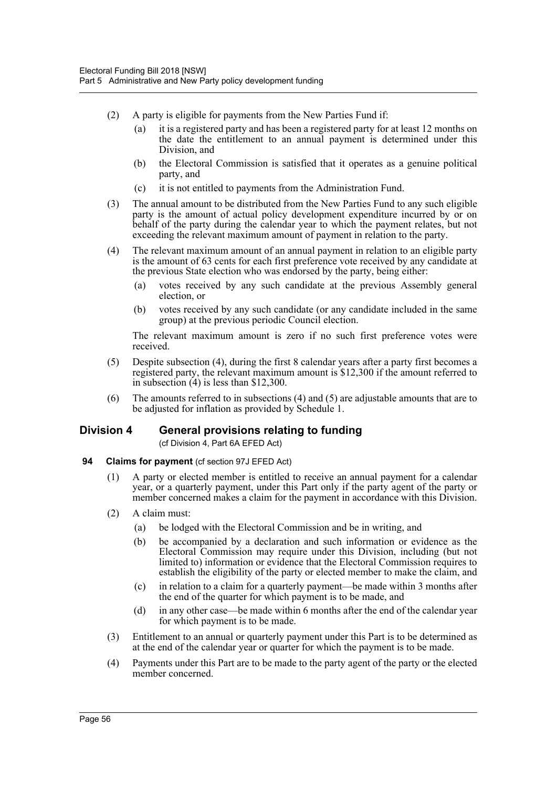- (2) A party is eligible for payments from the New Parties Fund if:
	- (a) it is a registered party and has been a registered party for at least 12 months on the date the entitlement to an annual payment is determined under this Division, and
	- (b) the Electoral Commission is satisfied that it operates as a genuine political party, and
	- (c) it is not entitled to payments from the Administration Fund.
- (3) The annual amount to be distributed from the New Parties Fund to any such eligible party is the amount of actual policy development expenditure incurred by or on behalf of the party during the calendar year to which the payment relates, but not exceeding the relevant maximum amount of payment in relation to the party.
- (4) The relevant maximum amount of an annual payment in relation to an eligible party is the amount of 63 cents for each first preference vote received by any candidate at the previous State election who was endorsed by the party, being either:
	- (a) votes received by any such candidate at the previous Assembly general election, or
	- (b) votes received by any such candidate (or any candidate included in the same group) at the previous periodic Council election.

The relevant maximum amount is zero if no such first preference votes were received.

- (5) Despite subsection (4), during the first 8 calendar years after a party first becomes a registered party, the relevant maximum amount is \$12,300 if the amount referred to in subsection  $(4)$  is less than \$12,300.
- (6) The amounts referred to in subsections (4) and (5) are adjustable amounts that are to be adjusted for inflation as provided by Schedule 1.

## **Division 4 General provisions relating to funding**

(cf Division 4, Part 6A EFED Act)

- **94 Claims for payment** (cf section 97J EFED Act)
	- (1) A party or elected member is entitled to receive an annual payment for a calendar year, or a quarterly payment, under this Part only if the party agent of the party or member concerned makes a claim for the payment in accordance with this Division.
	- (2) A claim must:
		- (a) be lodged with the Electoral Commission and be in writing, and
		- (b) be accompanied by a declaration and such information or evidence as the Electoral Commission may require under this Division, including (but not limited to) information or evidence that the Electoral Commission requires to establish the eligibility of the party or elected member to make the claim, and
		- (c) in relation to a claim for a quarterly payment—be made within 3 months after the end of the quarter for which payment is to be made, and
		- (d) in any other case—be made within 6 months after the end of the calendar year for which payment is to be made.
	- (3) Entitlement to an annual or quarterly payment under this Part is to be determined as at the end of the calendar year or quarter for which the payment is to be made.
	- (4) Payments under this Part are to be made to the party agent of the party or the elected member concerned.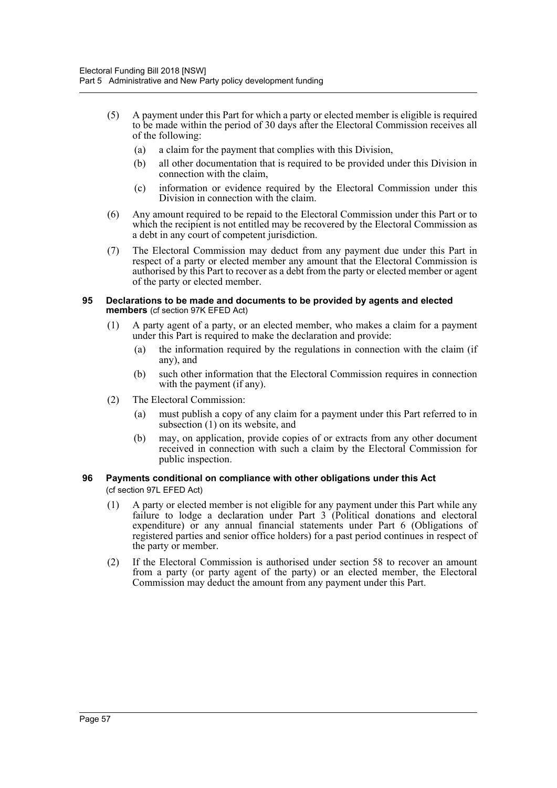- (5) A payment under this Part for which a party or elected member is eligible is required to be made within the period of 30 days after the Electoral Commission receives all of the following:
	- (a) a claim for the payment that complies with this Division,
	- (b) all other documentation that is required to be provided under this Division in connection with the claim,
	- (c) information or evidence required by the Electoral Commission under this Division in connection with the claim.
- (6) Any amount required to be repaid to the Electoral Commission under this Part or to which the recipient is not entitled may be recovered by the Electoral Commission as a debt in any court of competent jurisdiction.
- (7) The Electoral Commission may deduct from any payment due under this Part in respect of a party or elected member any amount that the Electoral Commission is authorised by this Part to recover as a debt from the party or elected member or agent of the party or elected member.

#### **95 Declarations to be made and documents to be provided by agents and elected members** (cf section 97K EFED Act)

- (1) A party agent of a party, or an elected member, who makes a claim for a payment under this Part is required to make the declaration and provide:
	- (a) the information required by the regulations in connection with the claim (if any), and
	- (b) such other information that the Electoral Commission requires in connection with the payment (if any).
- (2) The Electoral Commission:
	- (a) must publish a copy of any claim for a payment under this Part referred to in subsection (1) on its website, and
	- (b) may, on application, provide copies of or extracts from any other document received in connection with such a claim by the Electoral Commission for public inspection.

### **96 Payments conditional on compliance with other obligations under this Act**  (cf section 97L EFED Act)

- (1) A party or elected member is not eligible for any payment under this Part while any failure to lodge a declaration under Part 3 (Political donations and electoral expenditure) or any annual financial statements under Part 6 (Obligations of registered parties and senior office holders) for a past period continues in respect of the party or member.
- (2) If the Electoral Commission is authorised under section 58 to recover an amount from a party (or party agent of the party) or an elected member, the Electoral Commission may deduct the amount from any payment under this Part.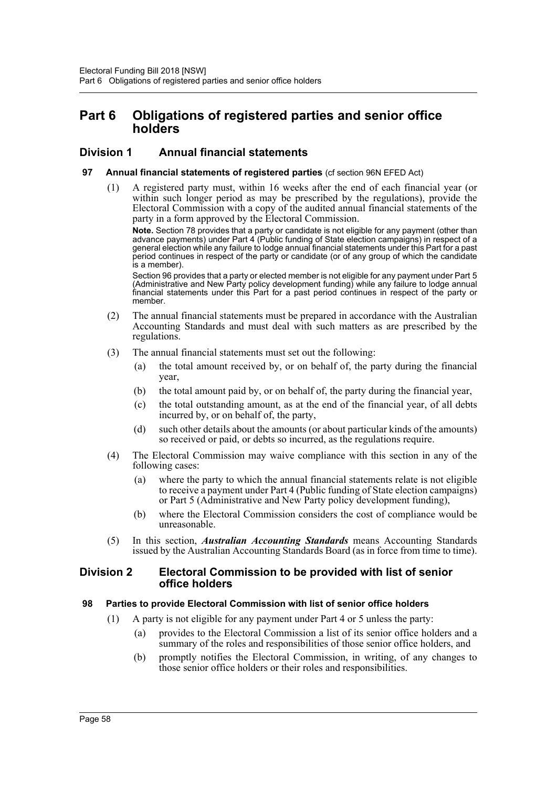# **Part 6 Obligations of registered parties and senior office holders**

## **Division 1 Annual financial statements**

### **97 Annual financial statements of registered parties** (cf section 96N EFED Act)

(1) A registered party must, within 16 weeks after the end of each financial year (or within such longer period as may be prescribed by the regulations), provide the Electoral Commission with a copy of the audited annual financial statements of the party in a form approved by the Electoral Commission.

**Note.** Section 78 provides that a party or candidate is not eligible for any payment (other than advance payments) under Part 4 (Public funding of State election campaigns) in respect of a general election while any failure to lodge annual financial statements under this Part for a past period continues in respect of the party or candidate (or of any group of which the candidate is a member).

Section 96 provides that a party or elected member is not eligible for any payment under Part 5 (Administrative and New Party policy development funding) while any failure to lodge annual financial statements under this Part for a past period continues in respect of the party or member.

- (2) The annual financial statements must be prepared in accordance with the Australian Accounting Standards and must deal with such matters as are prescribed by the regulations.
- (3) The annual financial statements must set out the following:
	- (a) the total amount received by, or on behalf of, the party during the financial year,
	- (b) the total amount paid by, or on behalf of, the party during the financial year,
	- (c) the total outstanding amount, as at the end of the financial year, of all debts incurred by, or on behalf of, the party,
	- (d) such other details about the amounts (or about particular kinds of the amounts) so received or paid, or debts so incurred, as the regulations require.
- (4) The Electoral Commission may waive compliance with this section in any of the following cases:
	- (a) where the party to which the annual financial statements relate is not eligible to receive a payment under Part 4 (Public funding of State election campaigns) or Part 5 (Administrative and New Party policy development funding),
	- (b) where the Electoral Commission considers the cost of compliance would be unreasonable.
- (5) In this section, *Australian Accounting Standards* means Accounting Standards issued by the Australian Accounting Standards Board (as in force from time to time).

## **Division 2 Electoral Commission to be provided with list of senior office holders**

## **98 Parties to provide Electoral Commission with list of senior office holders**

- (1) A party is not eligible for any payment under Part 4 or 5 unless the party:
	- (a) provides to the Electoral Commission a list of its senior office holders and a summary of the roles and responsibilities of those senior office holders, and
	- (b) promptly notifies the Electoral Commission, in writing, of any changes to those senior office holders or their roles and responsibilities.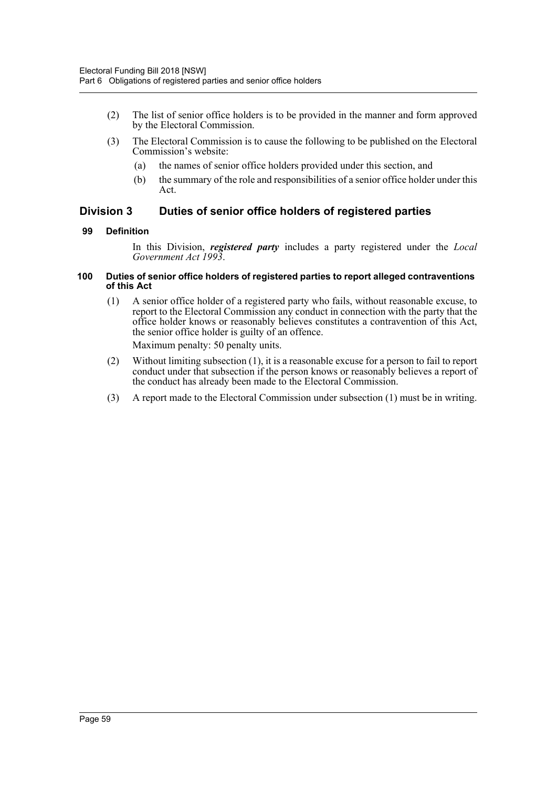- (2) The list of senior office holders is to be provided in the manner and form approved by the Electoral Commission.
- (3) The Electoral Commission is to cause the following to be published on the Electoral Commission's website:
	- (a) the names of senior office holders provided under this section, and
	- (b) the summary of the role and responsibilities of a senior office holder under this Act.

## **Division 3 Duties of senior office holders of registered parties**

## **99 Definition**

In this Division, *registered party* includes a party registered under the *Local Government Act 1993*.

### **100 Duties of senior office holders of registered parties to report alleged contraventions of this Act**

- (1) A senior office holder of a registered party who fails, without reasonable excuse, to report to the Electoral Commission any conduct in connection with the party that the office holder knows or reasonably believes constitutes a contravention of this Act, the senior office holder is guilty of an offence. Maximum penalty: 50 penalty units.
- (2) Without limiting subsection (1), it is a reasonable excuse for a person to fail to report conduct under that subsection if the person knows or reasonably believes a report of the conduct has already been made to the Electoral Commission.
- (3) A report made to the Electoral Commission under subsection (1) must be in writing.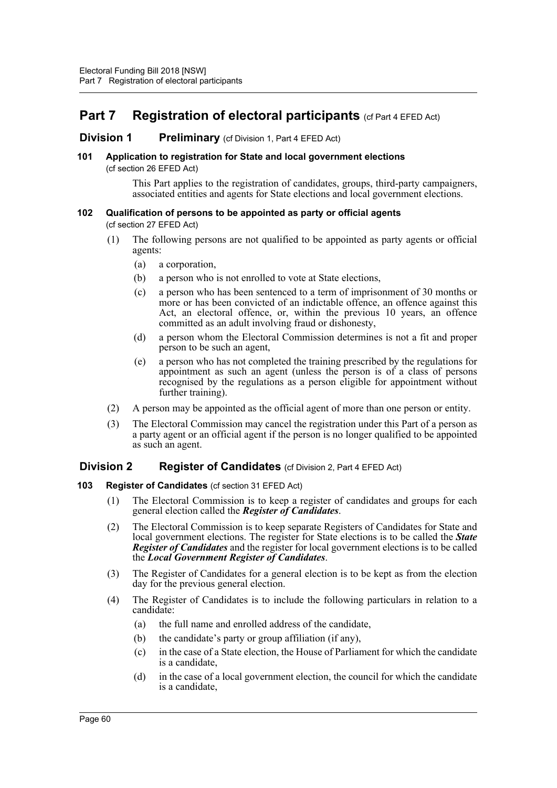# **Part 7 Registration of electoral participants** (cf Part 4 EFED Act)

## **Division 1 Preliminary** (cf Division 1, Part 4 EFED Act)

### **101 Application to registration for State and local government elections**  (cf section 26 EFED Act)

This Part applies to the registration of candidates, groups, third-party campaigners, associated entities and agents for State elections and local government elections.

# **102 Qualification of persons to be appointed as party or official agents**

(cf section 27 EFED Act)

- (1) The following persons are not qualified to be appointed as party agents or official agents:
	- (a) a corporation,
	- (b) a person who is not enrolled to vote at State elections,
	- (c) a person who has been sentenced to a term of imprisonment of 30 months or more or has been convicted of an indictable offence, an offence against this Act, an electoral offence, or, within the previous 10 years, an offence committed as an adult involving fraud or dishonesty,
	- (d) a person whom the Electoral Commission determines is not a fit and proper person to be such an agent,
	- (e) a person who has not completed the training prescribed by the regulations for appointment as such an agent (unless the person is of a class of persons recognised by the regulations as a person eligible for appointment without further training).
- (2) A person may be appointed as the official agent of more than one person or entity.
- (3) The Electoral Commission may cancel the registration under this Part of a person as a party agent or an official agent if the person is no longer qualified to be appointed as such an agent.

## **Division 2 Register of Candidates** (cf Division 2, Part 4 EFED Act)

## **103 Register of Candidates** (cf section 31 EFED Act)

- (1) The Electoral Commission is to keep a register of candidates and groups for each general election called the *Register of Candidates*.
- (2) The Electoral Commission is to keep separate Registers of Candidates for State and local government elections. The register for State elections is to be called the *State Register of Candidates* and the register for local government elections is to be called the *Local Government Register of Candidates*.
- (3) The Register of Candidates for a general election is to be kept as from the election day for the previous general election.
- (4) The Register of Candidates is to include the following particulars in relation to a candidate:
	- (a) the full name and enrolled address of the candidate,
	- (b) the candidate's party or group affiliation (if any),
	- (c) in the case of a State election, the House of Parliament for which the candidate is a candidate,
	- (d) in the case of a local government election, the council for which the candidate is a candidate,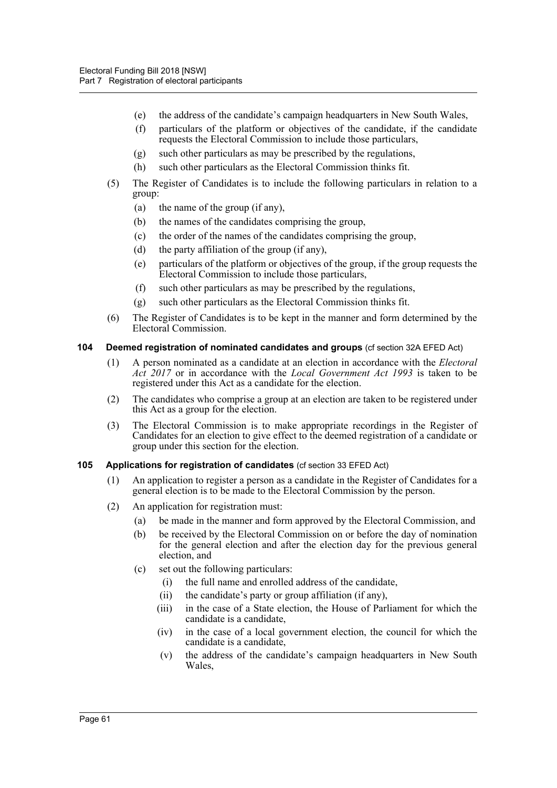- (e) the address of the candidate's campaign headquarters in New South Wales,
- (f) particulars of the platform or objectives of the candidate, if the candidate requests the Electoral Commission to include those particulars,
- (g) such other particulars as may be prescribed by the regulations,
- (h) such other particulars as the Electoral Commission thinks fit.
- (5) The Register of Candidates is to include the following particulars in relation to a group:
	- (a) the name of the group (if any),
	- (b) the names of the candidates comprising the group,
	- (c) the order of the names of the candidates comprising the group,
	- (d) the party affiliation of the group (if any),
	- (e) particulars of the platform or objectives of the group, if the group requests the Electoral Commission to include those particulars,
	- (f) such other particulars as may be prescribed by the regulations,
	- (g) such other particulars as the Electoral Commission thinks fit.
- (6) The Register of Candidates is to be kept in the manner and form determined by the Electoral Commission.

### **104 Deemed registration of nominated candidates and groups** (cf section 32A EFED Act)

- (1) A person nominated as a candidate at an election in accordance with the *Electoral Act 2017* or in accordance with the *Local Government Act 1993* is taken to be registered under this Act as a candidate for the election.
- (2) The candidates who comprise a group at an election are taken to be registered under this Act as a group for the election.
- (3) The Electoral Commission is to make appropriate recordings in the Register of Candidates for an election to give effect to the deemed registration of a candidate or group under this section for the election.

### **105 Applications for registration of candidates** (cf section 33 EFED Act)

- (1) An application to register a person as a candidate in the Register of Candidates for a general election is to be made to the Electoral Commission by the person.
- (2) An application for registration must:
	- (a) be made in the manner and form approved by the Electoral Commission, and
	- (b) be received by the Electoral Commission on or before the day of nomination for the general election and after the election day for the previous general election, and
	- (c) set out the following particulars:
		- (i) the full name and enrolled address of the candidate,
		- (ii) the candidate's party or group affiliation (if any),
		- (iii) in the case of a State election, the House of Parliament for which the candidate is a candidate,
		- (iv) in the case of a local government election, the council for which the candidate is a candidate,
		- (v) the address of the candidate's campaign headquarters in New South Wales,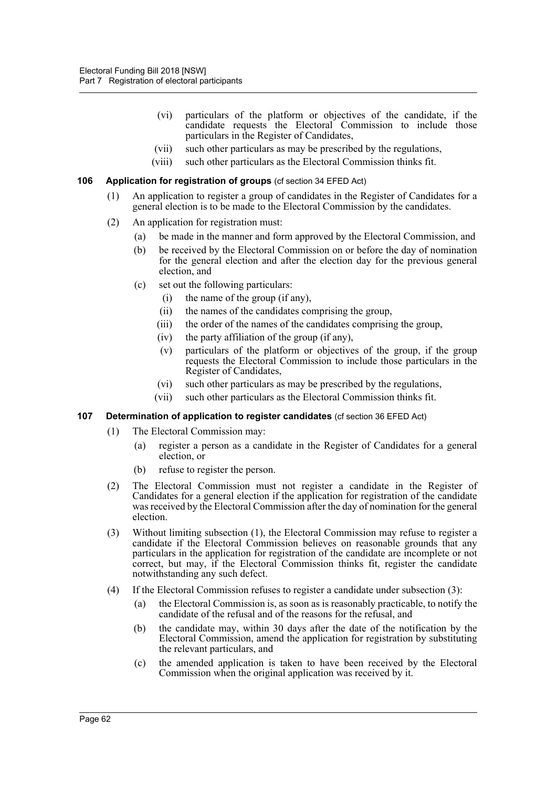- (vi) particulars of the platform or objectives of the candidate, if the candidate requests the Electoral Commission to include those particulars in the Register of Candidates,
- (vii) such other particulars as may be prescribed by the regulations,
- (viii) such other particulars as the Electoral Commission thinks fit.

### **106 Application for registration of groups** (cf section 34 EFED Act)

- (1) An application to register a group of candidates in the Register of Candidates for a general election is to be made to the Electoral Commission by the candidates.
- (2) An application for registration must:
	- (a) be made in the manner and form approved by the Electoral Commission, and
	- (b) be received by the Electoral Commission on or before the day of nomination for the general election and after the election day for the previous general election, and
	- (c) set out the following particulars:
		- (i) the name of the group (if any),
		- (ii) the names of the candidates comprising the group,
		- (iii) the order of the names of the candidates comprising the group,
		- (iv) the party affiliation of the group (if any),
		- (v) particulars of the platform or objectives of the group, if the group requests the Electoral Commission to include those particulars in the Register of Candidates,
		- (vi) such other particulars as may be prescribed by the regulations,
		- (vii) such other particulars as the Electoral Commission thinks fit.

### **107 Determination of application to register candidates** (cf section 36 EFED Act)

- (1) The Electoral Commission may:
	- (a) register a person as a candidate in the Register of Candidates for a general election, or
	- (b) refuse to register the person.
- (2) The Electoral Commission must not register a candidate in the Register of Candidates for a general election if the application for registration of the candidate was received by the Electoral Commission after the day of nomination for the general election.
- (3) Without limiting subsection (1), the Electoral Commission may refuse to register a candidate if the Electoral Commission believes on reasonable grounds that any particulars in the application for registration of the candidate are incomplete or not correct, but may, if the Electoral Commission thinks fit, register the candidate notwithstanding any such defect.
- (4) If the Electoral Commission refuses to register a candidate under subsection (3):
	- (a) the Electoral Commission is, as soon as is reasonably practicable, to notify the candidate of the refusal and of the reasons for the refusal, and
	- (b) the candidate may, within 30 days after the date of the notification by the Electoral Commission, amend the application for registration by substituting the relevant particulars, and
	- (c) the amended application is taken to have been received by the Electoral Commission when the original application was received by it.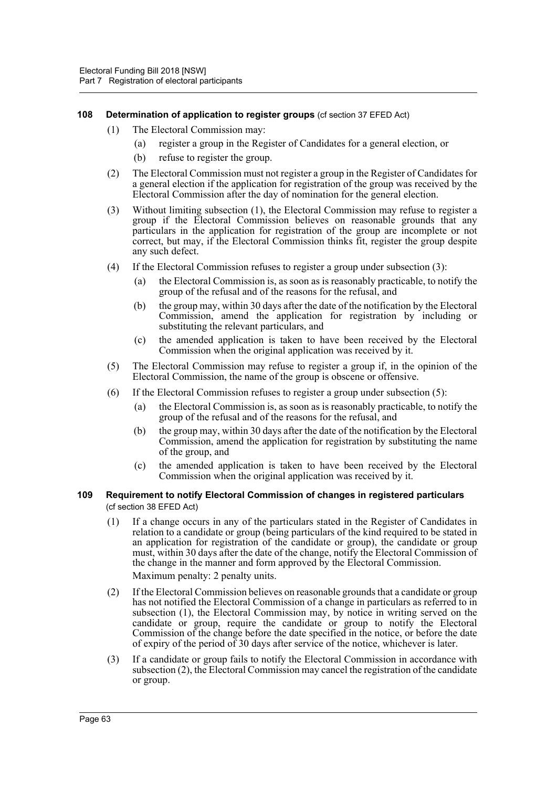### **108** Determination of application to register groups (cf section 37 EFED Act)

- (1) The Electoral Commission may:
	- (a) register a group in the Register of Candidates for a general election, or
	- (b) refuse to register the group.
- (2) The Electoral Commission must not register a group in the Register of Candidates for a general election if the application for registration of the group was received by the Electoral Commission after the day of nomination for the general election.
- (3) Without limiting subsection (1), the Electoral Commission may refuse to register a group if the Electoral Commission believes on reasonable grounds that any particulars in the application for registration of the group are incomplete or not correct, but may, if the Electoral Commission thinks fit, register the group despite any such defect.
- (4) If the Electoral Commission refuses to register a group under subsection (3):
	- (a) the Electoral Commission is, as soon as is reasonably practicable, to notify the group of the refusal and of the reasons for the refusal, and
	- (b) the group may, within 30 days after the date of the notification by the Electoral Commission, amend the application for registration by including or substituting the relevant particulars, and
	- (c) the amended application is taken to have been received by the Electoral Commission when the original application was received by it.
- (5) The Electoral Commission may refuse to register a group if, in the opinion of the Electoral Commission, the name of the group is obscene or offensive.
- (6) If the Electoral Commission refuses to register a group under subsection (5):
	- (a) the Electoral Commission is, as soon as is reasonably practicable, to notify the group of the refusal and of the reasons for the refusal, and
	- (b) the group may, within 30 days after the date of the notification by the Electoral Commission, amend the application for registration by substituting the name of the group, and
	- (c) the amended application is taken to have been received by the Electoral Commission when the original application was received by it.

### **109 Requirement to notify Electoral Commission of changes in registered particulars**  (cf section 38 EFED Act)

- (1) If a change occurs in any of the particulars stated in the Register of Candidates in relation to a candidate or group (being particulars of the kind required to be stated in an application for registration of the candidate or group), the candidate or group must, within 30 days after the date of the change, notify the Electoral Commission of the change in the manner and form approved by the Electoral Commission.
	- Maximum penalty: 2 penalty units.
- (2) If the Electoral Commission believes on reasonable grounds that a candidate or group has not notified the Electoral Commission of a change in particulars as referred to in subsection (1), the Electoral Commission may, by notice in writing served on the candidate or group, require the candidate or group to notify the Electoral Commission of the change before the date specified in the notice, or before the date of expiry of the period of 30 days after service of the notice, whichever is later.
- (3) If a candidate or group fails to notify the Electoral Commission in accordance with subsection (2), the Electoral Commission may cancel the registration of the candidate or group.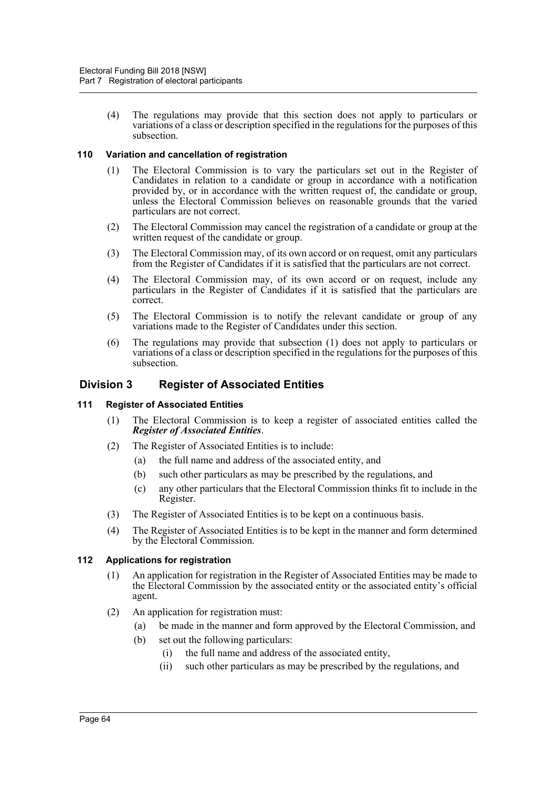(4) The regulations may provide that this section does not apply to particulars or variations of a class or description specified in the regulations for the purposes of this subsection.

## **110 Variation and cancellation of registration**

- (1) The Electoral Commission is to vary the particulars set out in the Register of Candidates in relation to a candidate or group in accordance with a notification provided by, or in accordance with the written request of, the candidate or group, unless the Electoral Commission believes on reasonable grounds that the varied particulars are not correct.
- (2) The Electoral Commission may cancel the registration of a candidate or group at the written request of the candidate or group.
- (3) The Electoral Commission may, of its own accord or on request, omit any particulars from the Register of Candidates if it is satisfied that the particulars are not correct.
- (4) The Electoral Commission may, of its own accord or on request, include any particulars in the Register of Candidates if it is satisfied that the particulars are correct.
- (5) The Electoral Commission is to notify the relevant candidate or group of any variations made to the Register of Candidates under this section.
- (6) The regulations may provide that subsection (1) does not apply to particulars or variations of a class or description specified in the regulations for the purposes of this subsection.

## **Division 3 Register of Associated Entities**

### **111 Register of Associated Entities**

- (1) The Electoral Commission is to keep a register of associated entities called the *Register of Associated Entities*.
- (2) The Register of Associated Entities is to include:
	- (a) the full name and address of the associated entity, and
	- (b) such other particulars as may be prescribed by the regulations, and
	- (c) any other particulars that the Electoral Commission thinks fit to include in the Register.
- (3) The Register of Associated Entities is to be kept on a continuous basis.
- (4) The Register of Associated Entities is to be kept in the manner and form determined by the Electoral Commission.

### **112 Applications for registration**

- (1) An application for registration in the Register of Associated Entities may be made to the Electoral Commission by the associated entity or the associated entity's official agent.
- (2) An application for registration must:
	- (a) be made in the manner and form approved by the Electoral Commission, and
	- (b) set out the following particulars:
		- (i) the full name and address of the associated entity,
		- (ii) such other particulars as may be prescribed by the regulations, and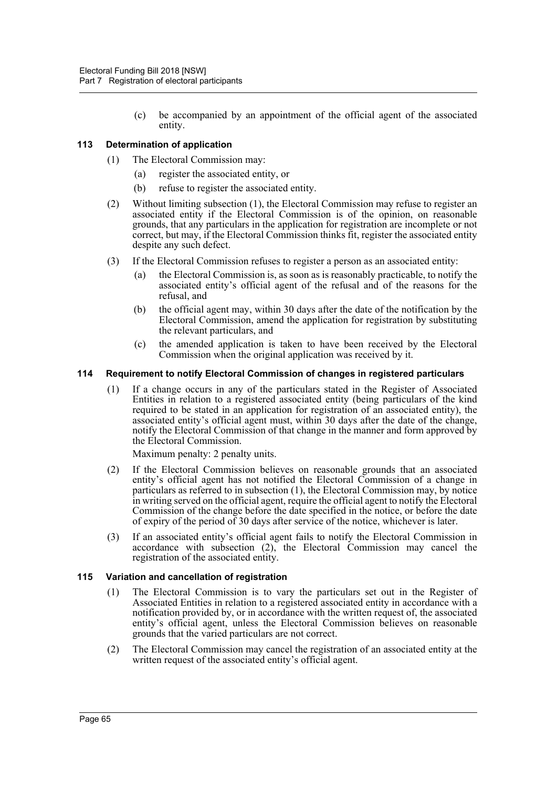(c) be accompanied by an appointment of the official agent of the associated entity.

## **113 Determination of application**

- (1) The Electoral Commission may:
	- (a) register the associated entity, or
	- (b) refuse to register the associated entity.
- (2) Without limiting subsection (1), the Electoral Commission may refuse to register an associated entity if the Electoral Commission is of the opinion, on reasonable grounds, that any particulars in the application for registration are incomplete or not correct, but may, if the Electoral Commission thinks fit, register the associated entity despite any such defect.
- (3) If the Electoral Commission refuses to register a person as an associated entity:
	- (a) the Electoral Commission is, as soon as is reasonably practicable, to notify the associated entity's official agent of the refusal and of the reasons for the refusal, and
	- (b) the official agent may, within 30 days after the date of the notification by the Electoral Commission, amend the application for registration by substituting the relevant particulars, and
	- (c) the amended application is taken to have been received by the Electoral Commission when the original application was received by it.

### **114 Requirement to notify Electoral Commission of changes in registered particulars**

(1) If a change occurs in any of the particulars stated in the Register of Associated Entities in relation to a registered associated entity (being particulars of the kind required to be stated in an application for registration of an associated entity), the associated entity's official agent must, within 30 days after the date of the change, notify the Electoral Commission of that change in the manner and form approved by the Electoral Commission.

Maximum penalty: 2 penalty units.

- (2) If the Electoral Commission believes on reasonable grounds that an associated entity's official agent has not notified the Electoral Commission of a change in particulars as referred to in subsection (1), the Electoral Commission may, by notice in writing served on the official agent, require the official agent to notify the Electoral Commission of the change before the date specified in the notice, or before the date of expiry of the period of 30 days after service of the notice, whichever is later.
- (3) If an associated entity's official agent fails to notify the Electoral Commission in accordance with subsection (2), the Electoral Commission may cancel the registration of the associated entity.

### **115 Variation and cancellation of registration**

- (1) The Electoral Commission is to vary the particulars set out in the Register of Associated Entities in relation to a registered associated entity in accordance with a notification provided by, or in accordance with the written request of, the associated entity's official agent, unless the Electoral Commission believes on reasonable grounds that the varied particulars are not correct.
- (2) The Electoral Commission may cancel the registration of an associated entity at the written request of the associated entity's official agent.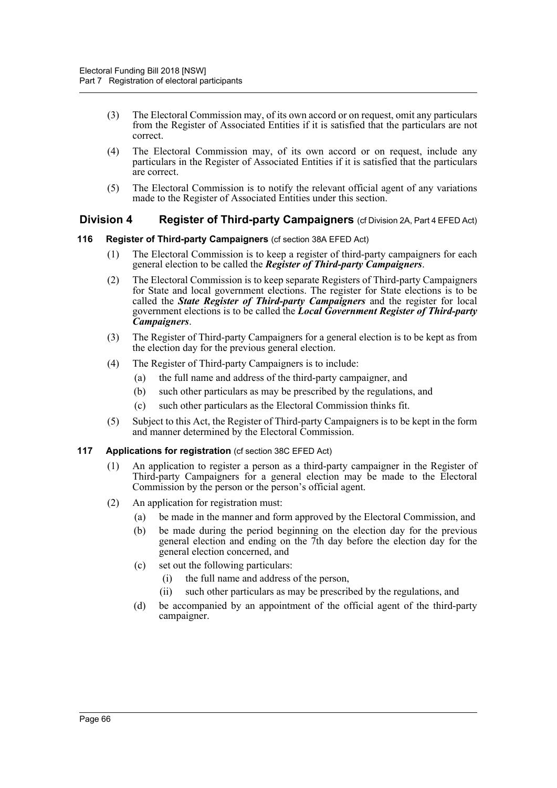- (3) The Electoral Commission may, of its own accord or on request, omit any particulars from the Register of Associated Entities if it is satisfied that the particulars are not correct.
- (4) The Electoral Commission may, of its own accord or on request, include any particulars in the Register of Associated Entities if it is satisfied that the particulars are correct.
- (5) The Electoral Commission is to notify the relevant official agent of any variations made to the Register of Associated Entities under this section.

## **Division 4 Register of Third-party Campaigners** (cf Division 2A, Part 4 EFED Act)

### **116 Register of Third-party Campaigners** (cf section 38A EFED Act)

- (1) The Electoral Commission is to keep a register of third-party campaigners for each general election to be called the *Register of Third-party Campaigners*.
- (2) The Electoral Commission is to keep separate Registers of Third-party Campaigners for State and local government elections. The register for State elections is to be called the *State Register of Third-party Campaigners* and the register for local government elections is to be called the *Local Government Register of Third-party Campaigners*.
- (3) The Register of Third-party Campaigners for a general election is to be kept as from the election day for the previous general election.
- (4) The Register of Third-party Campaigners is to include:
	- (a) the full name and address of the third-party campaigner, and
	- (b) such other particulars as may be prescribed by the regulations, and
	- (c) such other particulars as the Electoral Commission thinks fit.
- (5) Subject to this Act, the Register of Third-party Campaigners is to be kept in the form and manner determined by the Electoral Commission.

### **117 Applications for registration** (cf section 38C EFED Act)

- (1) An application to register a person as a third-party campaigner in the Register of Third-party Campaigners for a general election may be made to the Electoral Commission by the person or the person's official agent.
- (2) An application for registration must:
	- (a) be made in the manner and form approved by the Electoral Commission, and
	- (b) be made during the period beginning on the election day for the previous general election and ending on the  $\bar{\gamma}$ th day before the election day for the general election concerned, and
	- (c) set out the following particulars:
		- (i) the full name and address of the person,
		- (ii) such other particulars as may be prescribed by the regulations, and
	- (d) be accompanied by an appointment of the official agent of the third-party campaigner.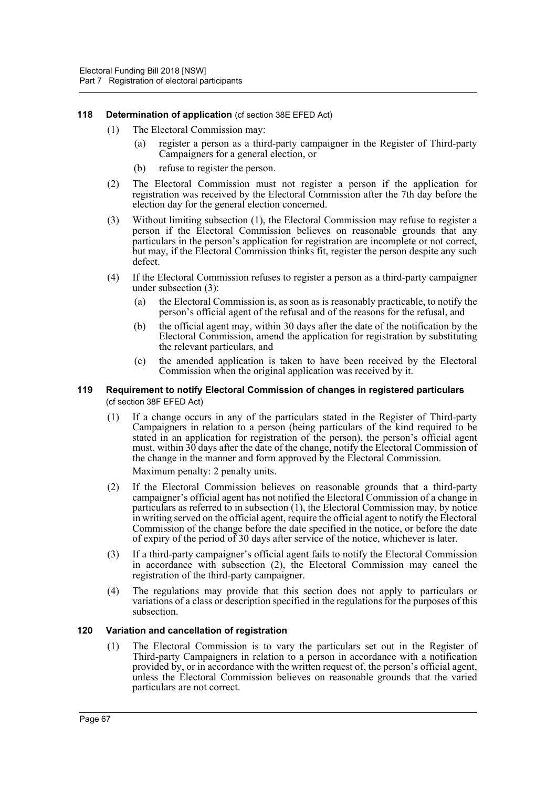### **118** Determination of application (cf section 38E EFED Act)

- (1) The Electoral Commission may:
	- (a) register a person as a third-party campaigner in the Register of Third-party Campaigners for a general election, or
	- (b) refuse to register the person.
- (2) The Electoral Commission must not register a person if the application for registration was received by the Electoral Commission after the 7th day before the election day for the general election concerned.
- (3) Without limiting subsection (1), the Electoral Commission may refuse to register a person if the Electoral Commission believes on reasonable grounds that any particulars in the person's application for registration are incomplete or not correct, but may, if the Electoral Commission thinks fit, register the person despite any such defect.
- (4) If the Electoral Commission refuses to register a person as a third-party campaigner under subsection (3):
	- the Electoral Commission is, as soon as is reasonably practicable, to notify the person's official agent of the refusal and of the reasons for the refusal, and
	- (b) the official agent may, within 30 days after the date of the notification by the Electoral Commission, amend the application for registration by substituting the relevant particulars, and
	- (c) the amended application is taken to have been received by the Electoral Commission when the original application was received by it.

### **119 Requirement to notify Electoral Commission of changes in registered particulars**  (cf section 38F EFED Act)

- (1) If a change occurs in any of the particulars stated in the Register of Third-party Campaigners in relation to a person (being particulars of the kind required to be stated in an application for registration of the person), the person's official agent must, within 30 days after the date of the change, notify the Electoral Commission of the change in the manner and form approved by the Electoral Commission. Maximum penalty: 2 penalty units.
- (2) If the Electoral Commission believes on reasonable grounds that a third-party campaigner's official agent has not notified the Electoral Commission of a change in particulars as referred to in subsection (1), the Electoral Commission may, by notice in writing served on the official agent, require the official agent to notify the Electoral Commission of the change before the date specified in the notice, or before the date of expiry of the period of 30 days after service of the notice, whichever is later.
- (3) If a third-party campaigner's official agent fails to notify the Electoral Commission in accordance with subsection (2), the Electoral Commission may cancel the registration of the third-party campaigner.
- (4) The regulations may provide that this section does not apply to particulars or variations of a class or description specified in the regulations for the purposes of this subsection.

#### **120 Variation and cancellation of registration**

(1) The Electoral Commission is to vary the particulars set out in the Register of Third-party Campaigners in relation to a person in accordance with a notification provided by, or in accordance with the written request of, the person's official agent, unless the Electoral Commission believes on reasonable grounds that the varied particulars are not correct.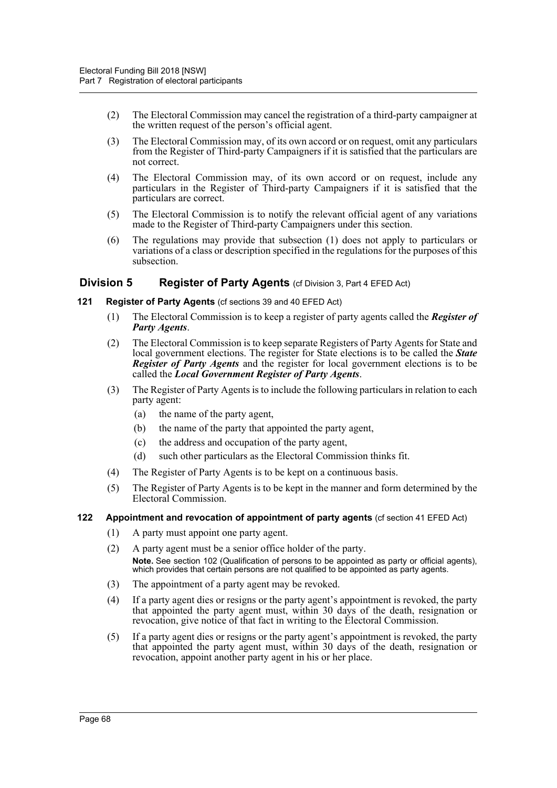- (2) The Electoral Commission may cancel the registration of a third-party campaigner at the written request of the person's official agent.
- (3) The Electoral Commission may, of its own accord or on request, omit any particulars from the Register of Third-party Campaigners if it is satisfied that the particulars are not correct.
- (4) The Electoral Commission may, of its own accord or on request, include any particulars in the Register of Third-party Campaigners if it is satisfied that the particulars are correct.
- (5) The Electoral Commission is to notify the relevant official agent of any variations made to the Register of Third-party Campaigners under this section.
- (6) The regulations may provide that subsection (1) does not apply to particulars or variations of a class or description specified in the regulations for the purposes of this subsection.

## **Division 5** Register of Party Agents (cf Division 3, Part 4 EFED Act)

### **121 Register of Party Agents** (cf sections 39 and 40 EFED Act)

- (1) The Electoral Commission is to keep a register of party agents called the *Register of Party Agents*.
- (2) The Electoral Commission is to keep separate Registers of Party Agents for State and local government elections. The register for State elections is to be called the *State Register of Party Agents* and the register for local government elections is to be called the *Local Government Register of Party Agents*.
- (3) The Register of Party Agents is to include the following particulars in relation to each party agent:
	- (a) the name of the party agent,
	- (b) the name of the party that appointed the party agent,
	- (c) the address and occupation of the party agent,
	- (d) such other particulars as the Electoral Commission thinks fit.
- (4) The Register of Party Agents is to be kept on a continuous basis.
- (5) The Register of Party Agents is to be kept in the manner and form determined by the Electoral Commission.

#### **122 Appointment and revocation of appointment of party agents** (cf section 41 EFED Act)

- (1) A party must appoint one party agent.
- (2) A party agent must be a senior office holder of the party. **Note.** See section 102 (Qualification of persons to be appointed as party or official agents), which provides that certain persons are not qualified to be appointed as party agents.
- (3) The appointment of a party agent may be revoked.
- (4) If a party agent dies or resigns or the party agent's appointment is revoked, the party that appointed the party agent must, within 30 days of the death, resignation or revocation, give notice of that fact in writing to the Electoral Commission.
- (5) If a party agent dies or resigns or the party agent's appointment is revoked, the party that appointed the party agent must, within 30 days of the death, resignation or revocation, appoint another party agent in his or her place.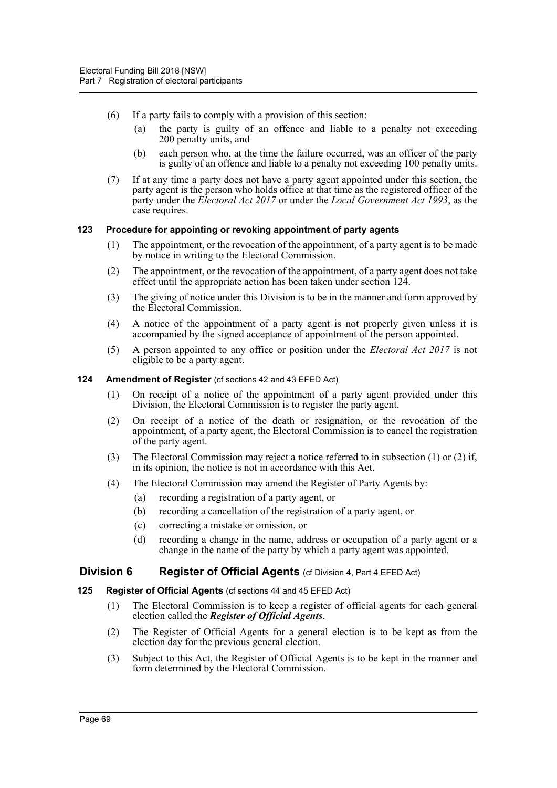- (6) If a party fails to comply with a provision of this section:
	- (a) the party is guilty of an offence and liable to a penalty not exceeding 200 penalty units, and
	- (b) each person who, at the time the failure occurred, was an officer of the party is guilty of an offence and liable to a penalty not exceeding 100 penalty units.
- (7) If at any time a party does not have a party agent appointed under this section, the party agent is the person who holds office at that time as the registered officer of the party under the *Electoral Act 2017* or under the *Local Government Act 1993*, as the case requires.

### **123 Procedure for appointing or revoking appointment of party agents**

- (1) The appointment, or the revocation of the appointment, of a party agent is to be made by notice in writing to the Electoral Commission.
- (2) The appointment, or the revocation of the appointment, of a party agent does not take effect until the appropriate action has been taken under section 124.
- (3) The giving of notice under this Division is to be in the manner and form approved by the Electoral Commission.
- (4) A notice of the appointment of a party agent is not properly given unless it is accompanied by the signed acceptance of appointment of the person appointed.
- (5) A person appointed to any office or position under the *Electoral Act 2017* is not eligible to be a party agent.
- **124 Amendment of Register** (cf sections 42 and 43 EFED Act)
	- (1) On receipt of a notice of the appointment of a party agent provided under this Division, the Electoral Commission is to register the party agent.
	- (2) On receipt of a notice of the death or resignation, or the revocation of the appointment, of a party agent, the Electoral Commission is to cancel the registration of the party agent.
	- (3) The Electoral Commission may reject a notice referred to in subsection (1) or (2) if, in its opinion, the notice is not in accordance with this Act.
	- (4) The Electoral Commission may amend the Register of Party Agents by:
		- (a) recording a registration of a party agent, or
		- (b) recording a cancellation of the registration of a party agent, or
		- (c) correcting a mistake or omission, or
		- (d) recording a change in the name, address or occupation of a party agent or a change in the name of the party by which a party agent was appointed.

## **Division 6** Register of Official Agents (cf Division 4, Part 4 EFED Act)

- **125 Register of Official Agents** (cf sections 44 and 45 EFED Act)
	- (1) The Electoral Commission is to keep a register of official agents for each general election called the *Register of Official Agents*.
	- (2) The Register of Official Agents for a general election is to be kept as from the election day for the previous general election.
	- (3) Subject to this Act, the Register of Official Agents is to be kept in the manner and form determined by the Electoral Commission.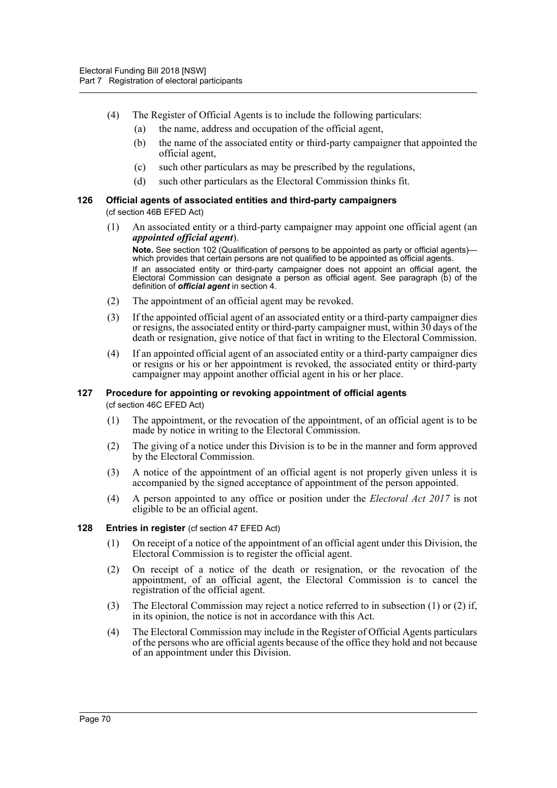- (4) The Register of Official Agents is to include the following particulars:
	- (a) the name, address and occupation of the official agent,
	- (b) the name of the associated entity or third-party campaigner that appointed the official agent,
	- (c) such other particulars as may be prescribed by the regulations,
	- (d) such other particulars as the Electoral Commission thinks fit.

# **126 Official agents of associated entities and third-party campaigners**

(cf section 46B EFED Act)

(1) An associated entity or a third-party campaigner may appoint one official agent (an *appointed official agent*).

**Note.** See section 102 (Qualification of persons to be appointed as party or official agents) which provides that certain persons are not qualified to be appointed as official agents.

If an associated entity or third-party campaigner does not appoint an official agent, the Electoral Commission can designate a person as official agent. See paragraph (b) of the definition of *official agent* in section 4.

- (2) The appointment of an official agent may be revoked.
- (3) If the appointed official agent of an associated entity or a third-party campaigner dies or resigns, the associated entity or third-party campaigner must, within 30 days of the death or resignation, give notice of that fact in writing to the Electoral Commission.
- (4) If an appointed official agent of an associated entity or a third-party campaigner dies or resigns or his or her appointment is revoked, the associated entity or third-party campaigner may appoint another official agent in his or her place.

#### **127 Procedure for appointing or revoking appointment of official agents**  (cf section 46C EFED Act)

- (1) The appointment, or the revocation of the appointment, of an official agent is to be made by notice in writing to the Electoral Commission.
- (2) The giving of a notice under this Division is to be in the manner and form approved by the Electoral Commission.
- (3) A notice of the appointment of an official agent is not properly given unless it is accompanied by the signed acceptance of appointment of the person appointed.
- (4) A person appointed to any office or position under the *Electoral Act 2017* is not eligible to be an official agent.
- **128 Entries in register** (cf section 47 EFED Act)
	- (1) On receipt of a notice of the appointment of an official agent under this Division, the Electoral Commission is to register the official agent.
	- (2) On receipt of a notice of the death or resignation, or the revocation of the appointment, of an official agent, the Electoral Commission is to cancel the registration of the official agent.
	- (3) The Electoral Commission may reject a notice referred to in subsection (1) or (2) if, in its opinion, the notice is not in accordance with this Act.
	- (4) The Electoral Commission may include in the Register of Official Agents particulars of the persons who are official agents because of the office they hold and not because of an appointment under this Division.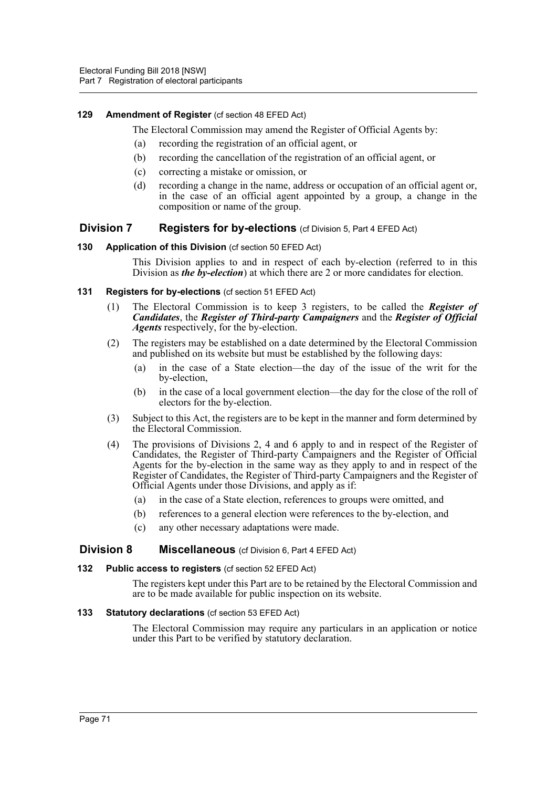## **129 Amendment of Register** (cf section 48 EFED Act)

The Electoral Commission may amend the Register of Official Agents by:

- (a) recording the registration of an official agent, or
- (b) recording the cancellation of the registration of an official agent, or
- (c) correcting a mistake or omission, or
- (d) recording a change in the name, address or occupation of an official agent or, in the case of an official agent appointed by a group, a change in the composition or name of the group.

## **Division 7** Registers for by-elections (cf Division 5, Part 4 EFED Act)

**130 Application of this Division** (cf section 50 EFED Act)

This Division applies to and in respect of each by-election (referred to in this Division as *the by-election*) at which there are 2 or more candidates for election.

- **131 Registers for by-elections** (cf section 51 EFED Act)
	- (1) The Electoral Commission is to keep 3 registers, to be called the *Register of Candidates*, the *Register of Third-party Campaigners* and the *Register of Official Agents* respectively, for the by-election.
	- (2) The registers may be established on a date determined by the Electoral Commission and published on its website but must be established by the following days:
		- (a) in the case of a State election—the day of the issue of the writ for the by-election,
		- (b) in the case of a local government election—the day for the close of the roll of electors for the by-election.
	- (3) Subject to this Act, the registers are to be kept in the manner and form determined by the Electoral Commission.
	- (4) The provisions of Divisions 2, 4 and 6 apply to and in respect of the Register of Candidates, the Register of Third-party Campaigners and the Register of Official Agents for the by-election in the same way as they apply to and in respect of the Register of Candidates, the Register of Third-party Campaigners and the Register of Official Agents under those Divisions, and apply as if:
		- (a) in the case of a State election, references to groups were omitted, and
		- (b) references to a general election were references to the by-election, and
		- (c) any other necessary adaptations were made.

## **Division 8 Miscellaneous** (cf Division 6, Part 4 EFED Act)

### **132 Public access to registers** (cf section 52 EFED Act)

The registers kept under this Part are to be retained by the Electoral Commission and are to be made available for public inspection on its website.

### **133 Statutory declarations** (cf section 53 EFED Act)

The Electoral Commission may require any particulars in an application or notice under this Part to be verified by statutory declaration.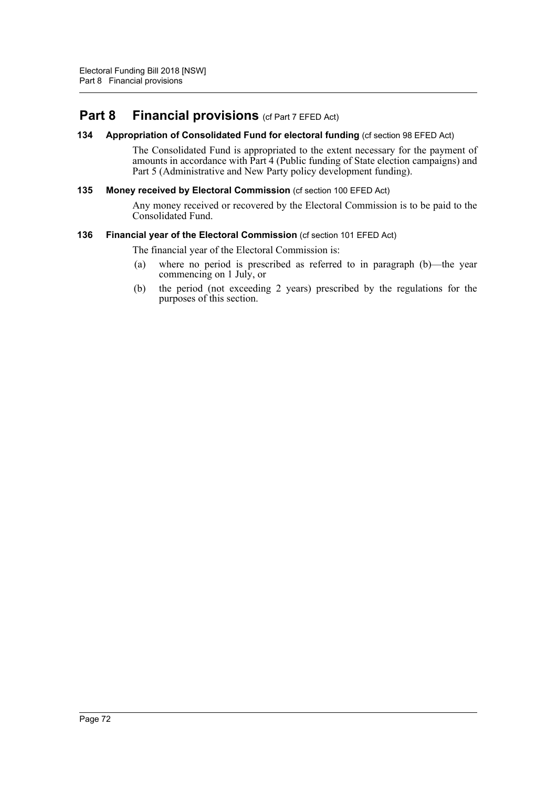# **Part 8 Financial provisions** (cf Part 7 EFED Act)

## **134 Appropriation of Consolidated Fund for electoral funding** (cf section 98 EFED Act)

The Consolidated Fund is appropriated to the extent necessary for the payment of amounts in accordance with Part 4 (Public funding of State election campaigns) and Part 5 (Administrative and New Party policy development funding).

### **135 Money received by Electoral Commission** (cf section 100 EFED Act)

Any money received or recovered by the Electoral Commission is to be paid to the Consolidated Fund.

### **136 Financial year of the Electoral Commission** (cf section 101 EFED Act)

The financial year of the Electoral Commission is:

- (a) where no period is prescribed as referred to in paragraph (b)—the year commencing on 1 July, or
- (b) the period (not exceeding 2 years) prescribed by the regulations for the purposes of this section.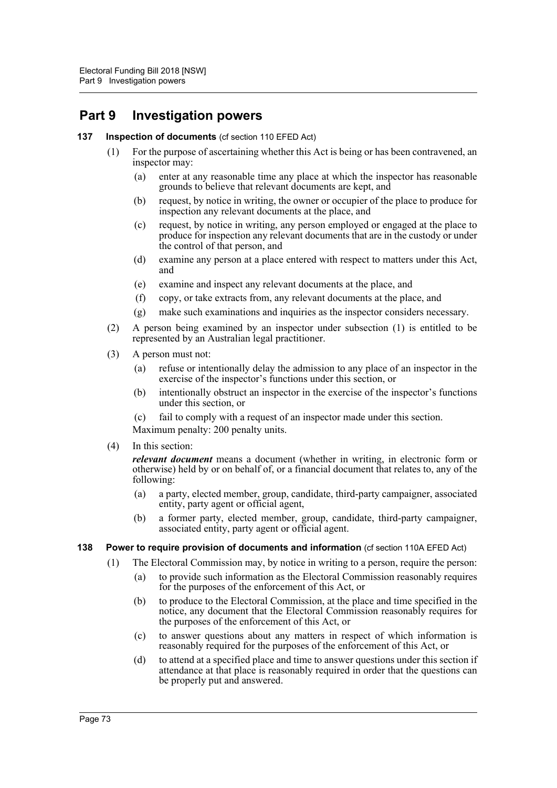# **Part 9 Investigation powers**

### **137 Inspection of documents** (cf section 110 EFED Act)

- (1) For the purpose of ascertaining whether this Act is being or has been contravened, an inspector may:
	- (a) enter at any reasonable time any place at which the inspector has reasonable grounds to believe that relevant documents are kept, and
	- (b) request, by notice in writing, the owner or occupier of the place to produce for inspection any relevant documents at the place, and
	- (c) request, by notice in writing, any person employed or engaged at the place to produce for inspection any relevant documents that are in the custody or under the control of that person, and
	- (d) examine any person at a place entered with respect to matters under this Act, and
	- (e) examine and inspect any relevant documents at the place, and
	- (f) copy, or take extracts from, any relevant documents at the place, and
	- (g) make such examinations and inquiries as the inspector considers necessary.
- (2) A person being examined by an inspector under subsection (1) is entitled to be represented by an Australian legal practitioner.
- (3) A person must not:
	- (a) refuse or intentionally delay the admission to any place of an inspector in the exercise of the inspector's functions under this section, or
	- (b) intentionally obstruct an inspector in the exercise of the inspector's functions under this section, or
	- (c) fail to comply with a request of an inspector made under this section.

Maximum penalty: 200 penalty units.

(4) In this section:

*relevant document* means a document (whether in writing, in electronic form or otherwise) held by or on behalf of, or a financial document that relates to, any of the following:

- (a) a party, elected member, group, candidate, third-party campaigner, associated entity, party agent or official agent,
- (b) a former party, elected member, group, candidate, third-party campaigner, associated entity, party agent or official agent.

### **138 Power to require provision of documents and information** (cf section 110A EFED Act)

- (1) The Electoral Commission may, by notice in writing to a person, require the person:
	- (a) to provide such information as the Electoral Commission reasonably requires for the purposes of the enforcement of this Act, or
	- (b) to produce to the Electoral Commission, at the place and time specified in the notice, any document that the Electoral Commission reasonably requires for the purposes of the enforcement of this Act, or
	- (c) to answer questions about any matters in respect of which information is reasonably required for the purposes of the enforcement of this Act, or
	- (d) to attend at a specified place and time to answer questions under this section if attendance at that place is reasonably required in order that the questions can be properly put and answered.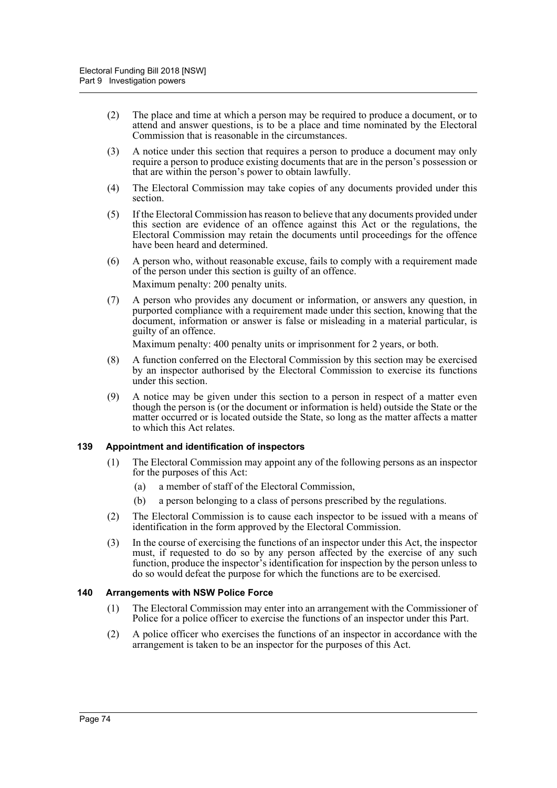- (2) The place and time at which a person may be required to produce a document, or to attend and answer questions, is to be a place and time nominated by the Electoral Commission that is reasonable in the circumstances.
- (3) A notice under this section that requires a person to produce a document may only require a person to produce existing documents that are in the person's possession or that are within the person's power to obtain lawfully.
- (4) The Electoral Commission may take copies of any documents provided under this section.
- (5) If the Electoral Commission has reason to believe that any documents provided under this section are evidence of an offence against this Act or the regulations, the Electoral Commission may retain the documents until proceedings for the offence have been heard and determined.
- (6) A person who, without reasonable excuse, fails to comply with a requirement made of the person under this section is guilty of an offence. Maximum penalty: 200 penalty units.
- (7) A person who provides any document or information, or answers any question, in purported compliance with a requirement made under this section, knowing that the document, information or answer is false or misleading in a material particular, is guilty of an offence.

Maximum penalty: 400 penalty units or imprisonment for 2 years, or both.

- (8) A function conferred on the Electoral Commission by this section may be exercised by an inspector authorised by the Electoral Commission to exercise its functions under this section.
- (9) A notice may be given under this section to a person in respect of a matter even though the person is (or the document or information is held) outside the State or the matter occurred or is located outside the State, so long as the matter affects a matter to which this Act relates.

### **139 Appointment and identification of inspectors**

- (1) The Electoral Commission may appoint any of the following persons as an inspector for the purposes of this Act:
	- (a) a member of staff of the Electoral Commission,
	- (b) a person belonging to a class of persons prescribed by the regulations.
- (2) The Electoral Commission is to cause each inspector to be issued with a means of identification in the form approved by the Electoral Commission.
- (3) In the course of exercising the functions of an inspector under this Act, the inspector must, if requested to do so by any person affected by the exercise of any such function, produce the inspector's identification for inspection by the person unless to do so would defeat the purpose for which the functions are to be exercised.

### **140 Arrangements with NSW Police Force**

- (1) The Electoral Commission may enter into an arrangement with the Commissioner of Police for a police officer to exercise the functions of an inspector under this Part.
- (2) A police officer who exercises the functions of an inspector in accordance with the arrangement is taken to be an inspector for the purposes of this Act.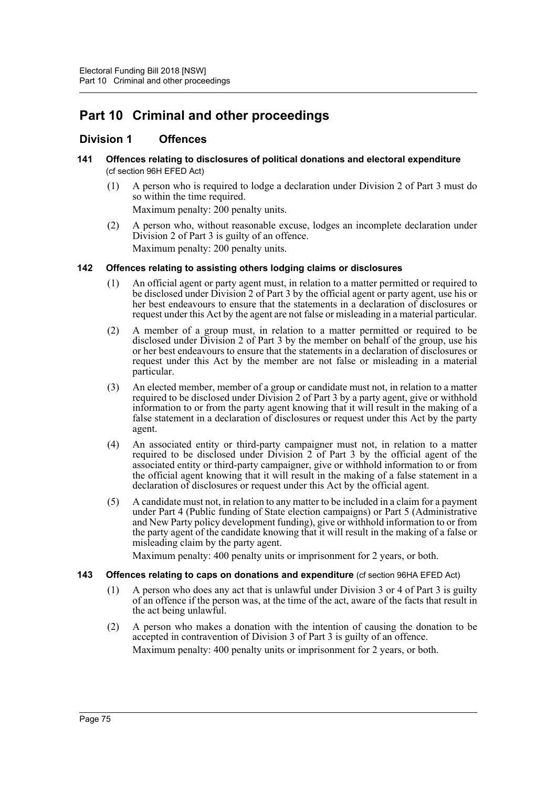# **Part 10 Criminal and other proceedings**

# **Division 1 Offences**

- **141 Offences relating to disclosures of political donations and electoral expenditure**  (cf section 96H EFED Act)
	- (1) A person who is required to lodge a declaration under Division 2 of Part 3 must do so within the time required.

Maximum penalty: 200 penalty units.

(2) A person who, without reasonable excuse, lodges an incomplete declaration under Division 2 of Part 3 is guilty of an offence. Maximum penalty: 200 penalty units.

## **142 Offences relating to assisting others lodging claims or disclosures**

- (1) An official agent or party agent must, in relation to a matter permitted or required to be disclosed under Division 2 of Part 3 by the official agent or party agent, use his or her best endeavours to ensure that the statements in a declaration of disclosures or request under this Act by the agent are not false or misleading in a material particular.
- (2) A member of a group must, in relation to a matter permitted or required to be disclosed under Division 2 of Part 3 by the member on behalf of the group, use his or her best endeavours to ensure that the statements in a declaration of disclosures or request under this Act by the member are not false or misleading in a material particular.
- (3) An elected member, member of a group or candidate must not, in relation to a matter required to be disclosed under Division 2 of Part 3 by a party agent, give or withhold information to or from the party agent knowing that it will result in the making of a false statement in a declaration of disclosures or request under this Act by the party agent.
- (4) An associated entity or third-party campaigner must not, in relation to a matter required to be disclosed under Division 2 of Part 3 by the official agent of the associated entity or third-party campaigner, give or withhold information to or from the official agent knowing that it will result in the making of a false statement in a declaration of disclosures or request under this Act by the official agent.
- (5) A candidate must not, in relation to any matter to be included in a claim for a payment under Part 4 (Public funding of State election campaigns) or Part 5 (Administrative and New Party policy development funding), give or withhold information to or from the party agent of the candidate knowing that it will result in the making of a false or misleading claim by the party agent.

Maximum penalty: 400 penalty units or imprisonment for 2 years, or both.

- **143 Offences relating to caps on donations and expenditure** (cf section 96HA EFED Act)
	- (1) A person who does any act that is unlawful under Division 3 or 4 of Part 3 is guilty of an offence if the person was, at the time of the act, aware of the facts that result in the act being unlawful.
	- (2) A person who makes a donation with the intention of causing the donation to be accepted in contravention of Division 3 of Part 3 is guilty of an offence. Maximum penalty: 400 penalty units or imprisonment for 2 years, or both.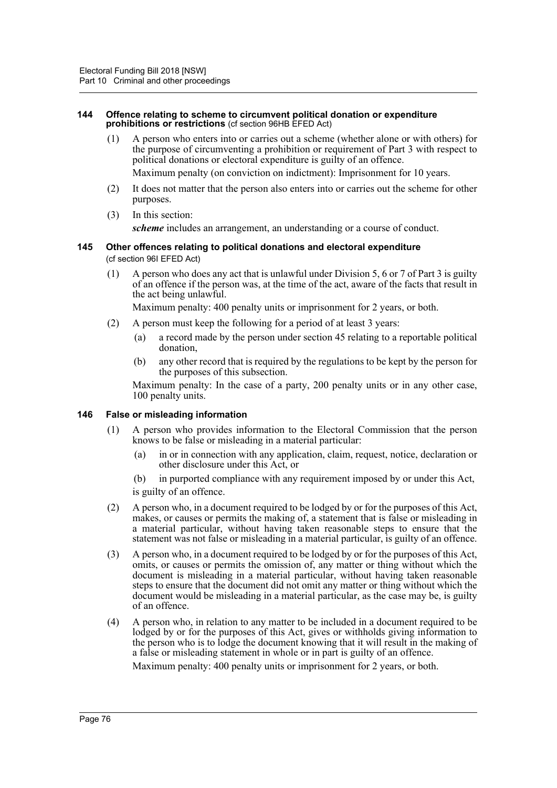#### **144 Offence relating to scheme to circumvent political donation or expenditure prohibitions or restrictions** (cf section 96HB EFED Act)

- (1) A person who enters into or carries out a scheme (whether alone or with others) for the purpose of circumventing a prohibition or requirement of Part 3 with respect to political donations or electoral expenditure is guilty of an offence. Maximum penalty (on conviction on indictment): Imprisonment for 10 years.
	-
- (2) It does not matter that the person also enters into or carries out the scheme for other purposes.
- (3) In this section: *scheme* includes an arrangement, an understanding or a course of conduct.

### **145 Other offences relating to political donations and electoral expenditure**  (cf section 96I EFED Act)

(1) A person who does any act that is unlawful under Division 5, 6 or 7 of Part 3 is guilty of an offence if the person was, at the time of the act, aware of the facts that result in the act being unlawful.

Maximum penalty: 400 penalty units or imprisonment for 2 years, or both.

- (2) A person must keep the following for a period of at least 3 years:
	- (a) a record made by the person under section 45 relating to a reportable political donation,
	- (b) any other record that is required by the regulations to be kept by the person for the purposes of this subsection.

Maximum penalty: In the case of a party, 200 penalty units or in any other case, 100 penalty units.

### **146 False or misleading information**

- (1) A person who provides information to the Electoral Commission that the person knows to be false or misleading in a material particular:
	- (a) in or in connection with any application, claim, request, notice, declaration or other disclosure under this Act, or
	- (b) in purported compliance with any requirement imposed by or under this Act, is guilty of an offence.
- (2) A person who, in a document required to be lodged by or for the purposes of this Act, makes, or causes or permits the making of, a statement that is false or misleading in a material particular, without having taken reasonable steps to ensure that the statement was not false or misleading in a material particular, is guilty of an offence.
- (3) A person who, in a document required to be lodged by or for the purposes of this Act, omits, or causes or permits the omission of, any matter or thing without which the document is misleading in a material particular, without having taken reasonable steps to ensure that the document did not omit any matter or thing without which the document would be misleading in a material particular, as the case may be, is guilty of an offence.
- (4) A person who, in relation to any matter to be included in a document required to be lodged by or for the purposes of this Act, gives or withholds giving information to the person who is to lodge the document knowing that it will result in the making of a false or misleading statement in whole or in part is guilty of an offence. Maximum penalty: 400 penalty units or imprisonment for 2 years, or both.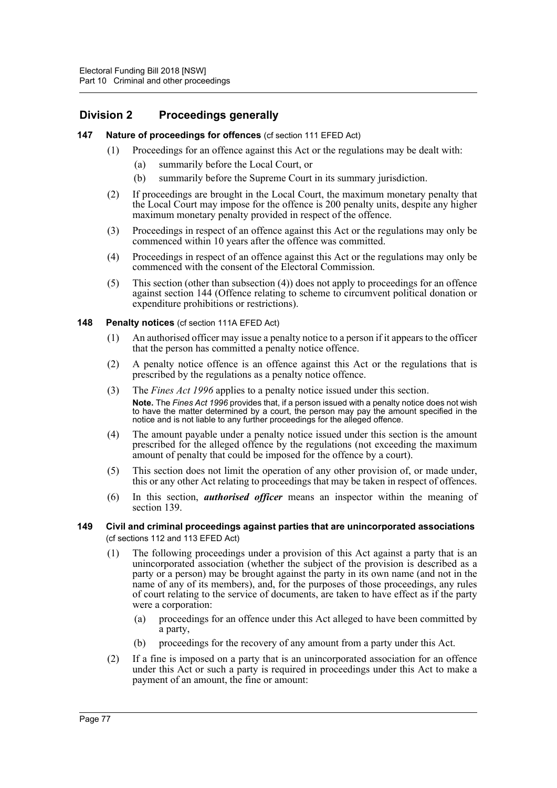# **Division 2 Proceedings generally**

### **147 Nature of proceedings for offences** (cf section 111 EFED Act)

- (1) Proceedings for an offence against this Act or the regulations may be dealt with:
	- (a) summarily before the Local Court, or
	- (b) summarily before the Supreme Court in its summary jurisdiction.
- (2) If proceedings are brought in the Local Court, the maximum monetary penalty that the Local Court may impose for the offence is 200 penalty units, despite any higher maximum monetary penalty provided in respect of the offence.
- (3) Proceedings in respect of an offence against this Act or the regulations may only be commenced within 10 years after the offence was committed.
- (4) Proceedings in respect of an offence against this Act or the regulations may only be commenced with the consent of the Electoral Commission.
- (5) This section (other than subsection (4)) does not apply to proceedings for an offence against section 144 (Offence relating to scheme to circumvent political donation or expenditure prohibitions or restrictions).

#### **148 Penalty notices** (cf section 111A EFED Act)

- (1) An authorised officer may issue a penalty notice to a person if it appears to the officer that the person has committed a penalty notice offence.
- (2) A penalty notice offence is an offence against this Act or the regulations that is prescribed by the regulations as a penalty notice offence.
- (3) The *Fines Act 1996* applies to a penalty notice issued under this section. **Note.** The *Fines Act 1996* provides that, if a person issued with a penalty notice does not wish to have the matter determined by a court, the person may pay the amount specified in the notice and is not liable to any further proceedings for the alleged offence.
- (4) The amount payable under a penalty notice issued under this section is the amount prescribed for the alleged offence by the regulations (not exceeding the maximum amount of penalty that could be imposed for the offence by a court).
- (5) This section does not limit the operation of any other provision of, or made under, this or any other Act relating to proceedings that may be taken in respect of offences.
- (6) In this section, *authorised officer* means an inspector within the meaning of section 139.

### **149 Civil and criminal proceedings against parties that are unincorporated associations**  (cf sections 112 and 113 EFED Act)

- (1) The following proceedings under a provision of this Act against a party that is an unincorporated association (whether the subject of the provision is described as a party or a person) may be brought against the party in its own name (and not in the name of any of its members), and, for the purposes of those proceedings, any rules of court relating to the service of documents, are taken to have effect as if the party were a corporation:
	- (a) proceedings for an offence under this Act alleged to have been committed by a party,
	- (b) proceedings for the recovery of any amount from a party under this Act.
- (2) If a fine is imposed on a party that is an unincorporated association for an offence under this Act or such a party is required in proceedings under this Act to make a payment of an amount, the fine or amount: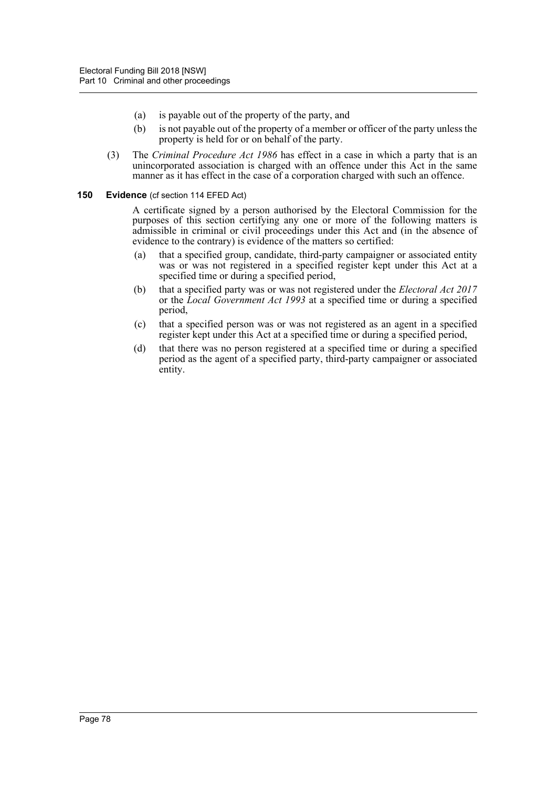- (a) is payable out of the property of the party, and
- (b) is not payable out of the property of a member or officer of the party unless the property is held for or on behalf of the party.
- (3) The *Criminal Procedure Act 1986* has effect in a case in which a party that is an unincorporated association is charged with an offence under this Act in the same manner as it has effect in the case of a corporation charged with such an offence.

#### **150 Evidence** (cf section 114 EFED Act)

A certificate signed by a person authorised by the Electoral Commission for the purposes of this section certifying any one or more of the following matters is admissible in criminal or civil proceedings under this Act and (in the absence of evidence to the contrary) is evidence of the matters so certified:

- (a) that a specified group, candidate, third-party campaigner or associated entity was or was not registered in a specified register kept under this Act at a specified time or during a specified period,
- (b) that a specified party was or was not registered under the *Electoral Act 2017* or the *Local Government Act 1993* at a specified time or during a specified period,
- (c) that a specified person was or was not registered as an agent in a specified register kept under this Act at a specified time or during a specified period,
- (d) that there was no person registered at a specified time or during a specified period as the agent of a specified party, third-party campaigner or associated entity.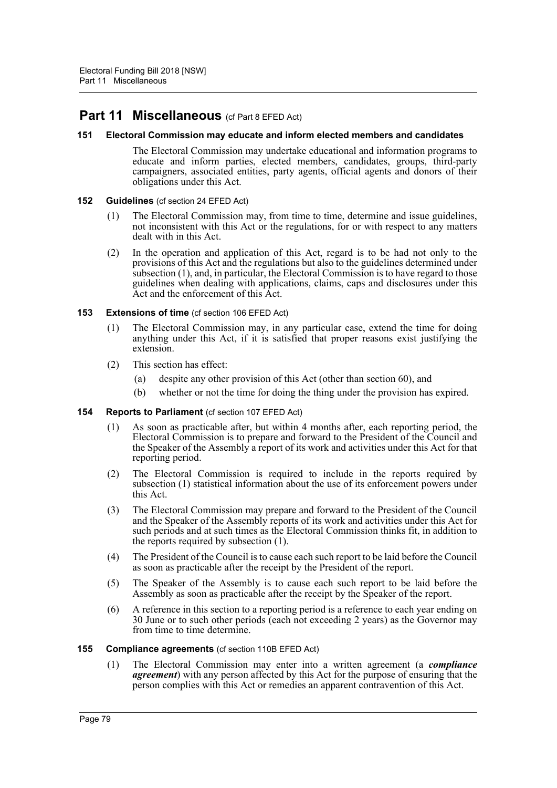# **Part 11 Miscellaneous** (cf Part 8 EFED Act)

### **151 Electoral Commission may educate and inform elected members and candidates**

The Electoral Commission may undertake educational and information programs to educate and inform parties, elected members, candidates, groups, third-party campaigners, associated entities, party agents, official agents and donors of their obligations under this Act.

### **152 Guidelines** (cf section 24 EFED Act)

- (1) The Electoral Commission may, from time to time, determine and issue guidelines, not inconsistent with this Act or the regulations, for or with respect to any matters dealt with in this Act.
- (2) In the operation and application of this Act, regard is to be had not only to the provisions of this Act and the regulations but also to the guidelines determined under subsection (1), and, in particular, the Electoral Commission is to have regard to those guidelines when dealing with applications, claims, caps and disclosures under this Act and the enforcement of this Act.

## **153 Extensions of time** (cf section 106 EFED Act)

- (1) The Electoral Commission may, in any particular case, extend the time for doing anything under this Act, if it is satisfied that proper reasons exist justifying the extension.
- (2) This section has effect:
	- (a) despite any other provision of this Act (other than section 60), and
	- (b) whether or not the time for doing the thing under the provision has expired.

### **154 Reports to Parliament** (cf section 107 EFED Act)

- (1) As soon as practicable after, but within 4 months after, each reporting period, the Electoral Commission is to prepare and forward to the President of the Council and the Speaker of the Assembly a report of its work and activities under this Act for that reporting period.
- (2) The Electoral Commission is required to include in the reports required by subsection (1) statistical information about the use of its enforcement powers under this Act.
- (3) The Electoral Commission may prepare and forward to the President of the Council and the Speaker of the Assembly reports of its work and activities under this Act for such periods and at such times as the Electoral Commission thinks fit, in addition to the reports required by subsection (1).
- (4) The President of the Council is to cause each such report to be laid before the Council as soon as practicable after the receipt by the President of the report.
- (5) The Speaker of the Assembly is to cause each such report to be laid before the Assembly as soon as practicable after the receipt by the Speaker of the report.
- (6) A reference in this section to a reporting period is a reference to each year ending on 30 June or to such other periods (each not exceeding 2 years) as the Governor may from time to time determine.

### **155 Compliance agreements** (cf section 110B EFED Act)

(1) The Electoral Commission may enter into a written agreement (a *compliance agreement*) with any person affected by this Act for the purpose of ensuring that the person complies with this Act or remedies an apparent contravention of this Act.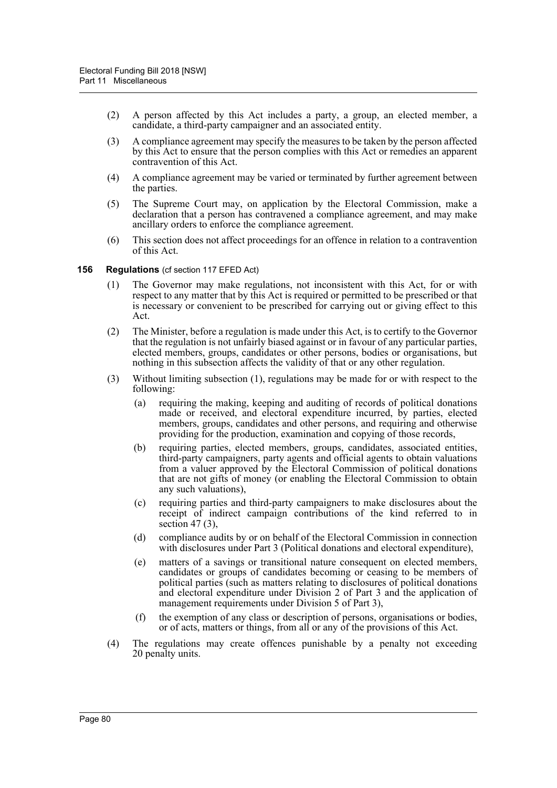- (2) A person affected by this Act includes a party, a group, an elected member, a candidate, a third-party campaigner and an associated entity.
- (3) A compliance agreement may specify the measures to be taken by the person affected by this Act to ensure that the person complies with this Act or remedies an apparent contravention of this Act.
- (4) A compliance agreement may be varied or terminated by further agreement between the parties.
- (5) The Supreme Court may, on application by the Electoral Commission, make a declaration that a person has contravened a compliance agreement, and may make ancillary orders to enforce the compliance agreement.
- (6) This section does not affect proceedings for an offence in relation to a contravention of this Act.

#### **156 Regulations** (cf section 117 EFED Act)

- (1) The Governor may make regulations, not inconsistent with this Act, for or with respect to any matter that by this Act is required or permitted to be prescribed or that is necessary or convenient to be prescribed for carrying out or giving effect to this Act.
- (2) The Minister, before a regulation is made under this Act, is to certify to the Governor that the regulation is not unfairly biased against or in favour of any particular parties, elected members, groups, candidates or other persons, bodies or organisations, but nothing in this subsection affects the validity of that or any other regulation.
- (3) Without limiting subsection (1), regulations may be made for or with respect to the following:
	- (a) requiring the making, keeping and auditing of records of political donations made or received, and electoral expenditure incurred, by parties, elected members, groups, candidates and other persons, and requiring and otherwise providing for the production, examination and copying of those records,
	- (b) requiring parties, elected members, groups, candidates, associated entities, third-party campaigners, party agents and official agents to obtain valuations from a valuer approved by the Electoral Commission of political donations that are not gifts of money (or enabling the Electoral Commission to obtain any such valuations),
	- (c) requiring parties and third-party campaigners to make disclosures about the receipt of indirect campaign contributions of the kind referred to in section 47 $(3)$ ,
	- (d) compliance audits by or on behalf of the Electoral Commission in connection with disclosures under Part 3 (Political donations and electoral expenditure),
	- (e) matters of a savings or transitional nature consequent on elected members, candidates or groups of candidates becoming or ceasing to be members of political parties (such as matters relating to disclosures of political donations and electoral expenditure under Division 2 of Part 3 and the application of management requirements under Division 5 of Part 3),
	- (f) the exemption of any class or description of persons, organisations or bodies, or of acts, matters or things, from all or any of the provisions of this Act.
- (4) The regulations may create offences punishable by a penalty not exceeding 20 penalty units.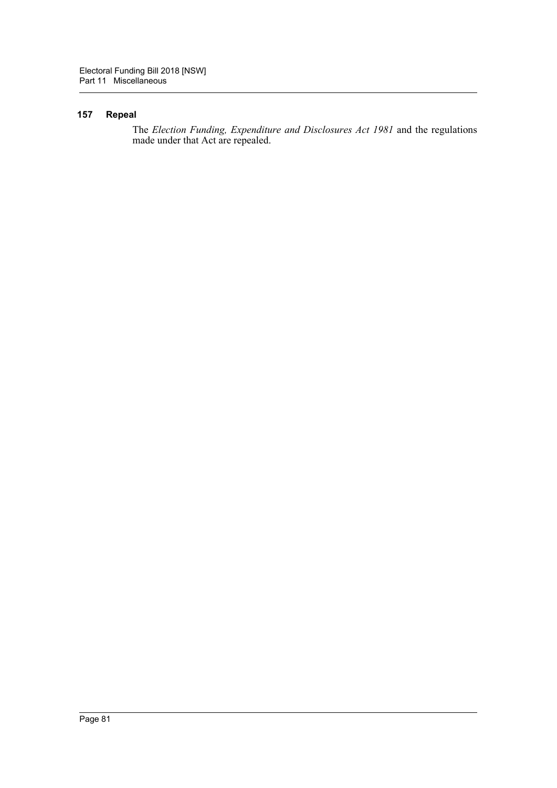## **157 Repeal**

The *Election Funding, Expenditure and Disclosures Act 1981* and the regulations made under that Act are repealed.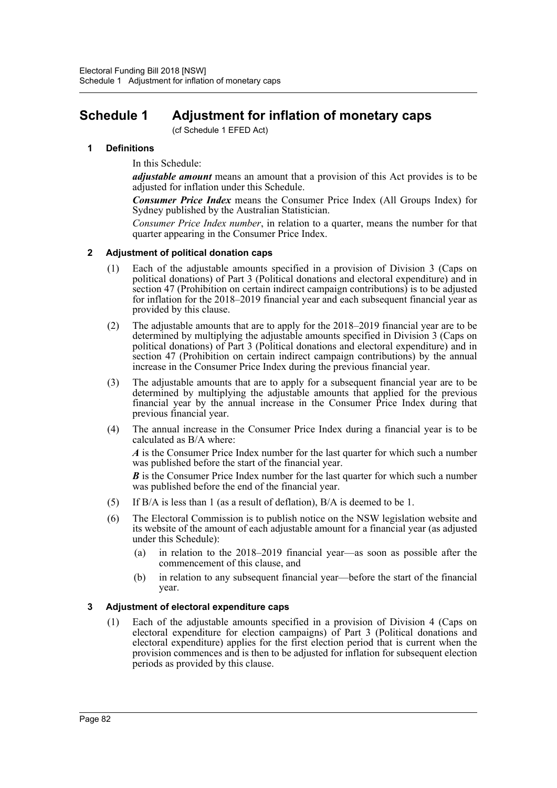# **Schedule 1 Adjustment for inflation of monetary caps**

(cf Schedule 1 EFED Act)

## **1 Definitions**

In this Schedule:

*adjustable amount* means an amount that a provision of this Act provides is to be adjusted for inflation under this Schedule.

*Consumer Price Index* means the Consumer Price Index (All Groups Index) for Sydney published by the Australian Statistician.

*Consumer Price Index number*, in relation to a quarter, means the number for that quarter appearing in the Consumer Price Index.

## **2 Adjustment of political donation caps**

- (1) Each of the adjustable amounts specified in a provision of Division 3 (Caps on political donations) of Part 3 (Political donations and electoral expenditure) and in section 47 (Prohibition on certain indirect campaign contributions) is to be adjusted for inflation for the 2018–2019 financial year and each subsequent financial year as provided by this clause.
- (2) The adjustable amounts that are to apply for the 2018–2019 financial year are to be determined by multiplying the adjustable amounts specified in Division 3 (Caps on political donations) of Part 3 (Political donations and electoral expenditure) and in section 47 (Prohibition on certain indirect campaign contributions) by the annual increase in the Consumer Price Index during the previous financial year.
- (3) The adjustable amounts that are to apply for a subsequent financial year are to be determined by multiplying the adjustable amounts that applied for the previous financial year by the annual increase in the Consumer Price Index during that previous financial year.
- (4) The annual increase in the Consumer Price Index during a financial year is to be calculated as B/A where:

*A* is the Consumer Price Index number for the last quarter for which such a number was published before the start of the financial year.

*B* is the Consumer Price Index number for the last quarter for which such a number was published before the end of the financial year.

- (5) If B/A is less than 1 (as a result of deflation), B/A is deemed to be 1.
- (6) The Electoral Commission is to publish notice on the NSW legislation website and its website of the amount of each adjustable amount for a financial year (as adjusted under this Schedule):
	- (a) in relation to the 2018–2019 financial year—as soon as possible after the commencement of this clause, and
	- (b) in relation to any subsequent financial year—before the start of the financial year.

### **3 Adjustment of electoral expenditure caps**

(1) Each of the adjustable amounts specified in a provision of Division 4 (Caps on electoral expenditure for election campaigns) of Part 3 (Political donations and electoral expenditure) applies for the first election period that is current when the provision commences and is then to be adjusted for inflation for subsequent election periods as provided by this clause.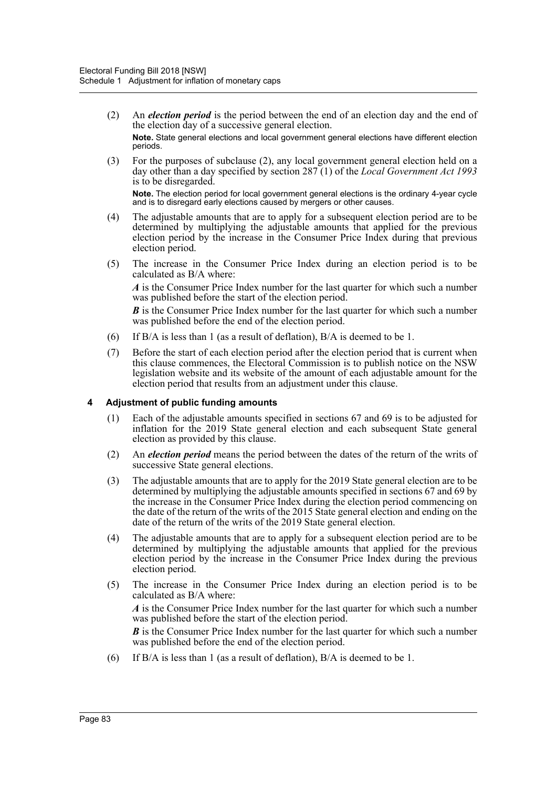- (2) An *election period* is the period between the end of an election day and the end of the election day of a successive general election. **Note.** State general elections and local government general elections have different election periods.
- (3) For the purposes of subclause (2), any local government general election held on a day other than a day specified by section 287 (1) of the *Local Government Act 1993* is to be disregarded. **Note.** The election period for local government general elections is the ordinary 4-year cycle and is to disregard early elections caused by mergers or other causes.
- (4) The adjustable amounts that are to apply for a subsequent election period are to be determined by multiplying the adjustable amounts that applied for the previous election period by the increase in the Consumer Price Index during that previous election period.
- (5) The increase in the Consumer Price Index during an election period is to be calculated as B/A where:

*A* is the Consumer Price Index number for the last quarter for which such a number was published before the start of the election period.

*B* is the Consumer Price Index number for the last quarter for which such a number was published before the end of the election period.

- (6) If B/A is less than 1 (as a result of deflation), B/A is deemed to be 1.
- (7) Before the start of each election period after the election period that is current when this clause commences, the Electoral Commission is to publish notice on the NSW legislation website and its website of the amount of each adjustable amount for the election period that results from an adjustment under this clause.

## **4 Adjustment of public funding amounts**

- (1) Each of the adjustable amounts specified in sections 67 and 69 is to be adjusted for inflation for the 2019 State general election and each subsequent State general election as provided by this clause.
- (2) An *election period* means the period between the dates of the return of the writs of successive State general elections.
- (3) The adjustable amounts that are to apply for the 2019 State general election are to be determined by multiplying the adjustable amounts specified in sections 67 and 69 by the increase in the Consumer Price Index during the election period commencing on the date of the return of the writs of the 2015 State general election and ending on the date of the return of the writs of the 2019 State general election.
- (4) The adjustable amounts that are to apply for a subsequent election period are to be determined by multiplying the adjustable amounts that applied for the previous election period by the increase in the Consumer Price Index during the previous election period.
- (5) The increase in the Consumer Price Index during an election period is to be calculated as B/A where:

*A* is the Consumer Price Index number for the last quarter for which such a number was published before the start of the election period.

*B* is the Consumer Price Index number for the last quarter for which such a number was published before the end of the election period.

(6) If B/A is less than 1 (as a result of deflation), B/A is deemed to be 1.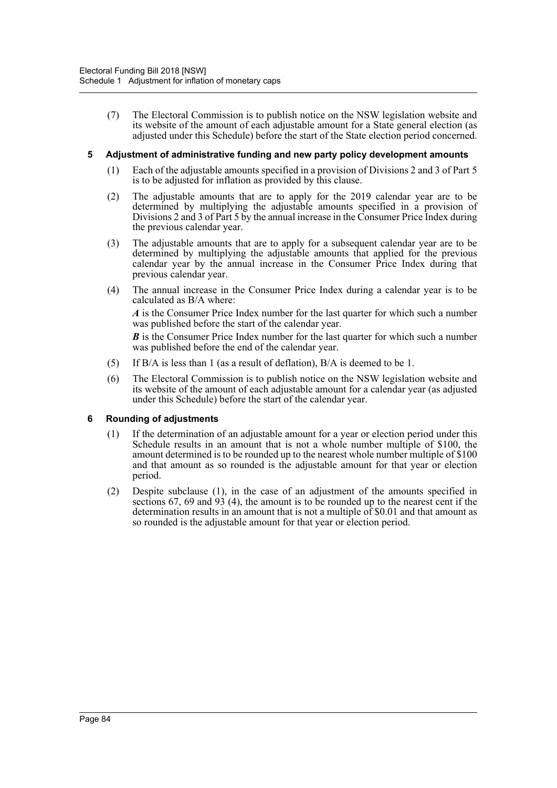(7) The Electoral Commission is to publish notice on the NSW legislation website and its website of the amount of each adjustable amount for a State general election (as adjusted under this Schedule) before the start of the State election period concerned.

### **5 Adjustment of administrative funding and new party policy development amounts**

- (1) Each of the adjustable amounts specified in a provision of Divisions 2 and 3 of Part 5 is to be adjusted for inflation as provided by this clause.
- (2) The adjustable amounts that are to apply for the 2019 calendar year are to be determined by multiplying the adjustable amounts specified in a provision of Divisions 2 and 3 of Part 5 by the annual increase in the Consumer Price Index during the previous calendar year.
- (3) The adjustable amounts that are to apply for a subsequent calendar year are to be determined by multiplying the adjustable amounts that applied for the previous calendar year by the annual increase in the Consumer Price Index during that previous calendar year.
- (4) The annual increase in the Consumer Price Index during a calendar year is to be calculated as B/A where:

*A* is the Consumer Price Index number for the last quarter for which such a number was published before the start of the calendar year.

*B* is the Consumer Price Index number for the last quarter for which such a number was published before the end of the calendar year.

- (5) If B/A is less than 1 (as a result of deflation), B/A is deemed to be 1.
- (6) The Electoral Commission is to publish notice on the NSW legislation website and its website of the amount of each adjustable amount for a calendar year (as adjusted under this Schedule) before the start of the calendar year.

### **6 Rounding of adjustments**

- (1) If the determination of an adjustable amount for a year or election period under this Schedule results in an amount that is not a whole number multiple of \$100, the amount determined is to be rounded up to the nearest whole number multiple of \$100 and that amount as so rounded is the adjustable amount for that year or election period.
- (2) Despite subclause (1), in the case of an adjustment of the amounts specified in sections 67, 69 and 93 (4), the amount is to be rounded up to the nearest cent if the determination results in an amount that is not a multiple of \$0.01 and that amount as so rounded is the adjustable amount for that year or election period.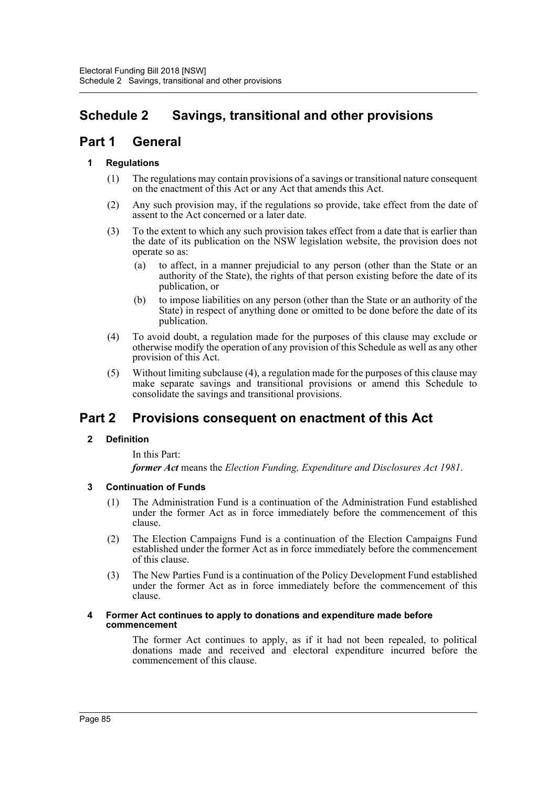# **Schedule 2 Savings, transitional and other provisions**

# **Part 1 General**

## **1 Regulations**

- (1) The regulations may contain provisions of a savings or transitional nature consequent on the enactment of this Act or any Act that amends this Act.
- (2) Any such provision may, if the regulations so provide, take effect from the date of assent to the Act concerned or a later date.
- (3) To the extent to which any such provision takes effect from a date that is earlier than the date of its publication on the NSW legislation website, the provision does not operate so as:
	- (a) to affect, in a manner prejudicial to any person (other than the State or an authority of the State), the rights of that person existing before the date of its publication, or
	- (b) to impose liabilities on any person (other than the State or an authority of the State) in respect of anything done or omitted to be done before the date of its publication.
- (4) To avoid doubt, a regulation made for the purposes of this clause may exclude or otherwise modify the operation of any provision of this Schedule as well as any other provision of this Act.
- (5) Without limiting subclause (4), a regulation made for the purposes of this clause may make separate savings and transitional provisions or amend this Schedule to consolidate the savings and transitional provisions.

# **Part 2 Provisions consequent on enactment of this Act**

## **2 Definition**

In this Part:

*former Act* means the *Election Funding, Expenditure and Disclosures Act 1981*.

## **3 Continuation of Funds**

- (1) The Administration Fund is a continuation of the Administration Fund established under the former Act as in force immediately before the commencement of this clause.
- (2) The Election Campaigns Fund is a continuation of the Election Campaigns Fund established under the former Act as in force immediately before the commencement of this clause.
- (3) The New Parties Fund is a continuation of the Policy Development Fund established under the former Act as in force immediately before the commencement of this clause.

### **4 Former Act continues to apply to donations and expenditure made before commencement**

The former Act continues to apply, as if it had not been repealed, to political donations made and received and electoral expenditure incurred before the commencement of this clause.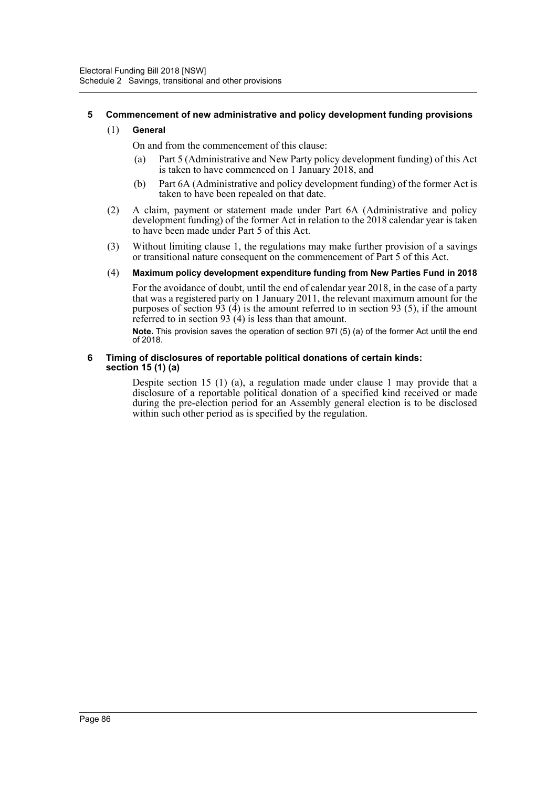## **5 Commencement of new administrative and policy development funding provisions**

### (1) **General**

On and from the commencement of this clause:

- (a) Part 5 (Administrative and New Party policy development funding) of this Act is taken to have commenced on 1 January 2018, and
- (b) Part 6A (Administrative and policy development funding) of the former Act is taken to have been repealed on that date.
- (2) A claim, payment or statement made under Part 6A (Administrative and policy development funding) of the former Act in relation to the 2018 calendar year is taken to have been made under Part 5 of this Act.
- (3) Without limiting clause 1, the regulations may make further provision of a savings or transitional nature consequent on the commencement of Part 5 of this Act.

### (4) **Maximum policy development expenditure funding from New Parties Fund in 2018**

For the avoidance of doubt, until the end of calendar year 2018, in the case of a party that was a registered party on 1 January 2011, the relevant maximum amount for the purposes of section  $\overline{93}$  (4) is the amount referred to in section 93 (5), if the amount referred to in section  $93(4)$  is less than that amount.

**Note.** This provision saves the operation of section 97I (5) (a) of the former Act until the end of 2018.

### **6 Timing of disclosures of reportable political donations of certain kinds: section 15 (1) (a)**

Despite section 15 (1) (a), a regulation made under clause 1 may provide that a disclosure of a reportable political donation of a specified kind received or made during the pre-election period for an Assembly general election is to be disclosed within such other period as is specified by the regulation.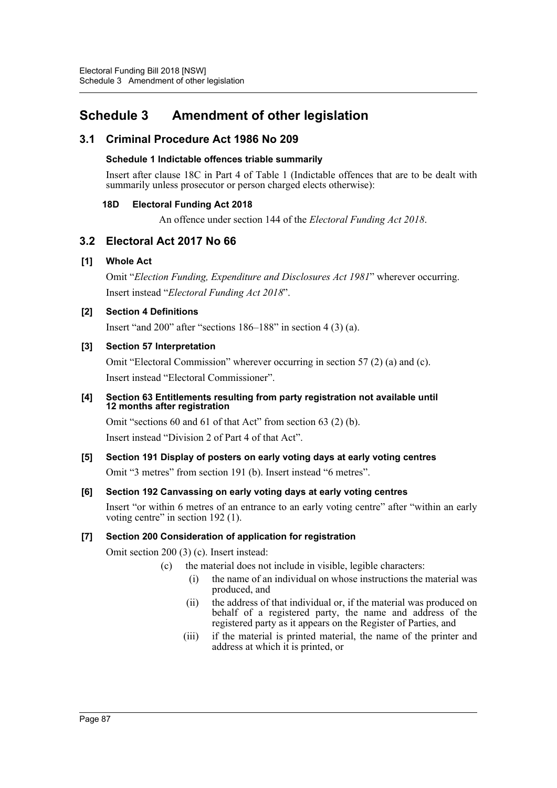# **Schedule 3 Amendment of other legislation**

# **3.1 Criminal Procedure Act 1986 No 209**

## **Schedule 1 Indictable offences triable summarily**

Insert after clause 18C in Part 4 of Table 1 (Indictable offences that are to be dealt with summarily unless prosecutor or person charged elects otherwise):

## **18D Electoral Funding Act 2018**

An offence under section 144 of the *Electoral Funding Act 2018*.

# **3.2 Electoral Act 2017 No 66**

## **[1] Whole Act**

Omit "*Election Funding, Expenditure and Disclosures Act 1981*" wherever occurring. Insert instead "*Electoral Funding Act 2018*".

## **[2] Section 4 Definitions**

Insert "and 200" after "sections 186–188" in section 4 (3) (a).

## **[3] Section 57 Interpretation**

Omit "Electoral Commission" wherever occurring in section 57 (2) (a) and (c). Insert instead "Electoral Commissioner".

## **[4] Section 63 Entitlements resulting from party registration not available until 12 months after registration**

Omit "sections 60 and 61 of that Act" from section 63 (2) (b). Insert instead "Division 2 of Part 4 of that Act".

## **[5] Section 191 Display of posters on early voting days at early voting centres**

Omit "3 metres" from section 191 (b). Insert instead "6 metres".

## **[6] Section 192 Canvassing on early voting days at early voting centres**

Insert "or within 6 metres of an entrance to an early voting centre" after "within an early voting centre" in section 192 (1).

## **[7] Section 200 Consideration of application for registration**

Omit section 200 (3) (c). Insert instead:

- (c) the material does not include in visible, legible characters:
	- (i) the name of an individual on whose instructions the material was produced, and
	- (ii) the address of that individual or, if the material was produced on behalf of a registered party, the name and address of the registered party as it appears on the Register of Parties, and
	- (iii) if the material is printed material, the name of the printer and address at which it is printed, or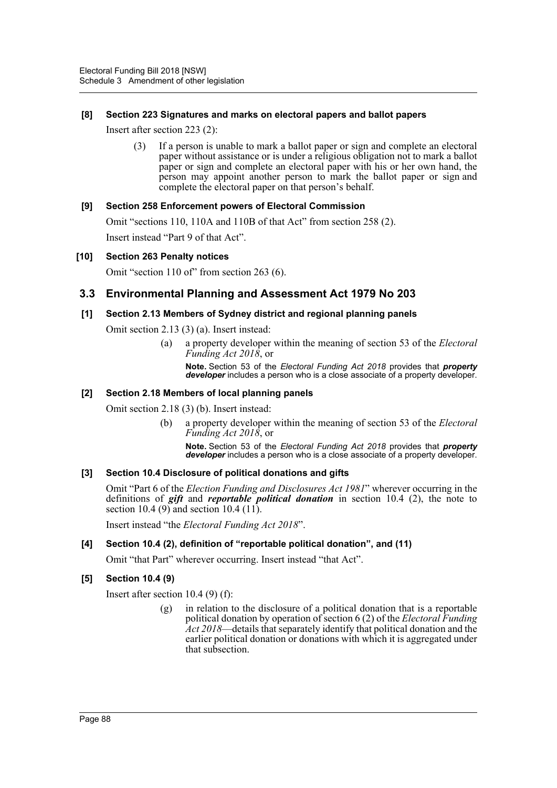## **[8] Section 223 Signatures and marks on electoral papers and ballot papers**

Insert after section 223 (2):

(3) If a person is unable to mark a ballot paper or sign and complete an electoral paper without assistance or is under a religious obligation not to mark a ballot paper or sign and complete an electoral paper with his or her own hand, the person may appoint another person to mark the ballot paper or sign and complete the electoral paper on that person's behalf.

## **[9] Section 258 Enforcement powers of Electoral Commission**

Omit "sections 110, 110A and 110B of that Act" from section 258 (2). Insert instead "Part 9 of that Act".

### **[10] Section 263 Penalty notices**

Omit "section 110 of" from section 263 (6).

## **3.3 Environmental Planning and Assessment Act 1979 No 203**

### **[1] Section 2.13 Members of Sydney district and regional planning panels**

Omit section 2.13 (3) (a). Insert instead:

(a) a property developer within the meaning of section 53 of the *Electoral Funding Act 2018*, or

**Note.** Section 53 of the *Electoral Funding Act 2018* provides that *property developer* includes a person who is a close associate of a property developer.

### **[2] Section 2.18 Members of local planning panels**

Omit section 2.18 (3) (b). Insert instead:

(b) a property developer within the meaning of section 53 of the *Electoral Funding Act 2018*, or

**Note.** Section 53 of the *Electoral Funding Act 2018* provides that *property developer* includes a person who is a close associate of a property developer.

### **[3] Section 10.4 Disclosure of political donations and gifts**

Omit "Part 6 of the *Election Funding and Disclosures Act 1981*" wherever occurring in the definitions of *gift* and *reportable political donation* in section 10.4 (2), the note to section 10.4 (9) and section 10.4 (11).

Insert instead "the *Electoral Funding Act 2018*".

### **[4] Section 10.4 (2), definition of "reportable political donation", and (11)**

Omit "that Part" wherever occurring. Insert instead "that Act".

### **[5] Section 10.4 (9)**

Insert after section 10.4 (9) (f):

(g) in relation to the disclosure of a political donation that is a reportable political donation by operation of section 6 (2) of the *Electoral Funding Act 2018*—details that separately identify that political donation and the earlier political donation or donations with which it is aggregated under that subsection.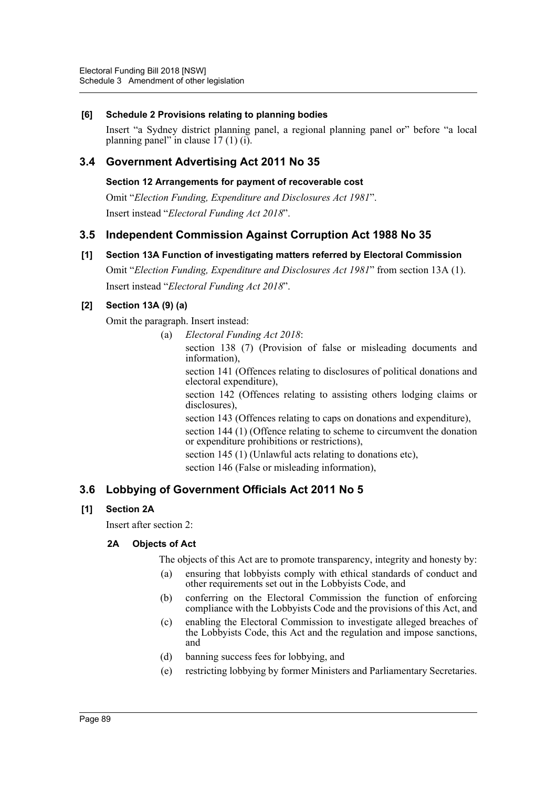## **[6] Schedule 2 Provisions relating to planning bodies**

Insert "a Sydney district planning panel, a regional planning panel or" before "a local planning panel" in clause  $17(1)(i)$ .

## **3.4 Government Advertising Act 2011 No 35**

**Section 12 Arrangements for payment of recoverable cost**

Omit "*Election Funding, Expenditure and Disclosures Act 1981*". Insert instead "*Electoral Funding Act 2018*".

## **3.5 Independent Commission Against Corruption Act 1988 No 35**

## **[1] Section 13A Function of investigating matters referred by Electoral Commission**

Omit "*Election Funding, Expenditure and Disclosures Act 1981*" from section 13A (1). Insert instead "*Electoral Funding Act 2018*".

## **[2] Section 13A (9) (a)**

Omit the paragraph. Insert instead:

(a) *Electoral Funding Act 2018*:

section 138 (7) (Provision of false or misleading documents and information),

section 141 (Offences relating to disclosures of political donations and electoral expenditure),

section 142 (Offences relating to assisting others lodging claims or disclosures),

section 143 (Offences relating to caps on donations and expenditure), section 144 (1) (Offence relating to scheme to circumvent the donation or expenditure prohibitions or restrictions),

section 145 (1) (Unlawful acts relating to donations etc), section 146 (False or misleading information),

# **3.6 Lobbying of Government Officials Act 2011 No 5**

## **[1] Section 2A**

Insert after section 2:

### **2A Objects of Act**

The objects of this Act are to promote transparency, integrity and honesty by:

- (a) ensuring that lobbyists comply with ethical standards of conduct and other requirements set out in the Lobbyists Code, and
- (b) conferring on the Electoral Commission the function of enforcing compliance with the Lobbyists Code and the provisions of this Act, and
- (c) enabling the Electoral Commission to investigate alleged breaches of the Lobbyists Code, this Act and the regulation and impose sanctions, and
- (d) banning success fees for lobbying, and
- (e) restricting lobbying by former Ministers and Parliamentary Secretaries.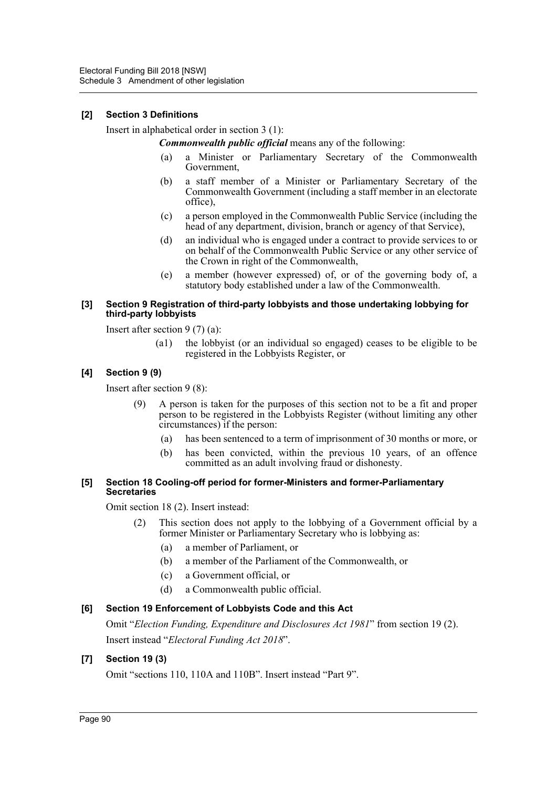## **[2] Section 3 Definitions**

Insert in alphabetical order in section 3 (1):

*Commonwealth public official* means any of the following:

- (a) a Minister or Parliamentary Secretary of the Commonwealth Government,
- (b) a staff member of a Minister or Parliamentary Secretary of the Commonwealth Government (including a staff member in an electorate office),
- (c) a person employed in the Commonwealth Public Service (including the head of any department, division, branch or agency of that Service),
- (d) an individual who is engaged under a contract to provide services to or on behalf of the Commonwealth Public Service or any other service of the Crown in right of the Commonwealth,
- (e) a member (however expressed) of, or of the governing body of, a statutory body established under a law of the Commonwealth.

### **[3] Section 9 Registration of third-party lobbyists and those undertaking lobbying for third-party lobbyists**

Insert after section 9 (7) (a):

(a1) the lobbyist (or an individual so engaged) ceases to be eligible to be registered in the Lobbyists Register, or

## **[4] Section 9 (9)**

Insert after section 9 (8):

- A person is taken for the purposes of this section not to be a fit and proper person to be registered in the Lobbyists Register (without limiting any other circumstances) if the person:
	- (a) has been sentenced to a term of imprisonment of 30 months or more, or
	- (b) has been convicted, within the previous 10 years, of an offence committed as an adult involving fraud or dishonesty.

### **[5] Section 18 Cooling-off period for former-Ministers and former-Parliamentary Secretaries**

Omit section 18 (2). Insert instead:

- (2) This section does not apply to the lobbying of a Government official by a former Minister or Parliamentary Secretary who is lobbying as:
	- (a) a member of Parliament, or
	- (b) a member of the Parliament of the Commonwealth, or
	- (c) a Government official, or
	- (d) a Commonwealth public official.

## **[6] Section 19 Enforcement of Lobbyists Code and this Act**

Omit "*Election Funding, Expenditure and Disclosures Act 1981*" from section 19 (2). Insert instead "*Electoral Funding Act 2018*".

## **[7] Section 19 (3)**

Omit "sections 110, 110A and 110B". Insert instead "Part 9".